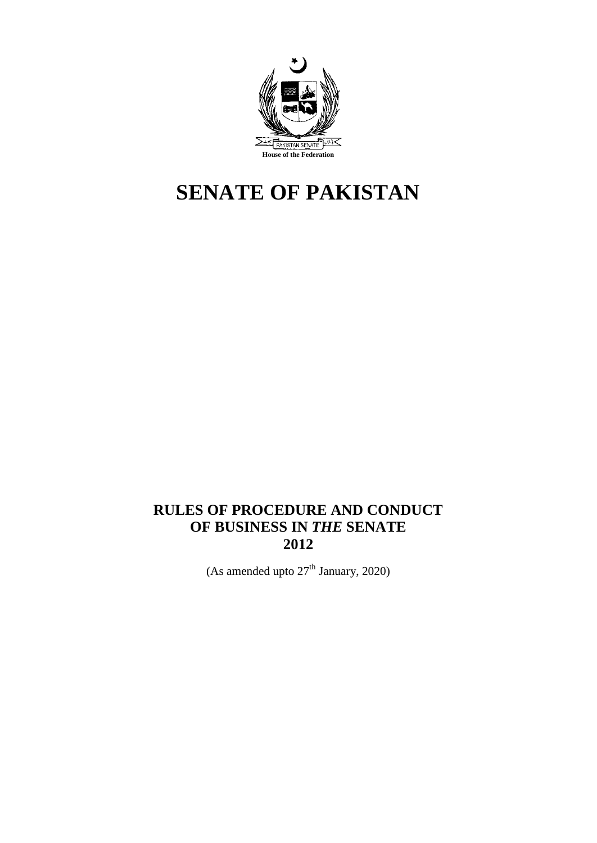

# **SENATE OF PAKISTAN**

## **RULES OF PROCEDURE AND CONDUCT OF BUSINESS IN** *THE* **SENATE 2012**

(As amended upto  $27<sup>th</sup>$  January, 2020)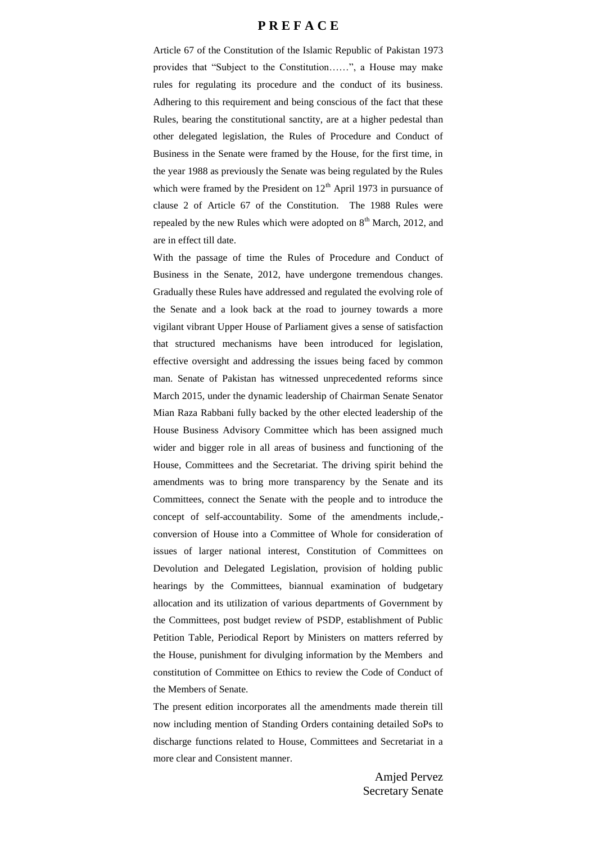#### **P R E F A C E**

Article 67 of the Constitution of the Islamic Republic of Pakistan 1973 provides that "Subject to the Constitution……", a House may make rules for regulating its procedure and the conduct of its business. Adhering to this requirement and being conscious of the fact that these Rules, bearing the constitutional sanctity, are at a higher pedestal than other delegated legislation, the Rules of Procedure and Conduct of Business in the Senate were framed by the House, for the first time, in the year 1988 as previously the Senate was being regulated by the Rules which were framed by the President on  $12<sup>th</sup>$  April 1973 in pursuance of clause 2 of Article 67 of the Constitution. The 1988 Rules were repealed by the new Rules which were adopted on  $8<sup>th</sup>$  March, 2012, and are in effect till date.

With the passage of time the Rules of Procedure and Conduct of Business in the Senate, 2012, have undergone tremendous changes. Gradually these Rules have addressed and regulated the evolving role of the Senate and a look back at the road to journey towards a more vigilant vibrant Upper House of Parliament gives a sense of satisfaction that structured mechanisms have been introduced for legislation, effective oversight and addressing the issues being faced by common man. Senate of Pakistan has witnessed unprecedented reforms since March 2015, under the dynamic leadership of Chairman Senate Senator Mian Raza Rabbani fully backed by the other elected leadership of the House Business Advisory Committee which has been assigned much wider and bigger role in all areas of business and functioning of the House, Committees and the Secretariat. The driving spirit behind the amendments was to bring more transparency by the Senate and its Committees, connect the Senate with the people and to introduce the concept of self-accountability. Some of the amendments include, conversion of House into a Committee of Whole for consideration of issues of larger national interest, Constitution of Committees on Devolution and Delegated Legislation, provision of holding public hearings by the Committees, biannual examination of budgetary allocation and its utilization of various departments of Government by the Committees, post budget review of PSDP, establishment of Public Petition Table, Periodical Report by Ministers on matters referred by the House, punishment for divulging information by the Members and constitution of Committee on Ethics to review the Code of Conduct of the Members of Senate.

The present edition incorporates all the amendments made therein till now including mention of Standing Orders containing detailed SoPs to discharge functions related to House, Committees and Secretariat in a more clear and Consistent manner.

> Amjed Pervez Secretary Senate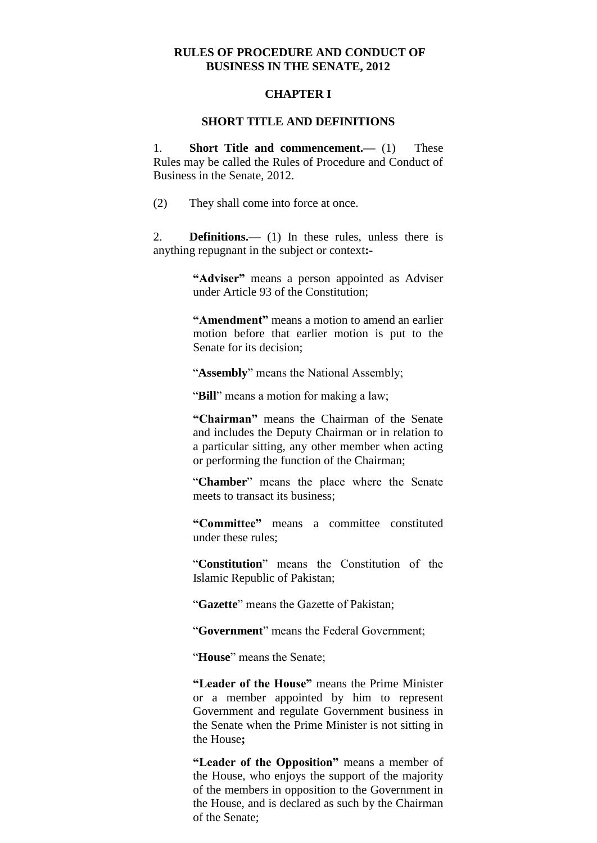#### **RULES OF PROCEDURE AND CONDUCT OF BUSINESS IN THE SENATE, 2012**

#### **CHAPTER I**

#### **SHORT TITLE AND DEFINITIONS**

1. **Short Title and commencement.—** (1) These Rules may be called the Rules of Procedure and Conduct of Business in the Senate, 2012.

(2) They shall come into force at once.

2. **Definitions.—** (1) In these rules, unless there is anything repugnant in the subject or context**:-**

> **"Adviser"** means a person appointed as Adviser under Article 93 of the Constitution;

> **"Amendment"** means a motion to amend an earlier motion before that earlier motion is put to the Senate for its decision;

"**Assembly**" means the National Assembly;

"**Bill**" means a motion for making a law;

**"Chairman"** means the Chairman of the Senate and includes the Deputy Chairman or in relation to a particular sitting, any other member when acting or performing the function of the Chairman;

"**Chamber**" means the place where the Senate meets to transact its business;

**"Committee"** means a committee constituted under these rules;

"**Constitution**" means the Constitution of the Islamic Republic of Pakistan;

"**Gazette**" means the Gazette of Pakistan;

"**Government**" means the Federal Government;

"**House**" means the Senate;

**"Leader of the House"** means the Prime Minister or a member appointed by him to represent Government and regulate Government business in the Senate when the Prime Minister is not sitting in the House**;**

**"Leader of the Opposition"** means a member of the House, who enjoys the support of the majority of the members in opposition to the Government in the House, and is declared as such by the Chairman of the Senate;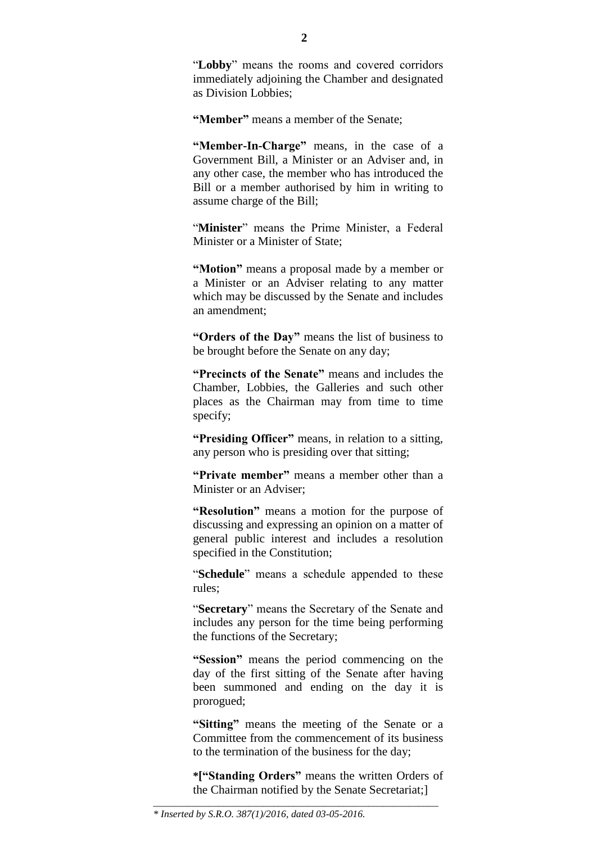"**Lobby**" means the rooms and covered corridors immediately adjoining the Chamber and designated as Division Lobbies;

**"Member"** means a member of the Senate;

**"Member-In-Charge"** means, in the case of a Government Bill, a Minister or an Adviser and, in any other case, the member who has introduced the Bill or a member authorised by him in writing to assume charge of the Bill;

"**Minister**" means the Prime Minister, a Federal Minister or a Minister of State;

**"Motion"** means a proposal made by a member or a Minister or an Adviser relating to any matter which may be discussed by the Senate and includes an amendment;

**"Orders of the Day"** means the list of business to be brought before the Senate on any day;

**"Precincts of the Senate"** means and includes the Chamber, Lobbies, the Galleries and such other places as the Chairman may from time to time specify;

**"Presiding Officer"** means, in relation to a sitting, any person who is presiding over that sitting;

**"Private member"** means a member other than a Minister or an Adviser;

**"Resolution"** means a motion for the purpose of discussing and expressing an opinion on a matter of general public interest and includes a resolution specified in the Constitution;

"**Schedule**" means a schedule appended to these rules;

"**Secretary**" means the Secretary of the Senate and includes any person for the time being performing the functions of the Secretary;

**"Session"** means the period commencing on the day of the first sitting of the Senate after having been summoned and ending on the day it is prorogued;

**"Sitting"** means the meeting of the Senate or a Committee from the commencement of its business to the termination of the business for the day;

**\*["Standing Orders"** means the written Orders of the Chairman notified by the Senate Secretariat;]

\_\_\_\_\_\_\_\_\_\_\_\_\_\_\_\_\_\_\_\_\_\_\_\_\_\_\_\_\_\_\_\_\_\_\_\_\_\_\_\_\_\_\_\_\_\_\_\_\_\_\_\_\_\_\_\_\_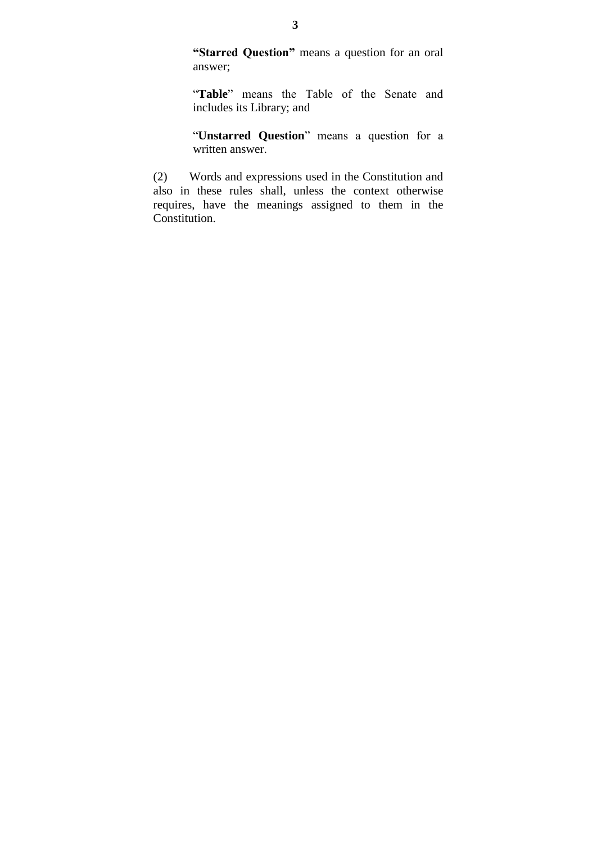**"Starred Question"** means a question for an oral answer;

"**Table**" means the Table of the Senate and includes its Library; and

"**Unstarred Question**" means a question for a written answer.

(2) Words and expressions used in the Constitution and also in these rules shall, unless the context otherwise requires, have the meanings assigned to them in the Constitution.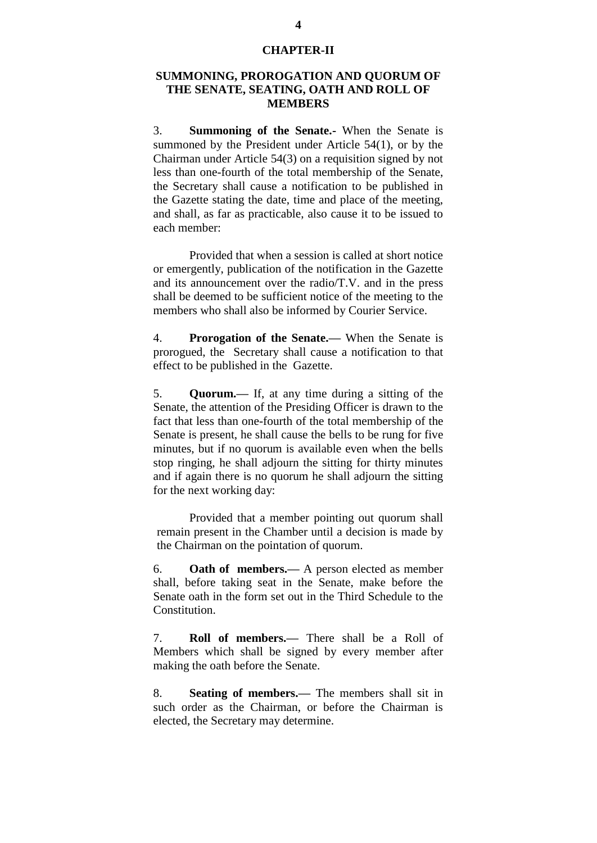#### **CHAPTER-II**

### **SUMMONING, PROROGATION AND QUORUM OF THE SENATE, SEATING, OATH AND ROLL OF MEMBERS**

3. **Summoning of the Senate.-** When the Senate is summoned by the President under Article 54(1), or by the Chairman under Article 54(3) on a requisition signed by not less than one-fourth of the total membership of the Senate, the Secretary shall cause a notification to be published in the Gazette stating the date, time and place of the meeting, and shall, as far as practicable, also cause it to be issued to each member:

Provided that when a session is called at short notice or emergently, publication of the notification in the Gazette and its announcement over the radio/T.V. and in the press shall be deemed to be sufficient notice of the meeting to the members who shall also be informed by Courier Service.

4. **Prorogation of the Senate.—** When the Senate is prorogued, the Secretary shall cause a notification to that effect to be published in the Gazette.

5. **Quorum.—** If, at any time during a sitting of the Senate, the attention of the Presiding Officer is drawn to the fact that less than one-fourth of the total membership of the Senate is present, he shall cause the bells to be rung for five minutes, but if no quorum is available even when the bells stop ringing, he shall adjourn the sitting for thirty minutes and if again there is no quorum he shall adjourn the sitting for the next working day:

Provided that a member pointing out quorum shall remain present in the Chamber until a decision is made by the Chairman on the pointation of quorum.

6. **Oath of members.—** A person elected as member shall, before taking seat in the Senate, make before the Senate oath in the form set out in the Third Schedule to the Constitution.

7. **Roll of members.—** There shall be a Roll of Members which shall be signed by every member after making the oath before the Senate.

8. **Seating of members.—** The members shall sit in such order as the Chairman, or before the Chairman is elected, the Secretary may determine.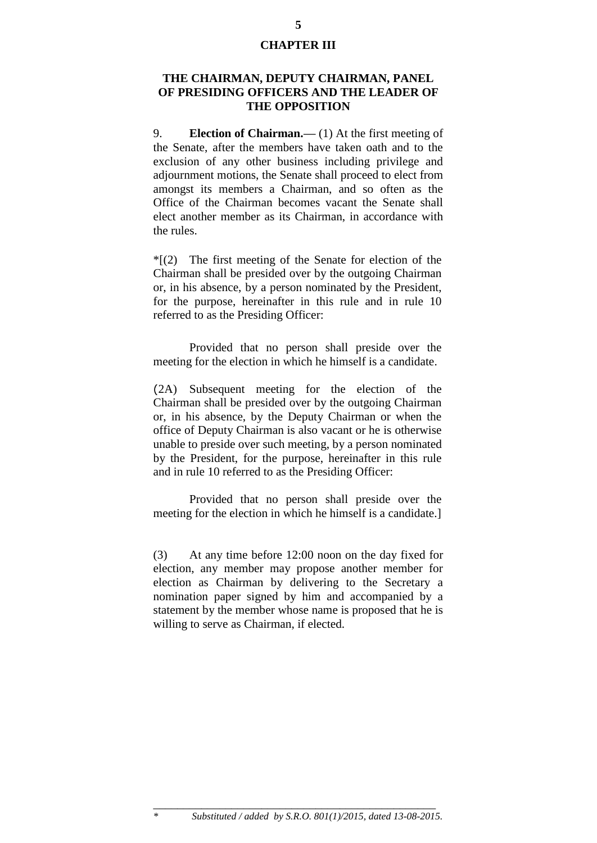#### **CHAPTER III**

#### **THE CHAIRMAN, DEPUTY CHAIRMAN, PANEL OF PRESIDING OFFICERS AND THE LEADER OF THE OPPOSITION**

9. **Election of Chairman.—** (1) At the first meeting of the Senate, after the members have taken oath and to the exclusion of any other business including privilege and adjournment motions, the Senate shall proceed to elect from amongst its members a Chairman, and so often as the Office of the Chairman becomes vacant the Senate shall elect another member as its Chairman, in accordance with the rules.

 $*(2)$  The first meeting of the Senate for election of the Chairman shall be presided over by the outgoing Chairman or, in his absence, by a person nominated by the President, for the purpose, hereinafter in this rule and in rule 10 referred to as the Presiding Officer:

Provided that no person shall preside over the meeting for the election in which he himself is a candidate.

(2A) Subsequent meeting for the election of the Chairman shall be presided over by the outgoing Chairman or, in his absence, by the Deputy Chairman or when the office of Deputy Chairman is also vacant or he is otherwise unable to preside over such meeting, by a person nominated by the President, for the purpose, hereinafter in this rule and in rule 10 referred to as the Presiding Officer:

Provided that no person shall preside over the meeting for the election in which he himself is a candidate.]

(3) At any time before 12:00 noon on the day fixed for election, any member may propose another member for election as Chairman by delivering to the Secretary a nomination paper signed by him and accompanied by a statement by the member whose name is proposed that he is willing to serve as Chairman, if elected.

\_\_\_\_\_\_\_\_\_\_\_\_\_\_\_\_\_\_\_\_\_\_\_\_\_\_\_\_\_\_\_\_\_\_\_\_\_\_\_\_\_\_\_\_\_\_\_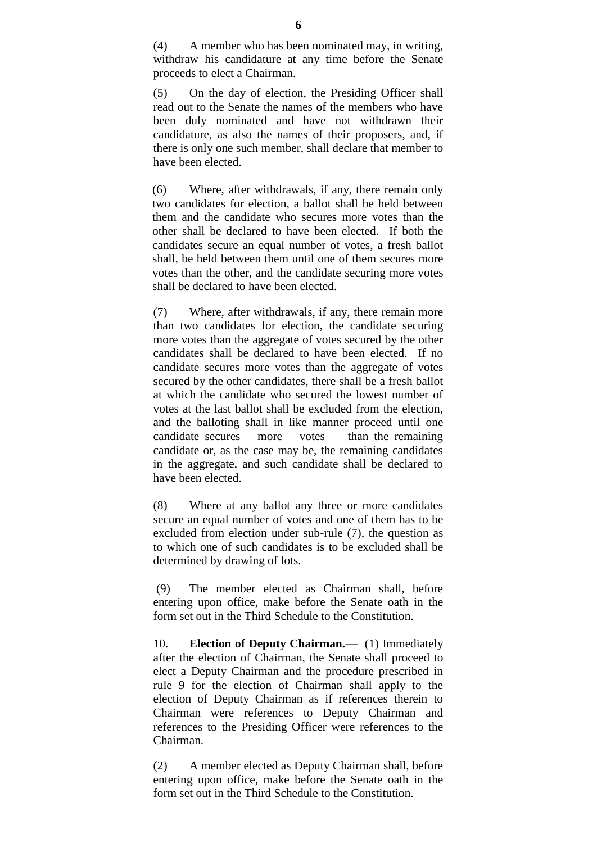(4) A member who has been nominated may, in writing, withdraw his candidature at any time before the Senate proceeds to elect a Chairman.

(5) On the day of election, the Presiding Officer shall read out to the Senate the names of the members who have been duly nominated and have not withdrawn their candidature, as also the names of their proposers, and, if there is only one such member, shall declare that member to have been elected.

(6) Where, after withdrawals, if any, there remain only two candidates for election, a ballot shall be held between them and the candidate who secures more votes than the other shall be declared to have been elected. If both the candidates secure an equal number of votes, a fresh ballot shall, be held between them until one of them secures more votes than the other, and the candidate securing more votes shall be declared to have been elected.

(7) Where, after withdrawals, if any, there remain more than two candidates for election, the candidate securing more votes than the aggregate of votes secured by the other candidates shall be declared to have been elected. If no candidate secures more votes than the aggregate of votes secured by the other candidates, there shall be a fresh ballot at which the candidate who secured the lowest number of votes at the last ballot shall be excluded from the election, and the balloting shall in like manner proceed until one candidate secures more votes than the remaining candidate or, as the case may be, the remaining candidates in the aggregate, and such candidate shall be declared to have been elected.

(8) Where at any ballot any three or more candidates secure an equal number of votes and one of them has to be excluded from election under sub-rule (7), the question as to which one of such candidates is to be excluded shall be determined by drawing of lots.

(9) The member elected as Chairman shall, before entering upon office, make before the Senate oath in the form set out in the Third Schedule to the Constitution.

10. **Election of Deputy Chairman.—** (1) Immediately after the election of Chairman, the Senate shall proceed to elect a Deputy Chairman and the procedure prescribed in rule 9 for the election of Chairman shall apply to the election of Deputy Chairman as if references therein to Chairman were references to Deputy Chairman and references to the Presiding Officer were references to the Chairman.

(2) A member elected as Deputy Chairman shall, before entering upon office, make before the Senate oath in the form set out in the Third Schedule to the Constitution.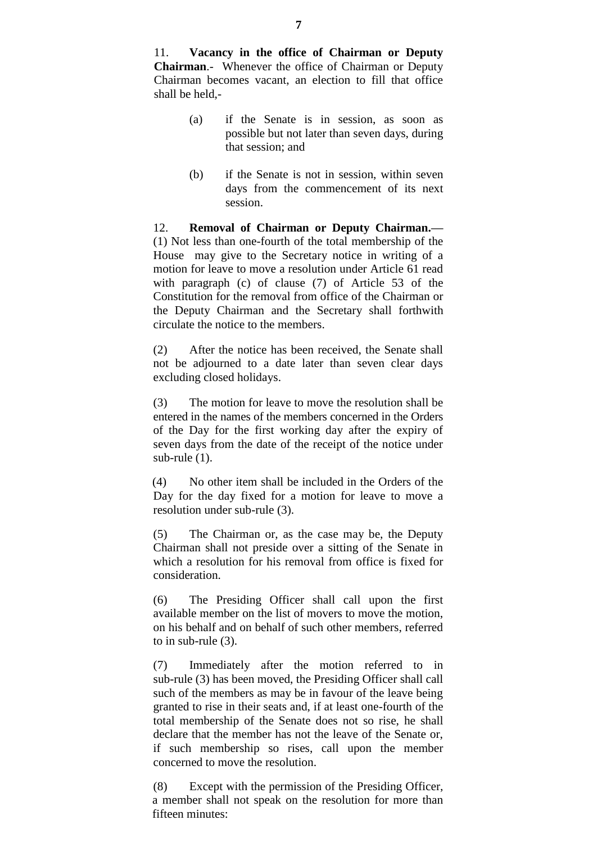11. **Vacancy in the office of Chairman or Deputy Chairman**.- Whenever the office of Chairman or Deputy Chairman becomes vacant, an election to fill that office shall be held,-

- (a) if the Senate is in session, as soon as possible but not later than seven days, during that session; and
- (b) if the Senate is not in session, within seven days from the commencement of its next session.

12. **Removal of Chairman or Deputy Chairman.—** (1) Not less than one-fourth of the total membership of the House may give to the Secretary notice in writing of a motion for leave to move a resolution under Article 61 read with paragraph (c) of clause (7) of Article 53 of the Constitution for the removal from office of the Chairman or the Deputy Chairman and the Secretary shall forthwith circulate the notice to the members.

(2) After the notice has been received, the Senate shall not be adjourned to a date later than seven clear days excluding closed holidays.

(3) The motion for leave to move the resolution shall be entered in the names of the members concerned in the Orders of the Day for the first working day after the expiry of seven days from the date of the receipt of the notice under sub-rule (1).

(4) No other item shall be included in the Orders of the Day for the day fixed for a motion for leave to move a resolution under sub-rule (3).

(5) The Chairman or, as the case may be, the Deputy Chairman shall not preside over a sitting of the Senate in which a resolution for his removal from office is fixed for consideration.

(6) The Presiding Officer shall call upon the first available member on the list of movers to move the motion, on his behalf and on behalf of such other members, referred to in sub-rule (3).

(7) Immediately after the motion referred to in sub-rule (3) has been moved, the Presiding Officer shall call such of the members as may be in favour of the leave being granted to rise in their seats and, if at least one-fourth of the total membership of the Senate does not so rise, he shall declare that the member has not the leave of the Senate or, if such membership so rises, call upon the member concerned to move the resolution.

(8) Except with the permission of the Presiding Officer, a member shall not speak on the resolution for more than fifteen minutes: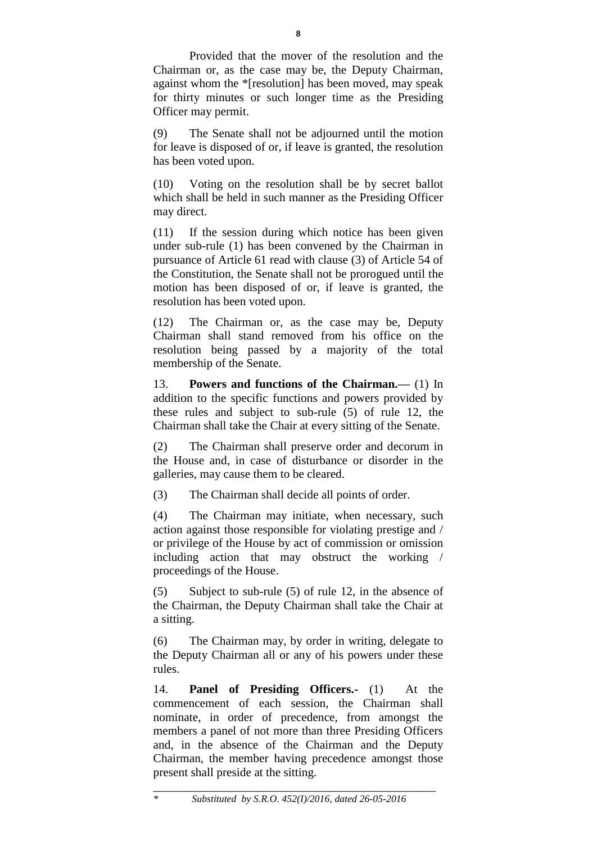Provided that the mover of the resolution and the Chairman or, as the case may be, the Deputy Chairman, against whom the \*[resolution] has been moved, may speak for thirty minutes or such longer time as the Presiding Officer may permit.

(9) The Senate shall not be adjourned until the motion for leave is disposed of or, if leave is granted, the resolution has been voted upon.

(10) Voting on the resolution shall be by secret ballot which shall be held in such manner as the Presiding Officer may direct.

(11) If the session during which notice has been given under sub-rule (1) has been convened by the Chairman in pursuance of Article 61 read with clause (3) of Article 54 of the Constitution, the Senate shall not be prorogued until the motion has been disposed of or, if leave is granted, the resolution has been voted upon.

(12) The Chairman or, as the case may be, Deputy Chairman shall stand removed from his office on the resolution being passed by a majority of the total membership of the Senate.

13. **Powers and functions of the Chairman.—** (1) In addition to the specific functions and powers provided by these rules and subject to sub-rule (5) of rule 12, the Chairman shall take the Chair at every sitting of the Senate.

(2) The Chairman shall preserve order and decorum in the House and, in case of disturbance or disorder in the galleries, may cause them to be cleared.

(3) The Chairman shall decide all points of order.

(4) The Chairman may initiate, when necessary, such action against those responsible for violating prestige and / or privilege of the House by act of commission or omission including action that may obstruct the working / proceedings of the House.

(5) Subject to sub-rule (5) of rule 12, in the absence of the Chairman, the Deputy Chairman shall take the Chair at a sitting.

(6) The Chairman may, by order in writing, delegate to the Deputy Chairman all or any of his powers under these rules.

14. **Panel of Presiding Officers.-** (1) At the commencement of each session, the Chairman shall nominate, in order of precedence, from amongst the members a panel of not more than three Presiding Officers and, in the absence of the Chairman and the Deputy Chairman, the member having precedence amongst those present shall preside at the sitting.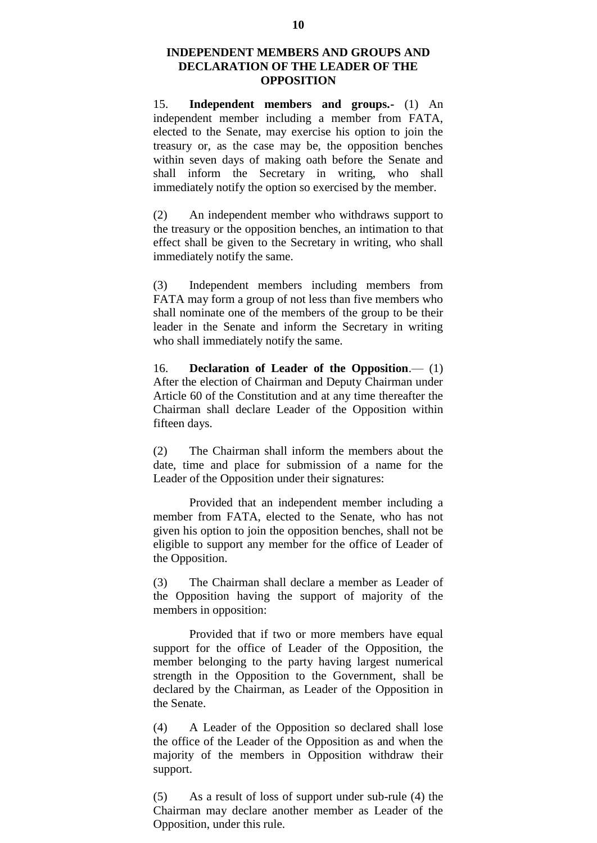#### **INDEPENDENT MEMBERS AND GROUPS AND DECLARATION OF THE LEADER OF THE OPPOSITION**

15. **Independent members and groups.-** (1) An independent member including a member from FATA, elected to the Senate, may exercise his option to join the treasury or, as the case may be, the opposition benches within seven days of making oath before the Senate and shall inform the Secretary in writing, who shall immediately notify the option so exercised by the member.

(2) An independent member who withdraws support to the treasury or the opposition benches, an intimation to that effect shall be given to the Secretary in writing, who shall immediately notify the same.

(3) Independent members including members from FATA may form a group of not less than five members who shall nominate one of the members of the group to be their leader in the Senate and inform the Secretary in writing who shall immediately notify the same.

16. **Declaration of Leader of the Opposition**.— (1) After the election of Chairman and Deputy Chairman under Article 60 of the Constitution and at any time thereafter the Chairman shall declare Leader of the Opposition within fifteen days.

(2) The Chairman shall inform the members about the date, time and place for submission of a name for the Leader of the Opposition under their signatures:

Provided that an independent member including a member from FATA, elected to the Senate, who has not given his option to join the opposition benches, shall not be eligible to support any member for the office of Leader of the Opposition.

(3) The Chairman shall declare a member as Leader of the Opposition having the support of majority of the members in opposition:

Provided that if two or more members have equal support for the office of Leader of the Opposition, the member belonging to the party having largest numerical strength in the Opposition to the Government, shall be declared by the Chairman, as Leader of the Opposition in the Senate.

(4) A Leader of the Opposition so declared shall lose the office of the Leader of the Opposition as and when the majority of the members in Opposition withdraw their support.

(5) As a result of loss of support under sub-rule (4) the Chairman may declare another member as Leader of the Opposition, under this rule.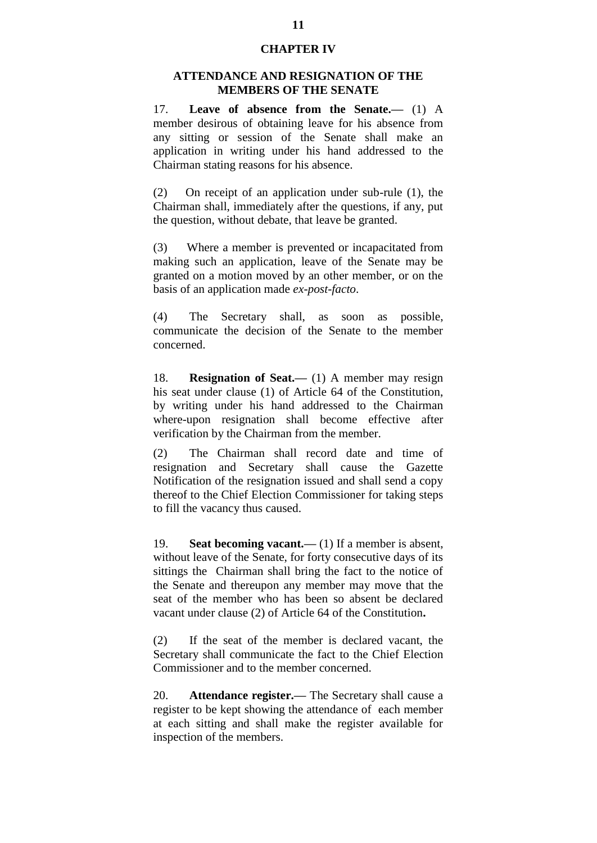#### **CHAPTER IV**

#### **ATTENDANCE AND RESIGNATION OF THE MEMBERS OF THE SENATE**

17. **Leave of absence from the Senate.—** (1) A member desirous of obtaining leave for his absence from any sitting or session of the Senate shall make an application in writing under his hand addressed to the Chairman stating reasons for his absence.

(2) On receipt of an application under sub-rule (1), the Chairman shall, immediately after the questions, if any, put the question, without debate, that leave be granted.

(3) Where a member is prevented or incapacitated from making such an application, leave of the Senate may be granted on a motion moved by an other member, or on the basis of an application made *ex-post-facto*.

(4) The Secretary shall, as soon as possible, communicate the decision of the Senate to the member concerned.

18. **Resignation of Seat.—** (1) A member may resign his seat under clause (1) of Article 64 of the Constitution, by writing under his hand addressed to the Chairman where-upon resignation shall become effective after verification by the Chairman from the member.

(2) The Chairman shall record date and time of resignation and Secretary shall cause the Gazette Notification of the resignation issued and shall send a copy thereof to the Chief Election Commissioner for taking steps to fill the vacancy thus caused.

19. **Seat becoming vacant.—** (1) If a member is absent, without leave of the Senate, for forty consecutive days of its sittings the Chairman shall bring the fact to the notice of the Senate and thereupon any member may move that the seat of the member who has been so absent be declared vacant under clause (2) of Article 64 of the Constitution**.**

(2) If the seat of the member is declared vacant, the Secretary shall communicate the fact to the Chief Election Commissioner and to the member concerned.

20. **Attendance register.—** The Secretary shall cause a register to be kept showing the attendance of each member at each sitting and shall make the register available for inspection of the members.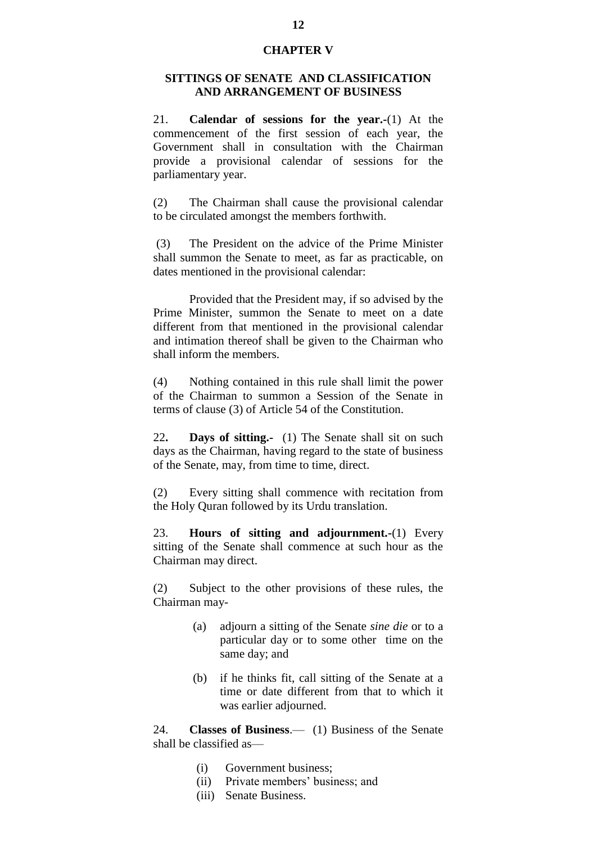#### **CHAPTER V**

#### **SITTINGS OF SENATE AND CLASSIFICATION AND ARRANGEMENT OF BUSINESS**

21. **Calendar of sessions for the year.-**(1) At the commencement of the first session of each year, the Government shall in consultation with the Chairman provide a provisional calendar of sessions for the parliamentary year.

(2) The Chairman shall cause the provisional calendar to be circulated amongst the members forthwith.

(3) The President on the advice of the Prime Minister shall summon the Senate to meet, as far as practicable, on dates mentioned in the provisional calendar:

Provided that the President may, if so advised by the Prime Minister, summon the Senate to meet on a date different from that mentioned in the provisional calendar and intimation thereof shall be given to the Chairman who shall inform the members.

(4) Nothing contained in this rule shall limit the power of the Chairman to summon a Session of the Senate in terms of clause (3) of Article 54 of the Constitution.

22**. Days of sitting.-** (1) The Senate shall sit on such days as the Chairman, having regard to the state of business of the Senate, may, from time to time, direct.

(2) Every sitting shall commence with recitation from the Holy Quran followed by its Urdu translation.

23. **Hours of sitting and adjournment.-**(1) Every sitting of the Senate shall commence at such hour as the Chairman may direct.

(2) Subject to the other provisions of these rules, the Chairman may-

- (a) adjourn a sitting of the Senate *sine die* or to a particular day or to some other time on the same day; and
- (b) if he thinks fit, call sitting of the Senate at a time or date different from that to which it was earlier adjourned.

24. **Classes of Business**.— (1) Business of the Senate shall be classified as—

- (i) Government business;
- (ii) Private members" business; and
- (iii) Senate Business.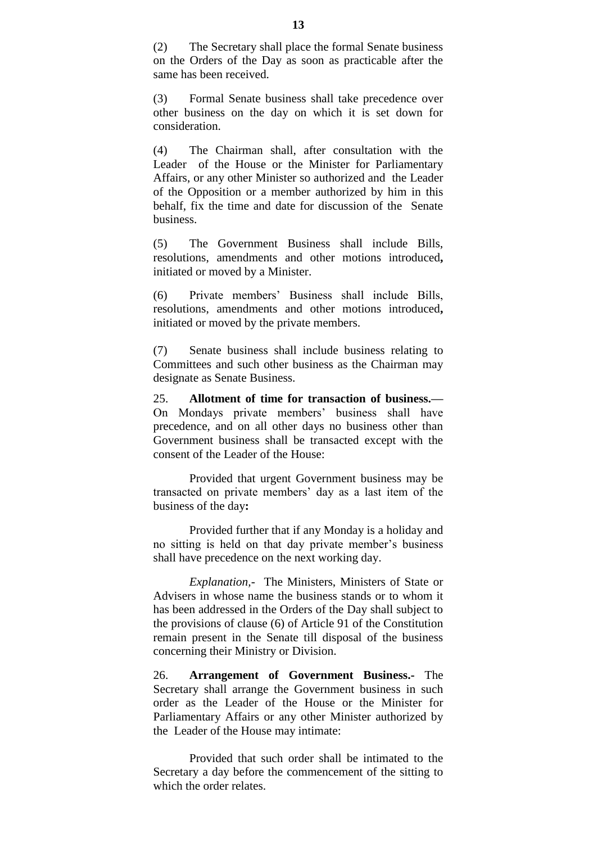(2) The Secretary shall place the formal Senate business on the Orders of the Day as soon as practicable after the same has been received.

(3) Formal Senate business shall take precedence over other business on the day on which it is set down for consideration.

(4) The Chairman shall, after consultation with the Leader of the House or the Minister for Parliamentary Affairs, or any other Minister so authorized and the Leader of the Opposition or a member authorized by him in this behalf, fix the time and date for discussion of the Senate business.

(5) The Government Business shall include Bills, resolutions, amendments and other motions introduced**,**  initiated or moved by a Minister.

(6) Private members" Business shall include Bills, resolutions, amendments and other motions introduced**,**  initiated or moved by the private members.

(7) Senate business shall include business relating to Committees and such other business as the Chairman may designate as Senate Business.

25. **Allotment of time for transaction of business.—** On Mondays private members" business shall have precedence, and on all other days no business other than Government business shall be transacted except with the consent of the Leader of the House:

Provided that urgent Government business may be transacted on private members" day as a last item of the business of the day**:**

Provided further that if any Monday is a holiday and no sitting is held on that day private member"s business shall have precedence on the next working day.

*Explanation,-* The Ministers, Ministers of State or Advisers in whose name the business stands or to whom it has been addressed in the Orders of the Day shall subject to the provisions of clause (6) of Article 91 of the Constitution remain present in the Senate till disposal of the business concerning their Ministry or Division.

26. **Arrangement of Government Business.-** The Secretary shall arrange the Government business in such order as the Leader of the House or the Minister for Parliamentary Affairs or any other Minister authorized by the Leader of the House may intimate:

Provided that such order shall be intimated to the Secretary a day before the commencement of the sitting to which the order relates.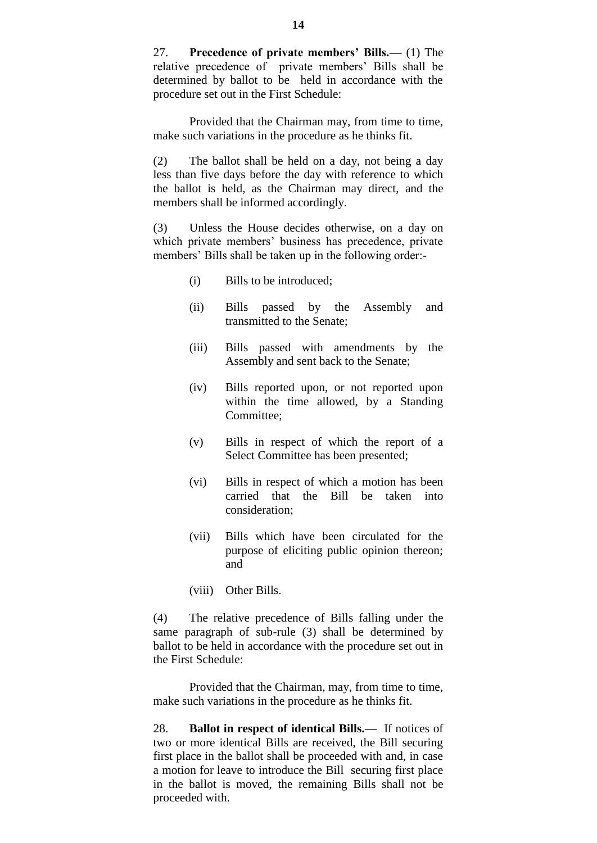27. **Precedence of private members' Bills.—** (1) The relative precedence of private members" Bills shall be determined by ballot to be held in accordance with the procedure set out in the First Schedule:

Provided that the Chairman may, from time to time, make such variations in the procedure as he thinks fit.

(2) The ballot shall be held on a day, not being a day less than five days before the day with reference to which the ballot is held, as the Chairman may direct, and the members shall be informed accordingly.

(3) Unless the House decides otherwise, on a day on which private members' business has precedence, private members' Bills shall be taken up in the following order:-

- (i) Bills to be introduced;
- (ii) Bills passed by the Assembly and transmitted to the Senate;
- (iii) Bills passed with amendments by the Assembly and sent back to the Senate;
- (iv) Bills reported upon, or not reported upon within the time allowed, by a Standing Committee;
- (v) Bills in respect of which the report of a Select Committee has been presented;
- (vi) Bills in respect of which a motion has been carried that the Bill be taken into consideration;
- (vii) Bills which have been circulated for the purpose of eliciting public opinion thereon; and
- (viii) Other Bills.

(4) The relative precedence of Bills falling under the same paragraph of sub-rule (3) shall be determined by ballot to be held in accordance with the procedure set out in the First Schedule:

Provided that the Chairman, may, from time to time, make such variations in the procedure as he thinks fit.

28. **Ballot in respect of identical Bills.—** If notices of two or more identical Bills are received, the Bill securing first place in the ballot shall be proceeded with and, in case a motion for leave to introduce the Bill securing first place in the ballot is moved, the remaining Bills shall not be proceeded with.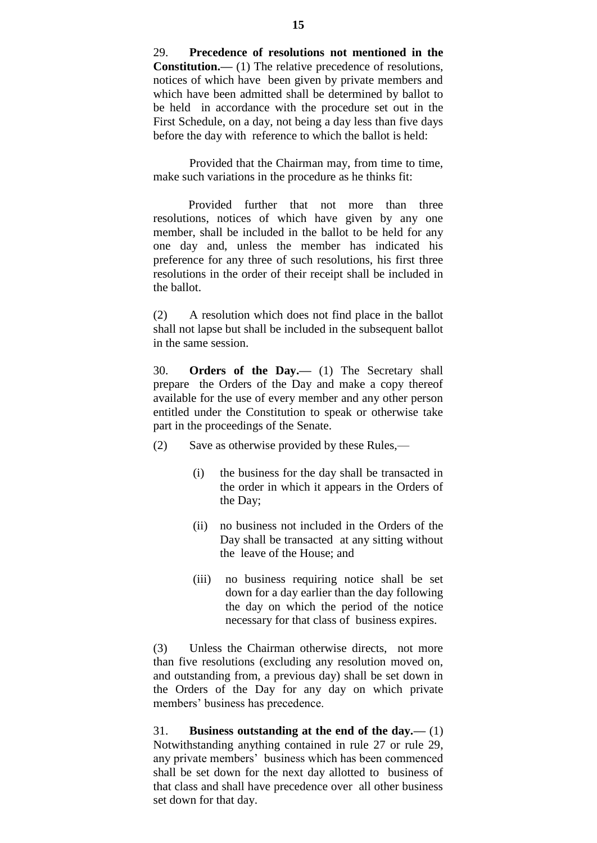29. **Precedence of resolutions not mentioned in the Constitution.—** (1) The relative precedence of resolutions, notices of which have been given by private members and which have been admitted shall be determined by ballot to be held in accordance with the procedure set out in the First Schedule, on a day, not being a day less than five days before the day with reference to which the ballot is held:

Provided that the Chairman may, from time to time, make such variations in the procedure as he thinks fit:

Provided further that not more than three resolutions, notices of which have given by any one member, shall be included in the ballot to be held for any one day and, unless the member has indicated his preference for any three of such resolutions, his first three resolutions in the order of their receipt shall be included in the ballot.

(2) A resolution which does not find place in the ballot shall not lapse but shall be included in the subsequent ballot in the same session.

30. **Orders of the Day.—** (1) The Secretary shall prepare the Orders of the Day and make a copy thereof available for the use of every member and any other person entitled under the Constitution to speak or otherwise take part in the proceedings of the Senate.

- (2) Save as otherwise provided by these Rules,—
	- (i) the business for the day shall be transacted in the order in which it appears in the Orders of the Day;
	- (ii) no business not included in the Orders of the Day shall be transacted at any sitting without the leave of the House; and
	- (iii) no business requiring notice shall be set down for a day earlier than the day following the day on which the period of the notice necessary for that class of business expires.

(3) Unless the Chairman otherwise directs, not more than five resolutions (excluding any resolution moved on, and outstanding from, a previous day) shall be set down in the Orders of the Day for any day on which private members" business has precedence.

31. **Business outstanding at the end of the day.—** (1) Notwithstanding anything contained in rule 27 or rule 29, any private members' business which has been commenced shall be set down for the next day allotted to business of that class and shall have precedence over all other business set down for that day.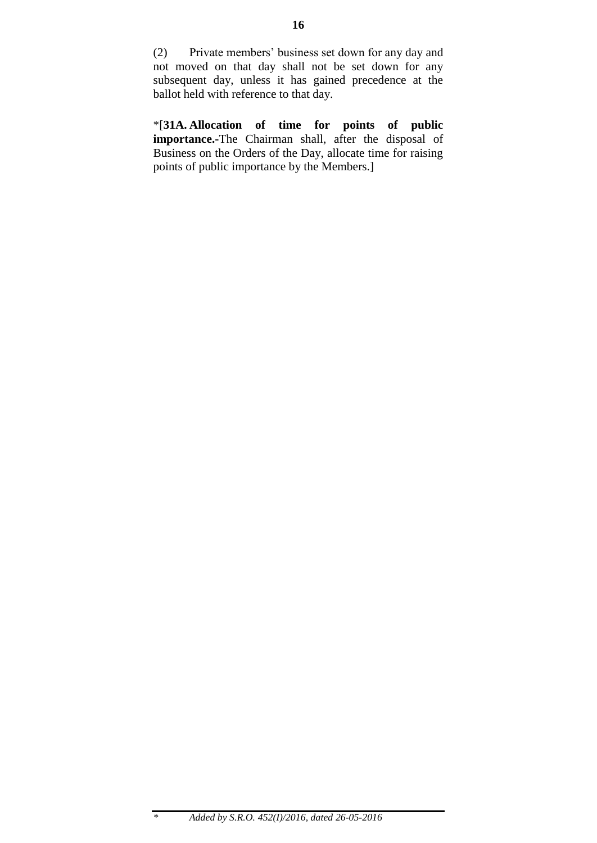(2) Private members" business set down for any day and not moved on that day shall not be set down for any subsequent day, unless it has gained precedence at the ballot held with reference to that day.

\*[**31A. Allocation of time for points of public importance.-**The Chairman shall, after the disposal of Business on the Orders of the Day, allocate time for raising points of public importance by the Members.]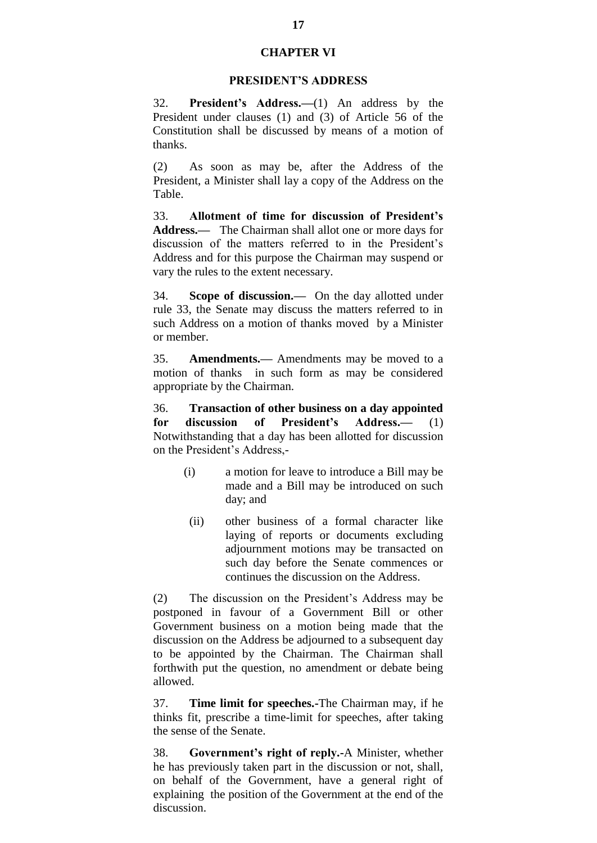#### **CHAPTER VI**

#### **PRESIDENT'S ADDRESS**

32. **President's Address.—**(1) An address by the President under clauses (1) and (3) of Article 56 of the Constitution shall be discussed by means of a motion of thanks.

(2) As soon as may be, after the Address of the President, a Minister shall lay a copy of the Address on the Table.

33. **Allotment of time for discussion of President's Address.—** The Chairman shall allot one or more days for discussion of the matters referred to in the President's Address and for this purpose the Chairman may suspend or vary the rules to the extent necessary.

34. **Scope of discussion.—** On the day allotted under rule 33, the Senate may discuss the matters referred to in such Address on a motion of thanks moved by a Minister or member.

35. **Amendments.—** Amendments may be moved to a motion of thanks in such form as may be considered appropriate by the Chairman.

36. **Transaction of other business on a day appointed for discussion of President's Address.—** (1) Notwithstanding that a day has been allotted for discussion on the President"s Address,-

- (i) a motion for leave to introduce a Bill may be made and a Bill may be introduced on such day; and
- (ii) other business of a formal character like laying of reports or documents excluding adjournment motions may be transacted on such day before the Senate commences or continues the discussion on the Address.

(2) The discussion on the President"s Address may be postponed in favour of a Government Bill or other Government business on a motion being made that the discussion on the Address be adjourned to a subsequent day to be appointed by the Chairman. The Chairman shall forthwith put the question, no amendment or debate being allowed.

37. **Time limit for speeches.-**The Chairman may, if he thinks fit, prescribe a time-limit for speeches, after taking the sense of the Senate.

38. **Government's right of reply.-**A Minister, whether he has previously taken part in the discussion or not, shall, on behalf of the Government, have a general right of explaining the position of the Government at the end of the discussion.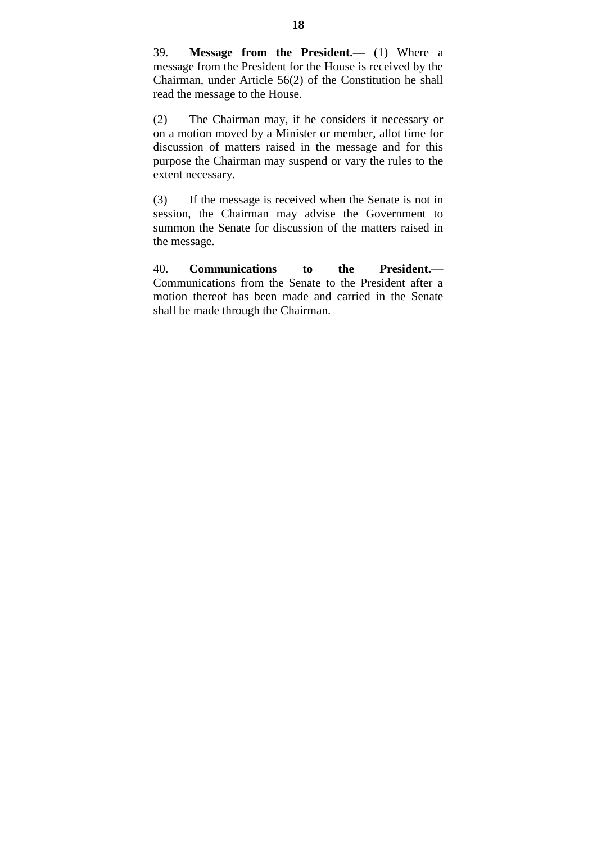39. **Message from the President.—** (1) Where a message from the President for the House is received by the Chairman, under Article 56(2) of the Constitution he shall read the message to the House.

(2) The Chairman may, if he considers it necessary or on a motion moved by a Minister or member, allot time for discussion of matters raised in the message and for this purpose the Chairman may suspend or vary the rules to the extent necessary.

(3) If the message is received when the Senate is not in session, the Chairman may advise the Government to summon the Senate for discussion of the matters raised in the message.

40. **Communications to the President.—** Communications from the Senate to the President after a motion thereof has been made and carried in the Senate shall be made through the Chairman.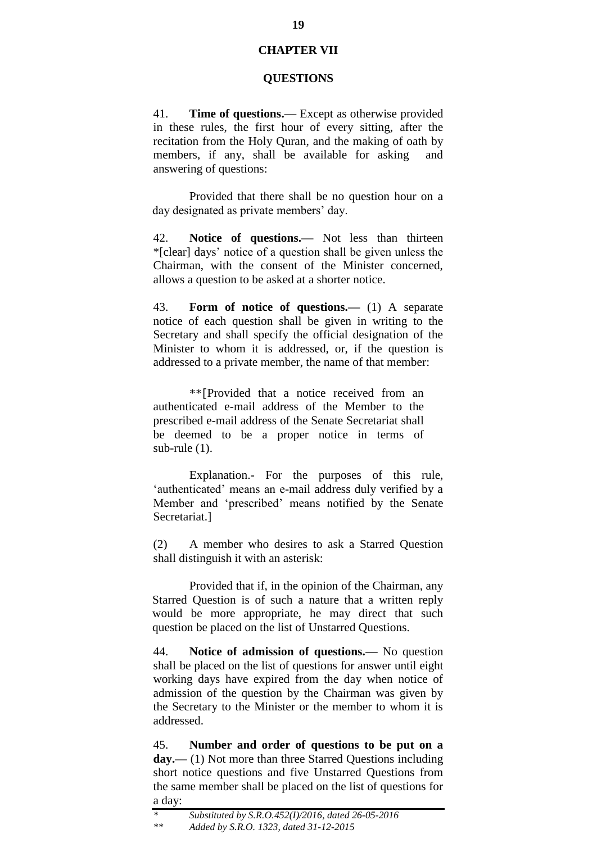#### **CHAPTER VII**

#### **QUESTIONS**

41. **Time of questions.—** Except as otherwise provided in these rules, the first hour of every sitting, after the recitation from the Holy Quran, and the making of oath by members, if any, shall be available for asking and answering of questions:

Provided that there shall be no question hour on a day designated as private members' day.

42. **Notice of questions.—** Not less than thirteen \*[clear] days" notice of a question shall be given unless the Chairman, with the consent of the Minister concerned, allows a question to be asked at a shorter notice.

43. **Form of notice of questions.—** (1) A separate notice of each question shall be given in writing to the Secretary and shall specify the official designation of the Minister to whom it is addressed, or, if the question is addressed to a private member, the name of that member:

\*\*[Provided that a notice received from an authenticated e-mail address of the Member to the prescribed e-mail address of the Senate Secretariat shall be deemed to be a proper notice in terms of sub-rule (1).

Explanation.- For the purposes of this rule, 'authenticated' means an e-mail address duly verified by a Member and "prescribed" means notified by the Senate Secretariat.]

(2) A member who desires to ask a Starred Question shall distinguish it with an asterisk:

Provided that if, in the opinion of the Chairman, any Starred Question is of such a nature that a written reply would be more appropriate, he may direct that such question be placed on the list of Unstarred Questions.

44. **Notice of admission of questions.—** No question shall be placed on the list of questions for answer until eight working days have expired from the day when notice of admission of the question by the Chairman was given by the Secretary to the Minister or the member to whom it is addressed.

45. **Number and order of questions to be put on a**  day.— (1) Not more than three Starred Questions including short notice questions and five Unstarred Questions from the same member shall be placed on the list of questions for a day:

*<sup>\*</sup> Substituted by S.R.O.452(I)/2016, dated 26-05-2016 \*\* Added by S.R.O. 1323, dated 31-12-2015*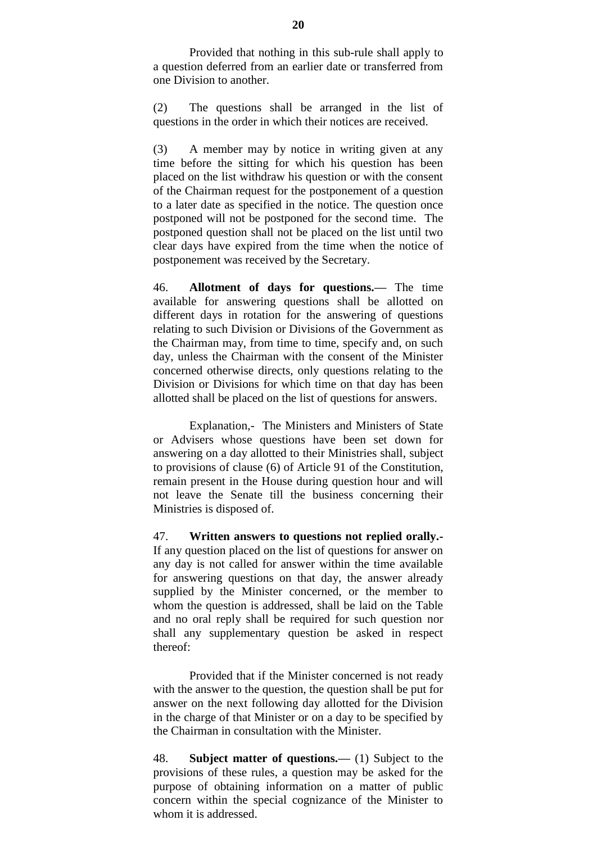Provided that nothing in this sub-rule shall apply to a question deferred from an earlier date or transferred from one Division to another.

(2) The questions shall be arranged in the list of questions in the order in which their notices are received.

(3) A member may by notice in writing given at any time before the sitting for which his question has been placed on the list withdraw his question or with the consent of the Chairman request for the postponement of a question to a later date as specified in the notice. The question once postponed will not be postponed for the second time. The postponed question shall not be placed on the list until two clear days have expired from the time when the notice of postponement was received by the Secretary.

46. **Allotment of days for questions.—** The time available for answering questions shall be allotted on different days in rotation for the answering of questions relating to such Division or Divisions of the Government as the Chairman may, from time to time, specify and, on such day, unless the Chairman with the consent of the Minister concerned otherwise directs, only questions relating to the Division or Divisions for which time on that day has been allotted shall be placed on the list of questions for answers.

Explanation,- The Ministers and Ministers of State or Advisers whose questions have been set down for answering on a day allotted to their Ministries shall, subject to provisions of clause (6) of Article 91 of the Constitution, remain present in the House during question hour and will not leave the Senate till the business concerning their Ministries is disposed of.

47. **Written answers to questions not replied orally.-** If any question placed on the list of questions for answer on any day is not called for answer within the time available for answering questions on that day, the answer already supplied by the Minister concerned, or the member to whom the question is addressed, shall be laid on the Table and no oral reply shall be required for such question nor shall any supplementary question be asked in respect thereof:

Provided that if the Minister concerned is not ready with the answer to the question, the question shall be put for answer on the next following day allotted for the Division in the charge of that Minister or on a day to be specified by the Chairman in consultation with the Minister.

48. **Subject matter of questions.—** (1) Subject to the provisions of these rules, a question may be asked for the purpose of obtaining information on a matter of public concern within the special cognizance of the Minister to whom it is addressed.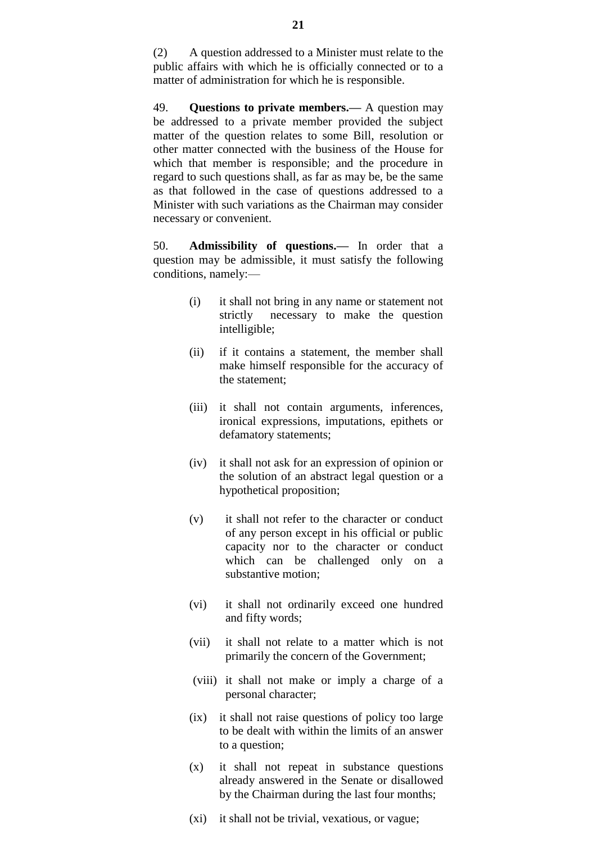(2) A question addressed to a Minister must relate to the public affairs with which he is officially connected or to a matter of administration for which he is responsible.

49. **Questions to private members.—** A question may be addressed to a private member provided the subject matter of the question relates to some Bill, resolution or other matter connected with the business of the House for which that member is responsible; and the procedure in regard to such questions shall, as far as may be, be the same as that followed in the case of questions addressed to a Minister with such variations as the Chairman may consider necessary or convenient.

50. **Admissibility of questions.—** In order that a question may be admissible, it must satisfy the following conditions, namely:—

- (i) it shall not bring in any name or statement not strictly necessary to make the question intelligible;
- (ii) if it contains a statement, the member shall make himself responsible for the accuracy of the statement;
- (iii) it shall not contain arguments, inferences, ironical expressions, imputations, epithets or defamatory statements;
- (iv) it shall not ask for an expression of opinion or the solution of an abstract legal question or a hypothetical proposition;
- (v) it shall not refer to the character or conduct of any person except in his official or public capacity nor to the character or conduct which can be challenged only on a substantive motion;
- (vi) it shall not ordinarily exceed one hundred and fifty words;
- (vii) it shall not relate to a matter which is not primarily the concern of the Government;
- (viii) it shall not make or imply a charge of a personal character;
- (ix) it shall not raise questions of policy too large to be dealt with within the limits of an answer to a question;
- (x) it shall not repeat in substance questions already answered in the Senate or disallowed by the Chairman during the last four months;
- (xi) it shall not be trivial, vexatious, or vague;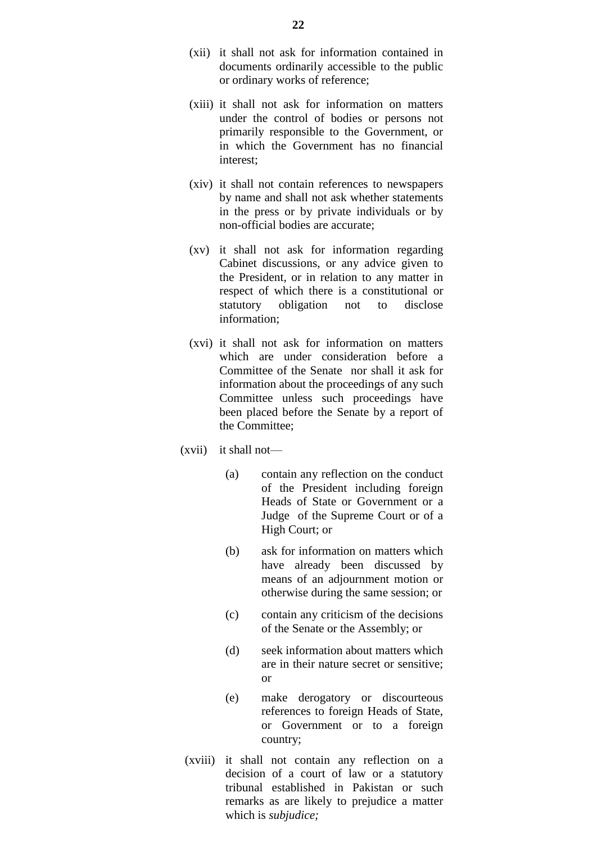- (xii) it shall not ask for information contained in documents ordinarily accessible to the public or ordinary works of reference;
- (xiii) it shall not ask for information on matters under the control of bodies or persons not primarily responsible to the Government, or in which the Government has no financial interest;
- (xiv) it shall not contain references to newspapers by name and shall not ask whether statements in the press or by private individuals or by non-official bodies are accurate;
- (xv) it shall not ask for information regarding Cabinet discussions, or any advice given to the President, or in relation to any matter in respect of which there is a constitutional or statutory obligation not to disclose information;
- (xvi) it shall not ask for information on matters which are under consideration before a Committee of the Senate nor shall it ask for information about the proceedings of any such Committee unless such proceedings have been placed before the Senate by a report of the Committee;
- (xvii) it shall not—
	- (a) contain any reflection on the conduct of the President including foreign Heads of State or Government or a Judge of the Supreme Court or of a High Court; or
	- (b) ask for information on matters which have already been discussed by means of an adjournment motion or otherwise during the same session; or
	- (c) contain any criticism of the decisions of the Senate or the Assembly; or
	- (d) seek information about matters which are in their nature secret or sensitive; or
	- (e) make derogatory or discourteous references to foreign Heads of State, or Government or to a foreign country;
- (xviii) it shall not contain any reflection on a decision of a court of law or a statutory tribunal established in Pakistan or such remarks as are likely to prejudice a matter which is *subjudice;*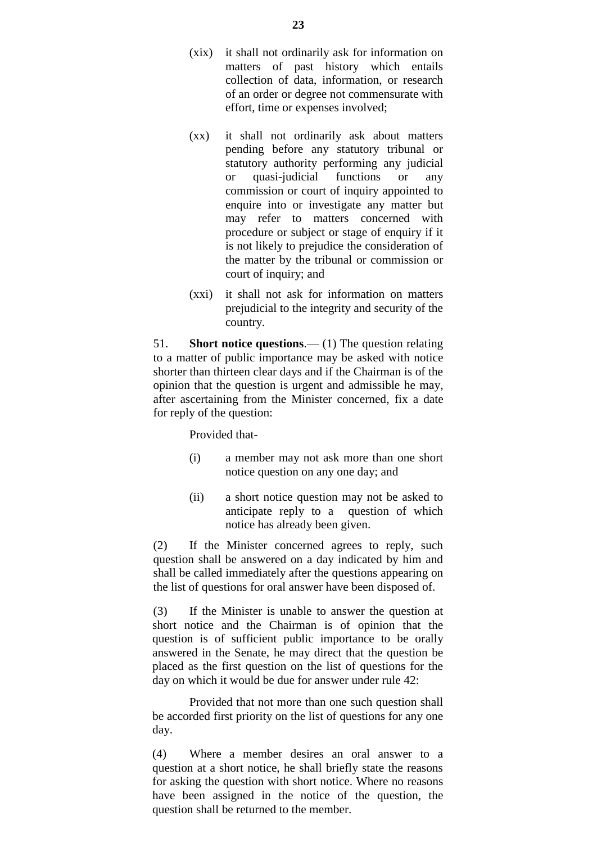- (xix) it shall not ordinarily ask for information on matters of past history which entails collection of data, information, or research of an order or degree not commensurate with effort, time or expenses involved;
- (xx) it shall not ordinarily ask about matters pending before any statutory tribunal or statutory authority performing any judicial or quasi-judicial functions or any commission or court of inquiry appointed to enquire into or investigate any matter but may refer to matters concerned with procedure or subject or stage of enquiry if it is not likely to prejudice the consideration of the matter by the tribunal or commission or court of inquiry; and
- (xxi) it shall not ask for information on matters prejudicial to the integrity and security of the country.

51. **Short notice questions**.— (1) The question relating to a matter of public importance may be asked with notice shorter than thirteen clear days and if the Chairman is of the opinion that the question is urgent and admissible he may, after ascertaining from the Minister concerned, fix a date for reply of the question:

Provided that-

- (i) a member may not ask more than one short notice question on any one day; and
- (ii) a short notice question may not be asked to anticipate reply to a question of which notice has already been given.

(2) If the Minister concerned agrees to reply, such question shall be answered on a day indicated by him and shall be called immediately after the questions appearing on the list of questions for oral answer have been disposed of.

(3) If the Minister is unable to answer the question at short notice and the Chairman is of opinion that the question is of sufficient public importance to be orally answered in the Senate, he may direct that the question be placed as the first question on the list of questions for the day on which it would be due for answer under rule 42:

Provided that not more than one such question shall be accorded first priority on the list of questions for any one day.

(4) Where a member desires an oral answer to a question at a short notice, he shall briefly state the reasons for asking the question with short notice. Where no reasons have been assigned in the notice of the question, the question shall be returned to the member.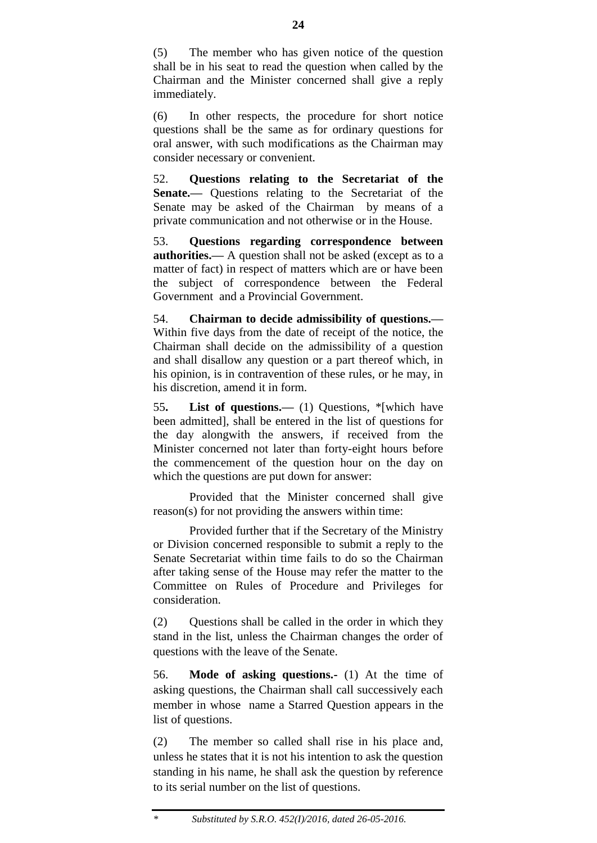(5) The member who has given notice of the question shall be in his seat to read the question when called by the Chairman and the Minister concerned shall give a reply immediately.

(6) In other respects, the procedure for short notice questions shall be the same as for ordinary questions for oral answer, with such modifications as the Chairman may consider necessary or convenient.

52. **Questions relating to the Secretariat of the Senate.**— Ouestions relating to the Secretariat of the Senate may be asked of the Chairman by means of a private communication and not otherwise or in the House.

53. **Questions regarding correspondence between authorities.—** A question shall not be asked (except as to a matter of fact) in respect of matters which are or have been the subject of correspondence between the Federal Government and a Provincial Government.

54. **Chairman to decide admissibility of questions.—** Within five days from the date of receipt of the notice, the Chairman shall decide on the admissibility of a question and shall disallow any question or a part thereof which, in his opinion, is in contravention of these rules, or he may, in his discretion, amend it in form.

55**. List of questions.—** (1) Questions, \*[which have been admitted], shall be entered in the list of questions for the day alongwith the answers, if received from the Minister concerned not later than forty-eight hours before the commencement of the question hour on the day on which the questions are put down for answer:

Provided that the Minister concerned shall give reason(s) for not providing the answers within time:

Provided further that if the Secretary of the Ministry or Division concerned responsible to submit a reply to the Senate Secretariat within time fails to do so the Chairman after taking sense of the House may refer the matter to the Committee on Rules of Procedure and Privileges for consideration.

(2) Questions shall be called in the order in which they stand in the list, unless the Chairman changes the order of questions with the leave of the Senate.

56. **Mode of asking questions.-** (1) At the time of asking questions, the Chairman shall call successively each member in whose name a Starred Question appears in the list of questions.

(2) The member so called shall rise in his place and, unless he states that it is not his intention to ask the question standing in his name, he shall ask the question by reference to its serial number on the list of questions.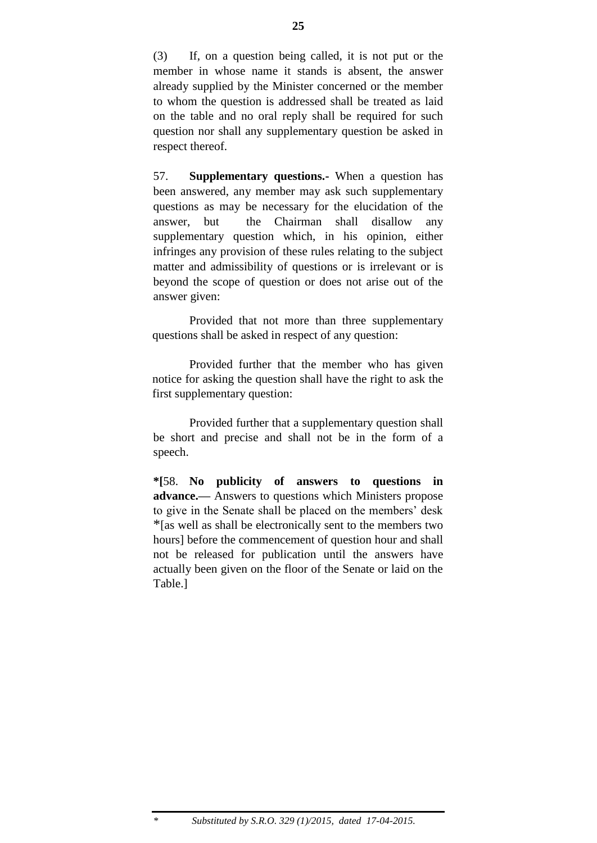(3) If, on a question being called, it is not put or the member in whose name it stands is absent, the answer already supplied by the Minister concerned or the member to whom the question is addressed shall be treated as laid on the table and no oral reply shall be required for such question nor shall any supplementary question be asked in respect thereof.

57. **Supplementary questions.-** When a question has been answered, any member may ask such supplementary questions as may be necessary for the elucidation of the answer, but the Chairman shall disallow any supplementary question which, in his opinion, either infringes any provision of these rules relating to the subject matter and admissibility of questions or is irrelevant or is beyond the scope of question or does not arise out of the answer given:

Provided that not more than three supplementary questions shall be asked in respect of any question:

Provided further that the member who has given notice for asking the question shall have the right to ask the first supplementary question:

Provided further that a supplementary question shall be short and precise and shall not be in the form of a speech.

**\*[**58. **No publicity of answers to questions in advance.—** Answers to questions which Ministers propose to give in the Senate shall be placed on the members' desk \*[as well as shall be electronically sent to the members two hours] before the commencement of question hour and shall not be released for publication until the answers have actually been given on the floor of the Senate or laid on the Table.]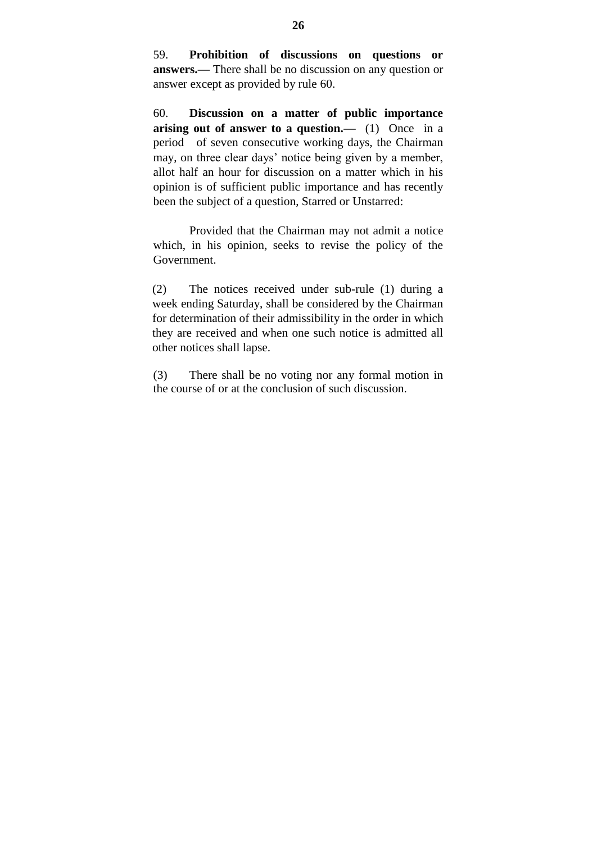59. **Prohibition of discussions on questions or answers.—** There shall be no discussion on any question or answer except as provided by rule 60.

60. **Discussion on a matter of public importance arising out of answer to a question.—** (1) Once in a period of seven consecutive working days, the Chairman may, on three clear days' notice being given by a member, allot half an hour for discussion on a matter which in his opinion is of sufficient public importance and has recently been the subject of a question, Starred or Unstarred:

Provided that the Chairman may not admit a notice which, in his opinion, seeks to revise the policy of the Government.

(2) The notices received under sub-rule (1) during a week ending Saturday, shall be considered by the Chairman for determination of their admissibility in the order in which they are received and when one such notice is admitted all other notices shall lapse.

(3) There shall be no voting nor any formal motion in the course of or at the conclusion of such discussion.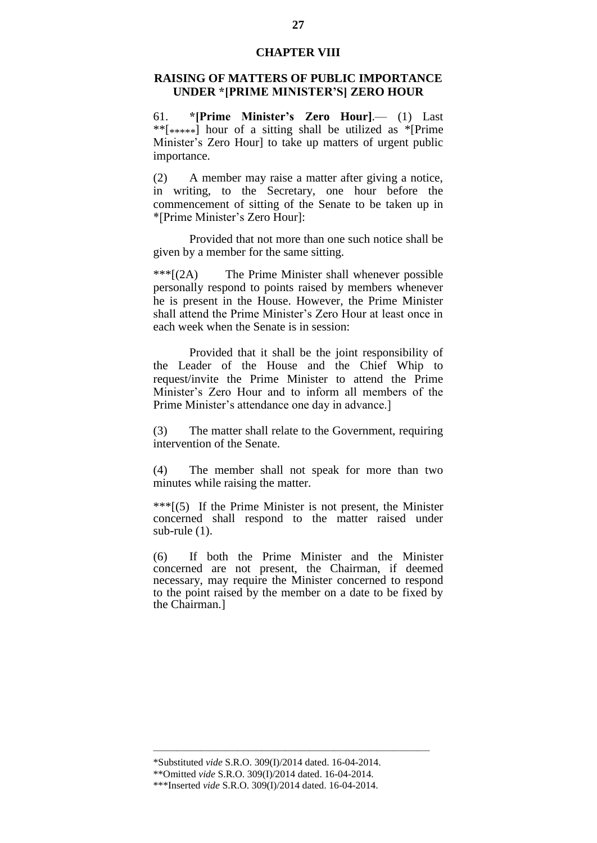#### **CHAPTER VIII**

#### **RAISING OF MATTERS OF PUBLIC IMPORTANCE UNDER \*[PRIME MINISTER'S] ZERO HOUR**

61. **\*[Prime Minister's Zero Hour]**.— (1) Last \*\* $[****]$  hour of a sitting shall be utilized as \*[Prime Minister's Zero Hourl to take up matters of urgent public importance.

(2) A member may raise a matter after giving a notice, in writing, to the Secretary, one hour before the commencement of sitting of the Senate to be taken up in \*[Prime Minister"s Zero Hour]:

Provided that not more than one such notice shall be given by a member for the same sitting.

\*\*\*[(2A) The Prime Minister shall whenever possible personally respond to points raised by members whenever he is present in the House. However, the Prime Minister shall attend the Prime Minister's Zero Hour at least once in each week when the Senate is in session:

Provided that it shall be the joint responsibility of the Leader of the House and the Chief Whip to request/invite the Prime Minister to attend the Prime Minister"s Zero Hour and to inform all members of the Prime Minister's attendance one day in advance.

(3) The matter shall relate to the Government, requiring intervention of the Senate.

(4) The member shall not speak for more than two minutes while raising the matter.

\*\*\*[(5) If the Prime Minister is not present, the Minister concerned shall respond to the matter raised under sub-rule (1).

(6) If both the Prime Minister and the Minister concerned are not present, the Chairman, if deemed necessary, may require the Minister concerned to respond to the point raised by the member on a date to be fixed by the Chairman.]

———————————————————————

<sup>\*</sup>Substituted *vide* S.R.O. 309(I)/2014 dated. 16-04-2014.

<sup>\*\*</sup>Omitted *vide* S.R.O. 309(I)/2014 dated. 16-04-2014.

<sup>\*\*\*</sup>Inserted *vide* S.R.O. 309(I)/2014 dated. 16-04-2014.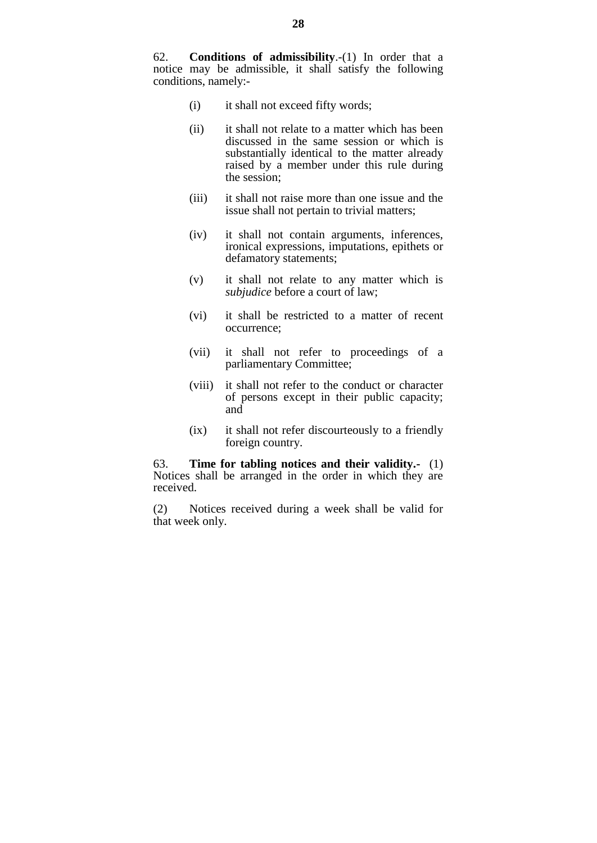- (i) it shall not exceed fifty words;
- (ii) it shall not relate to a matter which has been discussed in the same session or which is substantially identical to the matter already raised by a member under this rule during the session;
- (iii) it shall not raise more than one issue and the issue shall not pertain to trivial matters;
- (iv) it shall not contain arguments, inferences, ironical expressions, imputations, epithets or defamatory statements;
- (v) it shall not relate to any matter which is *subjudice* before a court of law;
- (vi) it shall be restricted to a matter of recent occurrence;
- (vii) it shall not refer to proceedings of a parliamentary Committee;
- (viii) it shall not refer to the conduct or character of persons except in their public capacity; and
- (ix) it shall not refer discourteously to a friendly foreign country.

63. **Time for tabling notices and their validity.-** (1) Notices shall be arranged in the order in which they are received.

(2) Notices received during a week shall be valid for that week only.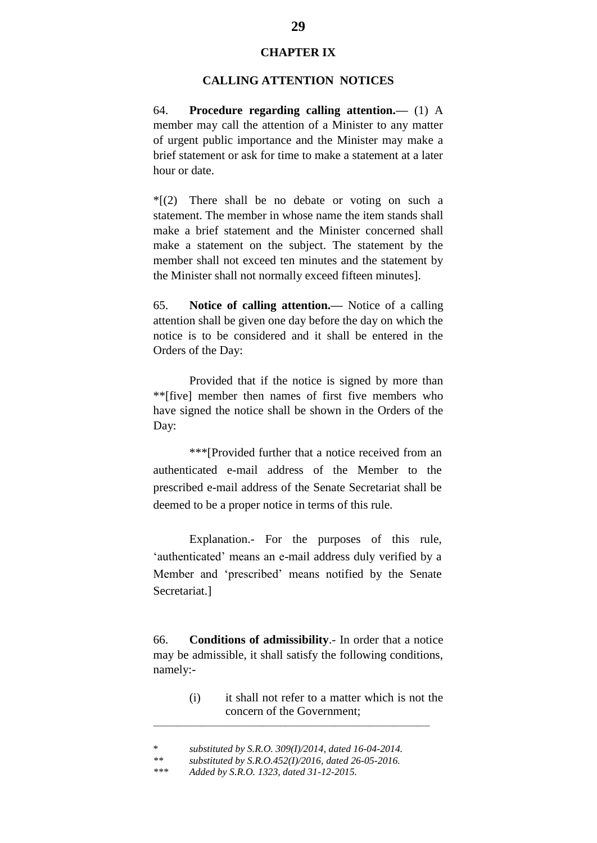#### **CHAPTER IX**

#### **CALLING ATTENTION NOTICES**

64. **Procedure regarding calling attention.—** (1) A member may call the attention of a Minister to any matter of urgent public importance and the Minister may make a brief statement or ask for time to make a statement at a later hour or date.

 $*(2)$  There shall be no debate or voting on such a statement. The member in whose name the item stands shall make a brief statement and the Minister concerned shall make a statement on the subject. The statement by the member shall not exceed ten minutes and the statement by the Minister shall not normally exceed fifteen minutes].

65. **Notice of calling attention.—** Notice of a calling attention shall be given one day before the day on which the notice is to be considered and it shall be entered in the Orders of the Day:

Provided that if the notice is signed by more than \*\*[five] member then names of first five members who have signed the notice shall be shown in the Orders of the Day:

\*\*\*[Provided further that a notice received from an authenticated e-mail address of the Member to the prescribed e-mail address of the Senate Secretariat shall be deemed to be a proper notice in terms of this rule.

Explanation.- For the purposes of this rule, 'authenticated' means an e-mail address duly verified by a Member and "prescribed" means notified by the Senate Secretariat.]

66. **Conditions of admissibility**.- In order that a notice may be admissible, it shall satisfy the following conditions, namely:-

> (i) it shall not refer to a matter which is not the concern of the Government;

 $\frac{1}{\sqrt{2}}$  , and the contract of the contract of the contract of the contract of the contract of the contract of the contract of the contract of the contract of the contract of the contract of the contract of the contra

<sup>\*</sup> *substituted by S.R.O. 309(I)/2014, dated 16-04-2014.*

*<sup>\*\*</sup> substituted by S.R.O.452(I)/2016, dated 26-05-2016.*

*<sup>\*\*\*</sup> Added by S.R.O. 1323, dated 31-12-2015.*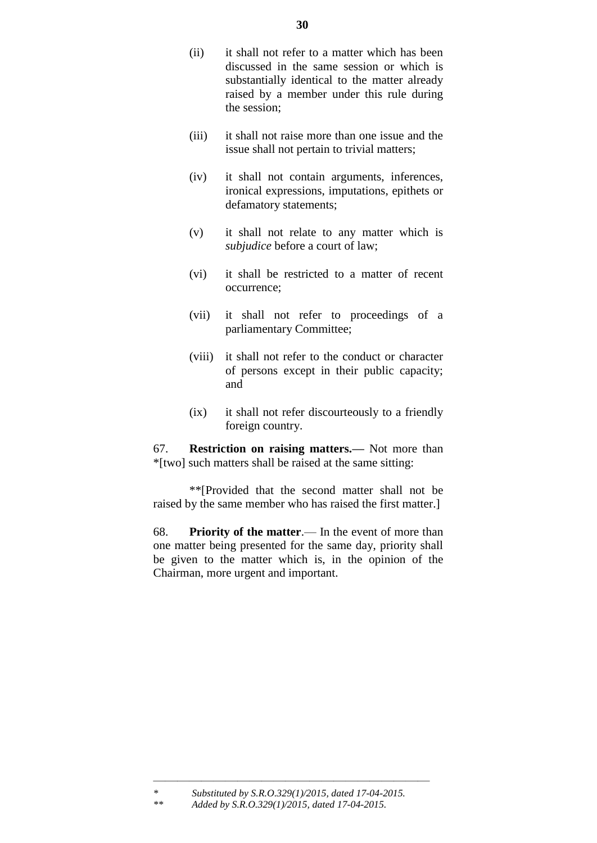- (ii) it shall not refer to a matter which has been discussed in the same session or which is substantially identical to the matter already raised by a member under this rule during the session;
- (iii) it shall not raise more than one issue and the issue shall not pertain to trivial matters;
- (iv) it shall not contain arguments, inferences, ironical expressions, imputations, epithets or defamatory statements;
- (v) it shall not relate to any matter which is *subjudice* before a court of law;
- (vi) it shall be restricted to a matter of recent occurrence;
- (vii) it shall not refer to proceedings of a parliamentary Committee;
- (viii) it shall not refer to the conduct or character of persons except in their public capacity; and
- (ix) it shall not refer discourteously to a friendly foreign country.

67. **Restriction on raising matters.—** Not more than \*[two] such matters shall be raised at the same sitting:

\*\*[Provided that the second matter shall not be raised by the same member who has raised the first matter.]

68. **Priority of the matter**.— In the event of more than one matter being presented for the same day, priority shall be given to the matter which is, in the opinion of the Chairman, more urgent and important.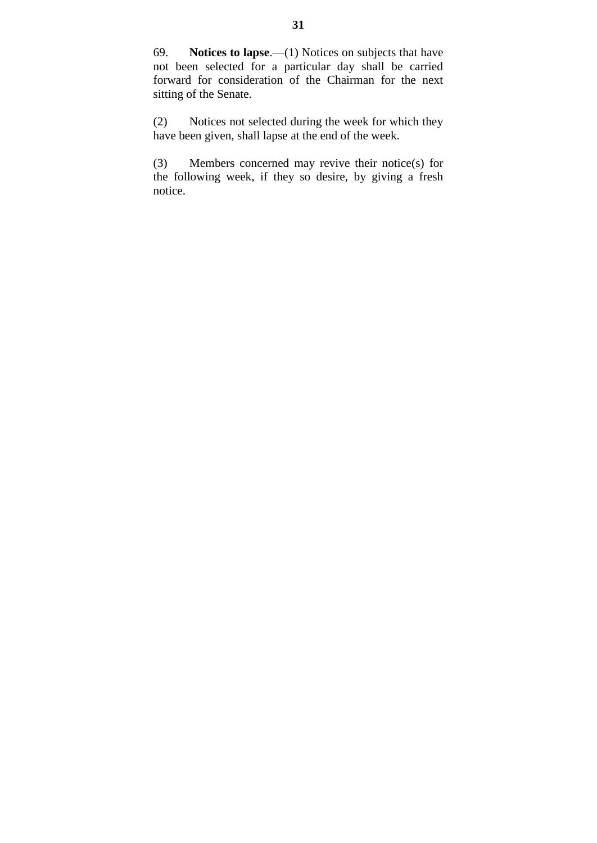69. **Notices to lapse**.—(1) Notices on subjects that have not been selected for a particular day shall be carried forward for consideration of the Chairman for the next sitting of the Senate.

(2) Notices not selected during the week for which they have been given, shall lapse at the end of the week.

(3) Members concerned may revive their notice(s) for the following week, if they so desire, by giving a fresh notice.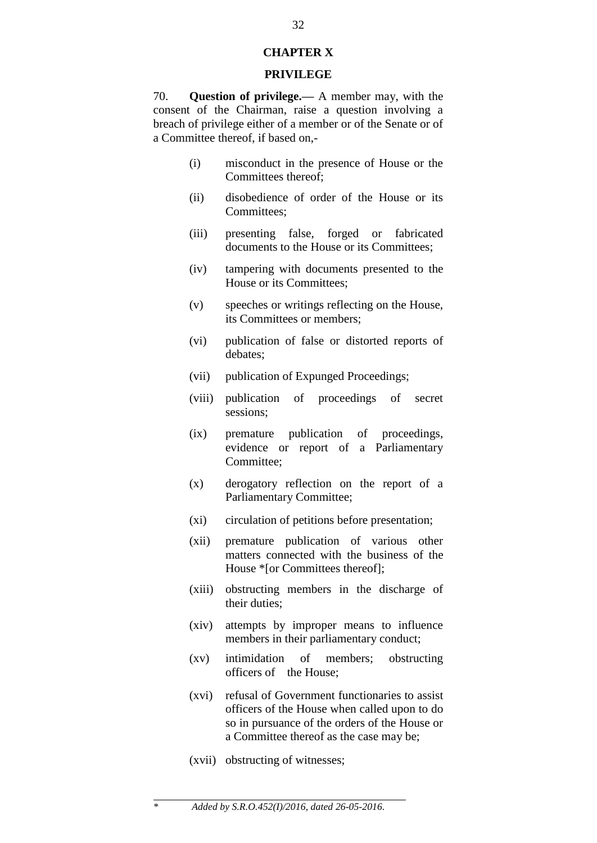#### **CHAPTER X**

#### **PRIVILEGE**

70. **Question of privilege.—** A member may, with the consent of the Chairman, raise a question involving a breach of privilege either of a member or of the Senate or of a Committee thereof, if based on,-

- (i) misconduct in the presence of House or the Committees thereof;
- (ii) disobedience of order of the House or its Committees:
- (iii) presenting false, forged or fabricated documents to the House or its Committees;
- (iv) tampering with documents presented to the House or its Committees;
- (v) speeches or writings reflecting on the House, its Committees or members;
- (vi) publication of false or distorted reports of debates;
- (vii) publication of Expunged Proceedings;
- (viii) publication of proceedings of secret sessions;
- (ix) premature publication of proceedings, evidence or report of a Parliamentary Committee;
- (x) derogatory reflection on the report of a Parliamentary Committee;
- (xi) circulation of petitions before presentation;
- (xii) premature publication of various other matters connected with the business of the House \*[or Committees thereof];
- (xiii) obstructing members in the discharge of their duties;
- (xiv) attempts by improper means to influence members in their parliamentary conduct;
- (xv) intimidation of members; obstructing officers of the House;
- (xvi) refusal of Government functionaries to assist officers of the House when called upon to do so in pursuance of the orders of the House or a Committee thereof as the case may be;
- (xvii) obstructing of witnesses;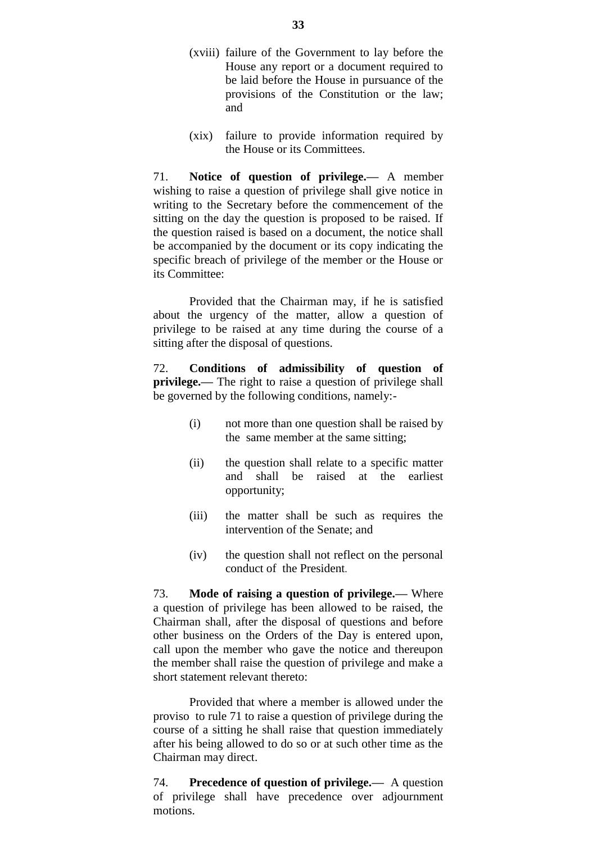- (xviii) failure of the Government to lay before the House any report or a document required to be laid before the House in pursuance of the provisions of the Constitution or the law; and
- (xix) failure to provide information required by the House or its Committees.

71. **Notice of question of privilege.—** A member wishing to raise a question of privilege shall give notice in writing to the Secretary before the commencement of the sitting on the day the question is proposed to be raised. If the question raised is based on a document, the notice shall be accompanied by the document or its copy indicating the specific breach of privilege of the member or the House or its Committee:

Provided that the Chairman may, if he is satisfied about the urgency of the matter, allow a question of privilege to be raised at any time during the course of a sitting after the disposal of questions.

72. **Conditions of admissibility of question of privilege.—** The right to raise a question of privilege shall be governed by the following conditions, namely:-

- (i) not more than one question shall be raised by the same member at the same sitting;
- (ii) the question shall relate to a specific matter and shall be raised at the earliest opportunity;
- (iii) the matter shall be such as requires the intervention of the Senate; and
- (iv) the question shall not reflect on the personal conduct of the President.

73. **Mode of raising a question of privilege.—** Where a question of privilege has been allowed to be raised, the Chairman shall, after the disposal of questions and before other business on the Orders of the Day is entered upon, call upon the member who gave the notice and thereupon the member shall raise the question of privilege and make a short statement relevant thereto:

Provided that where a member is allowed under the proviso to rule 71 to raise a question of privilege during the course of a sitting he shall raise that question immediately after his being allowed to do so or at such other time as the Chairman may direct.

74. **Precedence of question of privilege.—** A question of privilege shall have precedence over adjournment motions.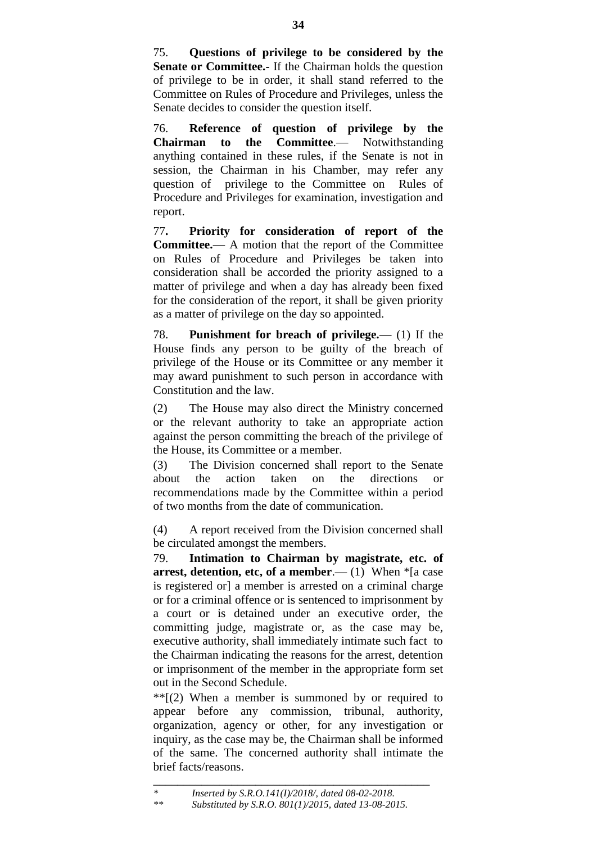75. **Questions of privilege to be considered by the Senate or Committee.-** If the Chairman holds the question of privilege to be in order, it shall stand referred to the Committee on Rules of Procedure and Privileges, unless the Senate decides to consider the question itself.

76. **Reference of question of privilege by the Chairman to the Committee**.— Notwithstanding anything contained in these rules, if the Senate is not in session, the Chairman in his Chamber, may refer any question of privilege to the Committee on Rules of Procedure and Privileges for examination, investigation and report.

77**. Priority for consideration of report of the Committee.—** A motion that the report of the Committee on Rules of Procedure and Privileges be taken into consideration shall be accorded the priority assigned to a matter of privilege and when a day has already been fixed for the consideration of the report, it shall be given priority as a matter of privilege on the day so appointed.

78. **Punishment for breach of privilege.—** (1) If the House finds any person to be guilty of the breach of privilege of the House or its Committee or any member it may award punishment to such person in accordance with Constitution and the law.

(2) The House may also direct the Ministry concerned or the relevant authority to take an appropriate action against the person committing the breach of the privilege of the House, its Committee or a member.

(3) The Division concerned shall report to the Senate about the action taken on the directions or recommendations made by the Committee within a period of two months from the date of communication.

(4) A report received from the Division concerned shall be circulated amongst the members.

79. **Intimation to Chairman by magistrate, etc. of arrest, detention, etc, of a member.— (1) When**  $*$ **[a case** is registered or] a member is arrested on a criminal charge or for a criminal offence or is sentenced to imprisonment by a court or is detained under an executive order, the committing judge, magistrate or, as the case may be, executive authority, shall immediately intimate such fact to the Chairman indicating the reasons for the arrest, detention or imprisonment of the member in the appropriate form set out in the Second Schedule.

 $**$ [(2) When a member is summoned by or required to appear before any commission, tribunal, authority, organization, agency or other, for any investigation or inquiry, as the case may be, the Chairman shall be informed of the same. The concerned authority shall intimate the brief facts/reasons.

\_\_\_\_\_\_\_\_\_\_\_\_\_\_\_\_\_\_\_\_\_\_\_\_\_\_\_\_\_\_\_\_\_\_\_\_\_\_\_\_\_\_\_\_\_\_

*<sup>\*</sup> Inserted by S.R.O.141(I)/2018/, dated 08-02-2018.*

*<sup>\*\*</sup> Substituted by S.R.O. 801(1)/2015, dated 13-08-2015.*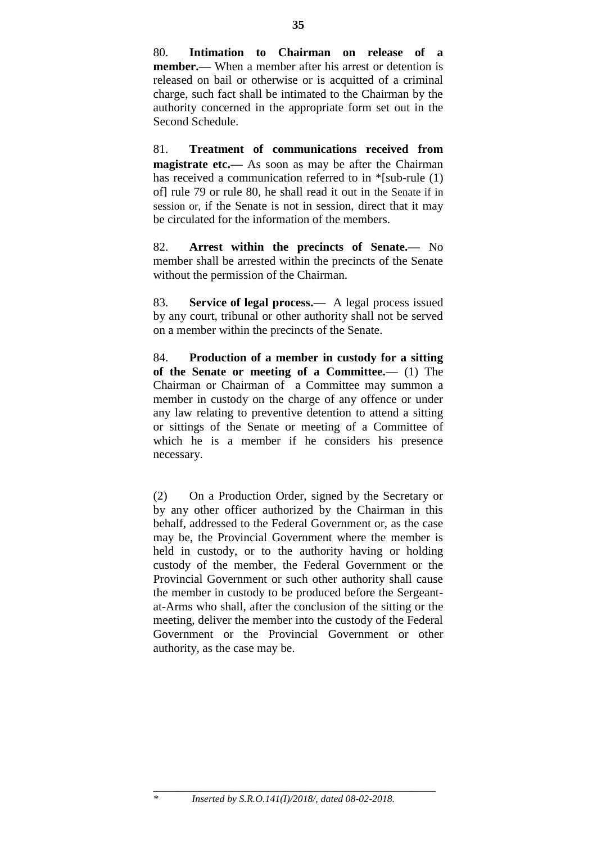80. **Intimation to Chairman on release of a member.—** When a member after his arrest or detention is released on bail or otherwise or is acquitted of a criminal charge, such fact shall be intimated to the Chairman by the authority concerned in the appropriate form set out in the Second Schedule.

81. **Treatment of communications received from magistrate etc.—** As soon as may be after the Chairman has received a communication referred to in \*[sub-rule (1) of] rule 79 or rule 80, he shall read it out in the Senate if in session or, if the Senate is not in session, direct that it may be circulated for the information of the members.

82. **Arrest within the precincts of Senate.—** No member shall be arrested within the precincts of the Senate without the permission of the Chairman.

83. **Service of legal process.—** A legal process issued by any court, tribunal or other authority shall not be served on a member within the precincts of the Senate.

84. **Production of a member in custody for a sitting of the Senate or meeting of a Committee.—** (1) The Chairman or Chairman of a Committee may summon a member in custody on the charge of any offence or under any law relating to preventive detention to attend a sitting or sittings of the Senate or meeting of a Committee of which he is a member if he considers his presence necessary.

(2) On a Production Order, signed by the Secretary or by any other officer authorized by the Chairman in this behalf, addressed to the Federal Government or, as the case may be, the Provincial Government where the member is held in custody, or to the authority having or holding custody of the member, the Federal Government or the Provincial Government or such other authority shall cause the member in custody to be produced before the Sergeantat-Arms who shall, after the conclusion of the sitting or the meeting, deliver the member into the custody of the Federal Government or the Provincial Government or other authority, as the case may be.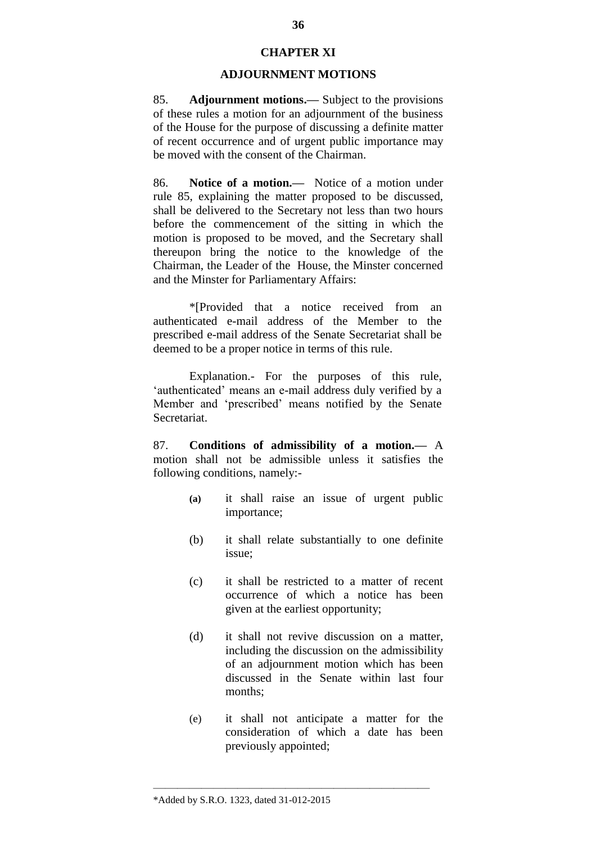## **CHAPTER XI**

#### **ADJOURNMENT MOTIONS**

85. **Adjournment motions.—** Subject to the provisions of these rules a motion for an adjournment of the business of the House for the purpose of discussing a definite matter of recent occurrence and of urgent public importance may be moved with the consent of the Chairman.

86. **Notice of a motion.—** Notice of a motion under rule 85, explaining the matter proposed to be discussed, shall be delivered to the Secretary not less than two hours before the commencement of the sitting in which the motion is proposed to be moved, and the Secretary shall thereupon bring the notice to the knowledge of the Chairman, the Leader of the House, the Minster concerned and the Minster for Parliamentary Affairs:

\*[Provided that a notice received from an authenticated e-mail address of the Member to the prescribed e-mail address of the Senate Secretariat shall be deemed to be a proper notice in terms of this rule.

Explanation.- For the purposes of this rule, 'authenticated' means an e-mail address duly verified by a Member and "prescribed" means notified by the Senate Secretariat.

87. **Conditions of admissibility of a motion.—** A motion shall not be admissible unless it satisfies the following conditions, namely:-

- **(a)** it shall raise an issue of urgent public importance;
- (b) it shall relate substantially to one definite issue;
- (c) it shall be restricted to a matter of recent occurrence of which a notice has been given at the earliest opportunity;
- (d) it shall not revive discussion on a matter, including the discussion on the admissibility of an adjournment motion which has been discussed in the Senate within last four months;
- (e) it shall not anticipate a matter for the consideration of which a date has been previously appointed;

 $\frac{1}{\sqrt{2}}$  , and the contract of the contract of the contract of the contract of the contract of the contract of the contract of the contract of the contract of the contract of the contract of the contract of the contra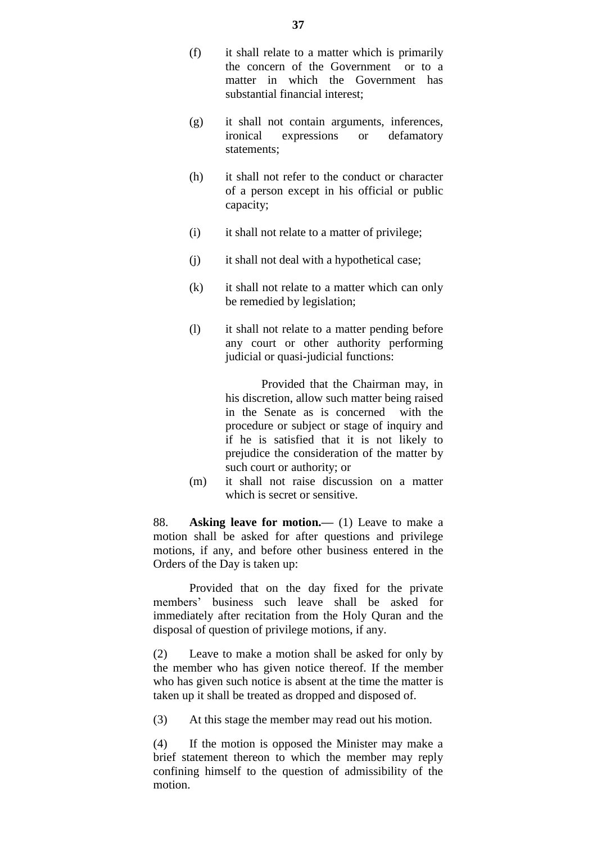- (f) it shall relate to a matter which is primarily the concern of the Government or to a matter in which the Government has substantial financial interest;
- (g) it shall not contain arguments, inferences, ironical expressions or defamatory statements;
- (h) it shall not refer to the conduct or character of a person except in his official or public capacity;
- (i) it shall not relate to a matter of privilege;
- (j) it shall not deal with a hypothetical case;
- (k) it shall not relate to a matter which can only be remedied by legislation;
- (l) it shall not relate to a matter pending before any court or other authority performing judicial or quasi-judicial functions:

Provided that the Chairman may, in his discretion, allow such matter being raised in the Senate as is concerned with the procedure or subject or stage of inquiry and if he is satisfied that it is not likely to prejudice the consideration of the matter by such court or authority; or

(m) it shall not raise discussion on a matter which is secret or sensitive.

88. **Asking leave for motion.—** (1) Leave to make a motion shall be asked for after questions and privilege motions, if any, and before other business entered in the Orders of the Day is taken up:

Provided that on the day fixed for the private members" business such leave shall be asked for immediately after recitation from the Holy Quran and the disposal of question of privilege motions, if any.

(2) Leave to make a motion shall be asked for only by the member who has given notice thereof. If the member who has given such notice is absent at the time the matter is taken up it shall be treated as dropped and disposed of.

(3) At this stage the member may read out his motion.

(4) If the motion is opposed the Minister may make a brief statement thereon to which the member may reply confining himself to the question of admissibility of the motion.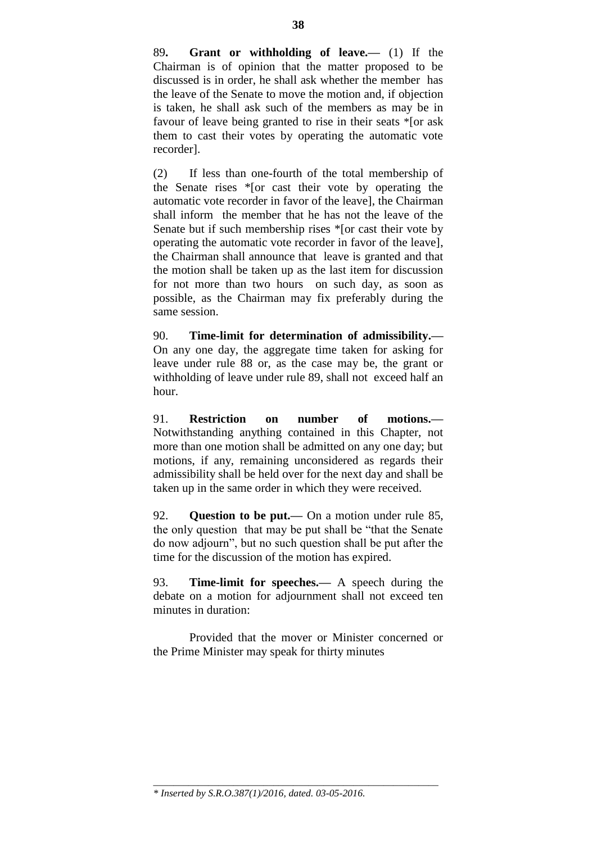89**. Grant or withholding of leave.—** (1) If the Chairman is of opinion that the matter proposed to be discussed is in order, he shall ask whether the member has the leave of the Senate to move the motion and, if objection is taken, he shall ask such of the members as may be in favour of leave being granted to rise in their seats \*[or ask them to cast their votes by operating the automatic vote recorder].

(2) If less than one-fourth of the total membership of the Senate rises \*[or cast their vote by operating the automatic vote recorder in favor of the leave], the Chairman shall inform the member that he has not the leave of the Senate but if such membership rises \*[or cast their vote by operating the automatic vote recorder in favor of the leave], the Chairman shall announce that leave is granted and that the motion shall be taken up as the last item for discussion for not more than two hours on such day, as soon as possible, as the Chairman may fix preferably during the same session.

90. **Time-limit for determination of admissibility.—** On any one day, the aggregate time taken for asking for leave under rule 88 or, as the case may be, the grant or withholding of leave under rule 89, shall not exceed half an hour.

91. **Restriction on number of motions.—** Notwithstanding anything contained in this Chapter, not more than one motion shall be admitted on any one day; but motions, if any, remaining unconsidered as regards their admissibility shall be held over for the next day and shall be taken up in the same order in which they were received.

92. **Question to be put.—** On a motion under rule 85, the only question that may be put shall be "that the Senate do now adjourn", but no such question shall be put after the time for the discussion of the motion has expired.

93. **Time-limit for speeches.—** A speech during the debate on a motion for adjournment shall not exceed ten minutes in duration:

Provided that the mover or Minister concerned or the Prime Minister may speak for thirty minutes

\_\_\_\_\_\_\_\_\_\_\_\_\_\_\_\_\_\_\_\_\_\_\_\_\_\_\_\_\_\_\_\_\_\_\_\_\_\_\_\_\_\_\_\_\_\_\_\_\_\_\_\_\_\_\_\_\_

*<sup>\*</sup> Inserted by S.R.O.387(1)/2016, dated. 03-05-2016.*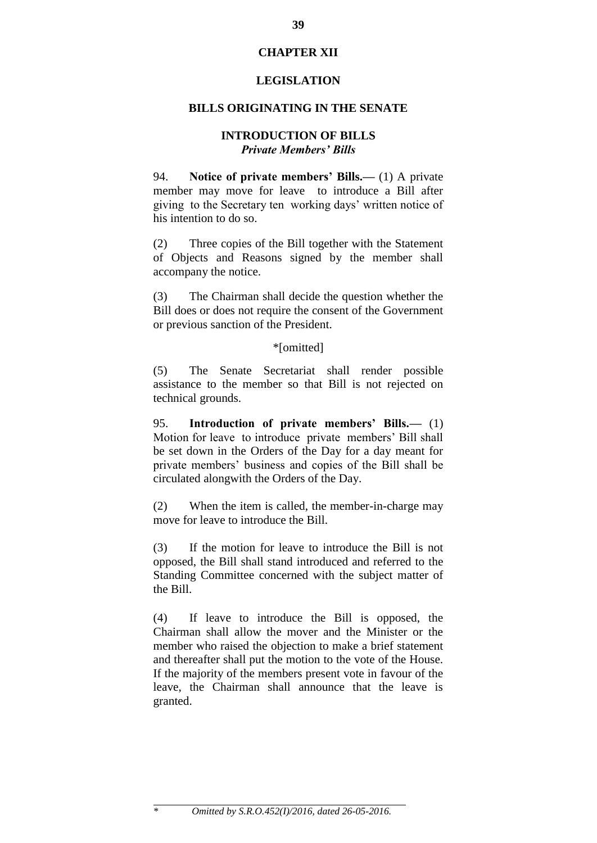## **CHAPTER XII**

#### **LEGISLATION**

#### **BILLS ORIGINATING IN THE SENATE**

#### **INTRODUCTION OF BILLS** *Private Members' Bills*

94. **Notice of private members' Bills.—** (1) A private member may move for leave to introduce a Bill after giving to the Secretary ten working days" written notice of his intention to do so.

(2) Three copies of the Bill together with the Statement of Objects and Reasons signed by the member shall accompany the notice.

(3) The Chairman shall decide the question whether the Bill does or does not require the consent of the Government or previous sanction of the President.

### \*[omitted]

(5) The Senate Secretariat shall render possible assistance to the member so that Bill is not rejected on technical grounds.

95. **Introduction of private members' Bills.—** (1) Motion for leave to introduce private members' Bill shall be set down in the Orders of the Day for a day meant for private members" business and copies of the Bill shall be circulated alongwith the Orders of the Day.

(2) When the item is called, the member-in-charge may move for leave to introduce the Bill.

(3) If the motion for leave to introduce the Bill is not opposed, the Bill shall stand introduced and referred to the Standing Committee concerned with the subject matter of the Bill.

(4) If leave to introduce the Bill is opposed, the Chairman shall allow the mover and the Minister or the member who raised the objection to make a brief statement and thereafter shall put the motion to the vote of the House. If the majority of the members present vote in favour of the leave, the Chairman shall announce that the leave is granted.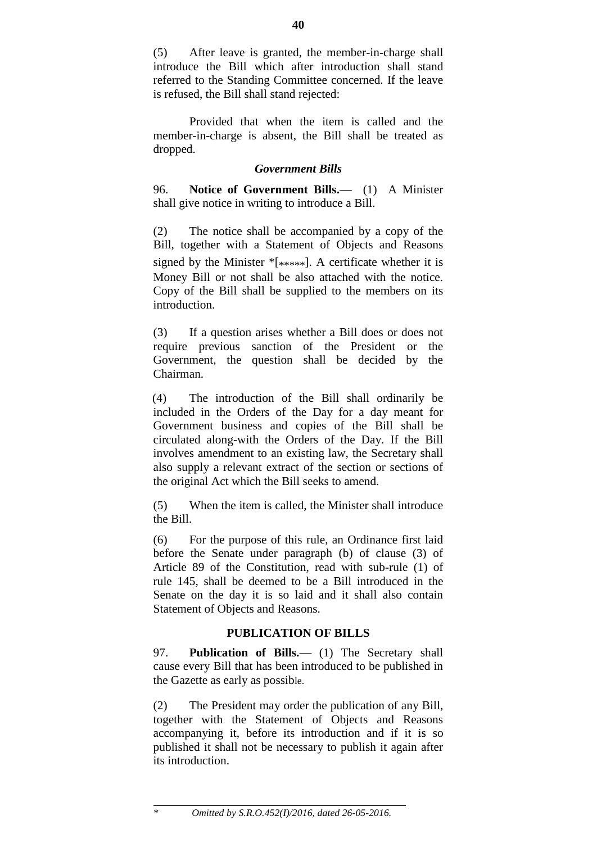(5) After leave is granted, the member-in-charge shall introduce the Bill which after introduction shall stand referred to the Standing Committee concerned. If the leave is refused, the Bill shall stand rejected:

Provided that when the item is called and the member-in-charge is absent, the Bill shall be treated as dropped.

## *Government Bills*

96. **Notice of Government Bills.—** (1) A Minister shall give notice in writing to introduce a Bill.

(2) The notice shall be accompanied by a copy of the Bill, together with a Statement of Objects and Reasons signed by the Minister  $*$ [ $***$ ]. A certificate whether it is Money Bill or not shall be also attached with the notice. Copy of the Bill shall be supplied to the members on its introduction.

(3) If a question arises whether a Bill does or does not require previous sanction of the President or the Government, the question shall be decided by the Chairman.

(4) The introduction of the Bill shall ordinarily be included in the Orders of the Day for a day meant for Government business and copies of the Bill shall be circulated along-with the Orders of the Day. If the Bill involves amendment to an existing law, the Secretary shall also supply a relevant extract of the section or sections of the original Act which the Bill seeks to amend.

(5) When the item is called, the Minister shall introduce the Bill.

(6) For the purpose of this rule, an Ordinance first laid before the Senate under paragraph (b) of clause (3) of Article 89 of the Constitution, read with sub-rule (1) of rule 145, shall be deemed to be a Bill introduced in the Senate on the day it is so laid and it shall also contain Statement of Objects and Reasons.

# **PUBLICATION OF BILLS**

97. **Publication of Bills.—** (1) The Secretary shall cause every Bill that has been introduced to be published in the Gazette as early as possible.

(2) The President may order the publication of any Bill, together with the Statement of Objects and Reasons accompanying it, before its introduction and if it is so published it shall not be necessary to publish it again after its introduction.

*\* Omitted by S.R.O.452(I)/2016, dated 26-05-2016.*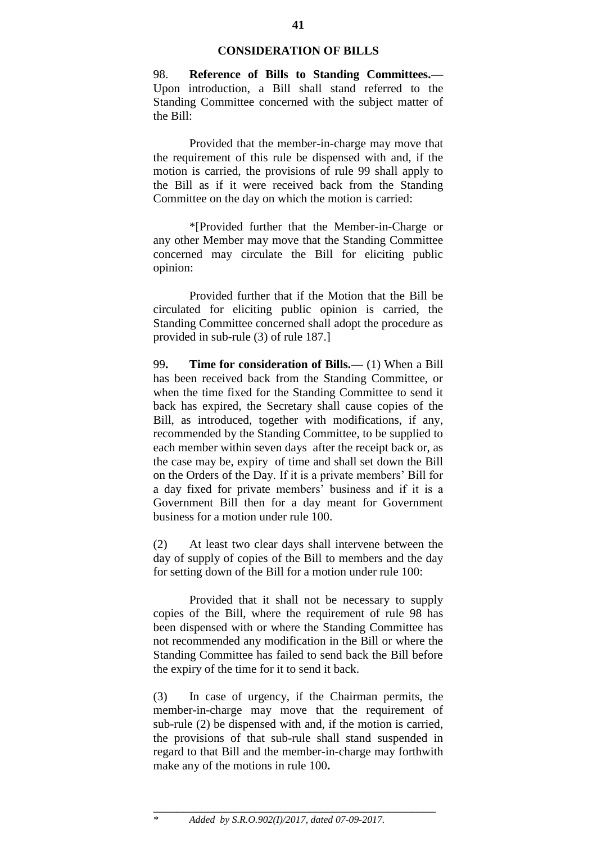## **CONSIDERATION OF BILLS**

98. **Reference of Bills to Standing Committees.—** Upon introduction, a Bill shall stand referred to the Standing Committee concerned with the subject matter of the Bill:

Provided that the member-in-charge may move that the requirement of this rule be dispensed with and, if the motion is carried, the provisions of rule 99 shall apply to the Bill as if it were received back from the Standing Committee on the day on which the motion is carried:

\*[Provided further that the Member-in-Charge or any other Member may move that the Standing Committee concerned may circulate the Bill for eliciting public opinion:

Provided further that if the Motion that the Bill be circulated for eliciting public opinion is carried, the Standing Committee concerned shall adopt the procedure as provided in sub-rule (3) of rule 187.]

99**. Time for consideration of Bills.—** (1) When a Bill has been received back from the Standing Committee, or when the time fixed for the Standing Committee to send it back has expired, the Secretary shall cause copies of the Bill, as introduced, together with modifications, if any, recommended by the Standing Committee, to be supplied to each member within seven days after the receipt back or, as the case may be, expiry of time and shall set down the Bill on the Orders of the Day. If it is a private members" Bill for a day fixed for private members" business and if it is a Government Bill then for a day meant for Government business for a motion under rule 100.

(2) At least two clear days shall intervene between the day of supply of copies of the Bill to members and the day for setting down of the Bill for a motion under rule 100:

Provided that it shall not be necessary to supply copies of the Bill, where the requirement of rule 98 has been dispensed with or where the Standing Committee has not recommended any modification in the Bill or where the Standing Committee has failed to send back the Bill before the expiry of the time for it to send it back.

(3) In case of urgency, if the Chairman permits, the member-in-charge may move that the requirement of sub-rule (2) be dispensed with and, if the motion is carried, the provisions of that sub-rule shall stand suspended in regard to that Bill and the member-in-charge may forthwith make any of the motions in rule 100**.**

\_\_\_\_\_\_\_\_\_\_\_\_\_\_\_\_\_\_\_\_\_\_\_\_\_\_\_\_\_\_\_\_\_\_\_\_\_\_\_\_\_\_\_\_\_\_\_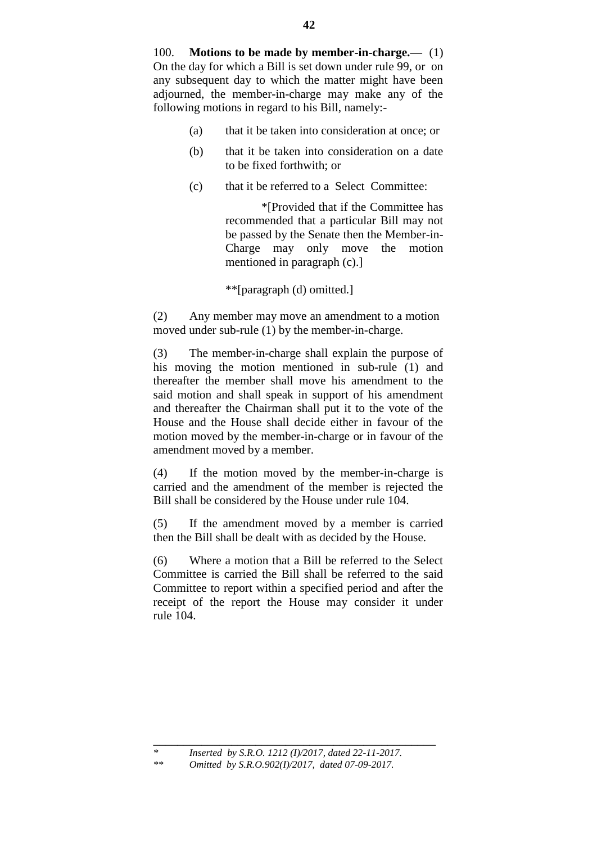- (a) that it be taken into consideration at once; or
- (b) that it be taken into consideration on a date to be fixed forthwith; or
- (c) that it be referred to a Select Committee:

\*[Provided that if the Committee has recommended that a particular Bill may not be passed by the Senate then the Member-in-Charge may only move the motion mentioned in paragraph (c).]

\*\*[paragraph (d) omitted.]

(2) Any member may move an amendment to a motion moved under sub-rule (1) by the member-in-charge.

(3) The member-in-charge shall explain the purpose of his moving the motion mentioned in sub-rule (1) and thereafter the member shall move his amendment to the said motion and shall speak in support of his amendment and thereafter the Chairman shall put it to the vote of the House and the House shall decide either in favour of the motion moved by the member-in-charge or in favour of the amendment moved by a member.

(4) If the motion moved by the member-in-charge is carried and the amendment of the member is rejected the Bill shall be considered by the House under rule 104.

(5) If the amendment moved by a member is carried then the Bill shall be dealt with as decided by the House.

(6) Where a motion that a Bill be referred to the Select Committee is carried the Bill shall be referred to the said Committee to report within a specified period and after the receipt of the report the House may consider it under rule 104.

\_\_\_\_\_\_\_\_\_\_\_\_\_\_\_\_\_\_\_\_\_\_\_\_\_\_\_\_\_\_\_\_\_\_\_\_\_\_\_\_\_\_\_\_\_\_\_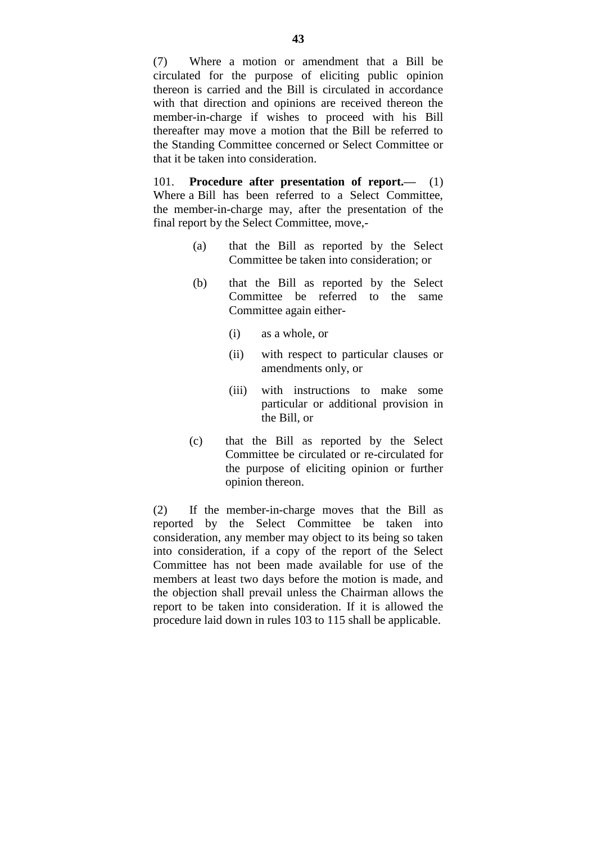(7) Where a motion or amendment that a Bill be circulated for the purpose of eliciting public opinion thereon is carried and the Bill is circulated in accordance with that direction and opinions are received thereon the member-in-charge if wishes to proceed with his Bill thereafter may move a motion that the Bill be referred to the Standing Committee concerned or Select Committee or that it be taken into consideration.

101. **Procedure after presentation of report.—** (1) Where a Bill has been referred to a Select Committee, the member-in-charge may, after the presentation of the final report by the Select Committee, move,-

- (a) that the Bill as reported by the Select Committee be taken into consideration; or
- (b) that the Bill as reported by the Select Committee be referred to the same Committee again either-
	- (i) as a whole, or
	- (ii) with respect to particular clauses or amendments only, or
	- (iii) with instructions to make some particular or additional provision in the Bill, or
- (c) that the Bill as reported by the Select Committee be circulated or re-circulated for the purpose of eliciting opinion or further opinion thereon.

(2) If the member-in-charge moves that the Bill as reported by the Select Committee be taken into consideration, any member may object to its being so taken into consideration, if a copy of the report of the Select Committee has not been made available for use of the members at least two days before the motion is made, and the objection shall prevail unless the Chairman allows the report to be taken into consideration. If it is allowed the procedure laid down in rules 103 to 115 shall be applicable.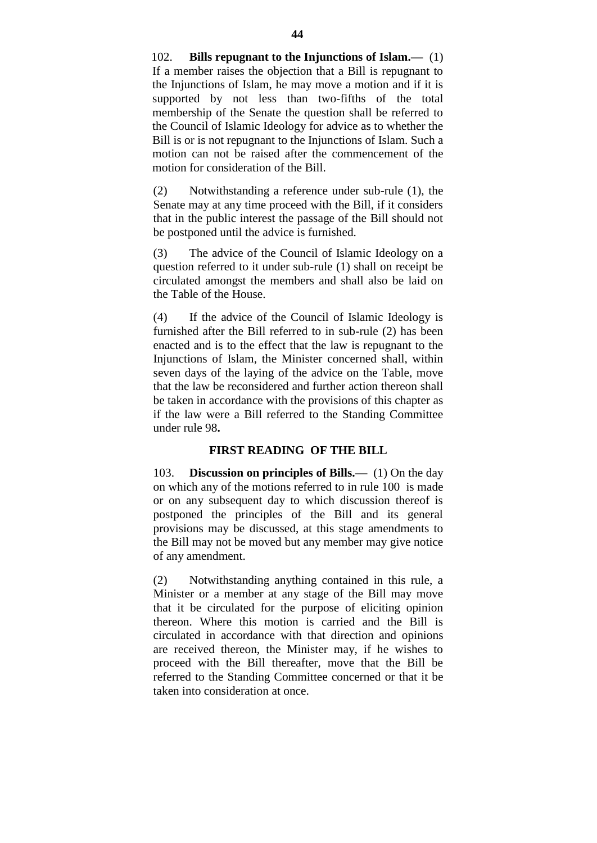102. **Bills repugnant to the Injunctions of Islam.—** (1) If a member raises the objection that a Bill is repugnant to the Injunctions of Islam, he may move a motion and if it is supported by not less than two-fifths of the total membership of the Senate the question shall be referred to the Council of Islamic Ideology for advice as to whether the Bill is or is not repugnant to the Injunctions of Islam. Such a motion can not be raised after the commencement of the motion for consideration of the Bill.

(2) Notwithstanding a reference under sub-rule (1), the Senate may at any time proceed with the Bill, if it considers that in the public interest the passage of the Bill should not be postponed until the advice is furnished.

(3) The advice of the Council of Islamic Ideology on a question referred to it under sub-rule (1) shall on receipt be circulated amongst the members and shall also be laid on the Table of the House.

(4) If the advice of the Council of Islamic Ideology is furnished after the Bill referred to in sub-rule (2) has been enacted and is to the effect that the law is repugnant to the Injunctions of Islam, the Minister concerned shall, within seven days of the laying of the advice on the Table, move that the law be reconsidered and further action thereon shall be taken in accordance with the provisions of this chapter as if the law were a Bill referred to the Standing Committee under rule 98**.**

# **FIRST READING OF THE BILL**

103. **Discussion on principles of Bills.—** (1) On the day on which any of the motions referred to in rule 100 is made or on any subsequent day to which discussion thereof is postponed the principles of the Bill and its general provisions may be discussed, at this stage amendments to the Bill may not be moved but any member may give notice of any amendment.

(2) Notwithstanding anything contained in this rule, a Minister or a member at any stage of the Bill may move that it be circulated for the purpose of eliciting opinion thereon. Where this motion is carried and the Bill is circulated in accordance with that direction and opinions are received thereon, the Minister may, if he wishes to proceed with the Bill thereafter, move that the Bill be referred to the Standing Committee concerned or that it be taken into consideration at once.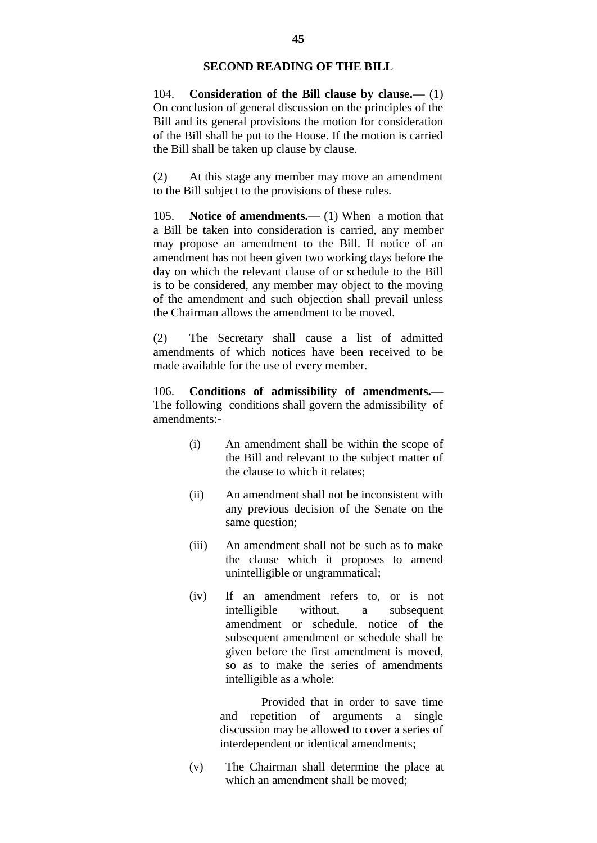## **SECOND READING OF THE BILL**

104. **Consideration of the Bill clause by clause.—** (1) On conclusion of general discussion on the principles of the Bill and its general provisions the motion for consideration of the Bill shall be put to the House. If the motion is carried the Bill shall be taken up clause by clause.

(2) At this stage any member may move an amendment to the Bill subject to the provisions of these rules.

105. **Notice of amendments.—** (1) When a motion that a Bill be taken into consideration is carried, any member may propose an amendment to the Bill. If notice of an amendment has not been given two working days before the day on which the relevant clause of or schedule to the Bill is to be considered, any member may object to the moving of the amendment and such objection shall prevail unless the Chairman allows the amendment to be moved.

(2) The Secretary shall cause a list of admitted amendments of which notices have been received to be made available for the use of every member.

106. **Conditions of admissibility of amendments.—** The following conditions shall govern the admissibility of amendments:-

- (i) An amendment shall be within the scope of the Bill and relevant to the subject matter of the clause to which it relates;
- (ii) An amendment shall not be inconsistent with any previous decision of the Senate on the same question;
- (iii) An amendment shall not be such as to make the clause which it proposes to amend unintelligible or ungrammatical;
- (iv) If an amendment refers to, or is not intelligible without, a subsequent amendment or schedule, notice of the subsequent amendment or schedule shall be given before the first amendment is moved, so as to make the series of amendments intelligible as a whole:

Provided that in order to save time and repetition of arguments a single discussion may be allowed to cover a series of interdependent or identical amendments;

(v) The Chairman shall determine the place at which an amendment shall be moved;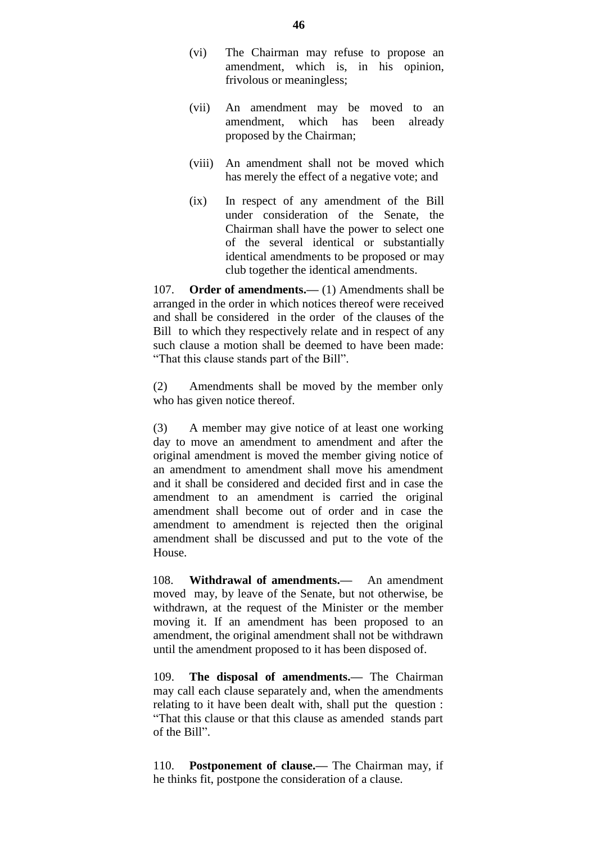- (vi) The Chairman may refuse to propose an amendment, which is, in his opinion, frivolous or meaningless;
- (vii) An amendment may be moved to an amendment, which has been already proposed by the Chairman;
- (viii) An amendment shall not be moved which has merely the effect of a negative vote; and
- (ix) In respect of any amendment of the Bill under consideration of the Senate, the Chairman shall have the power to select one of the several identical or substantially identical amendments to be proposed or may club together the identical amendments.

107. **Order of amendments.—** (1) Amendments shall be arranged in the order in which notices thereof were received and shall be considered in the order of the clauses of the Bill to which they respectively relate and in respect of any such clause a motion shall be deemed to have been made: "That this clause stands part of the Bill".

(2) Amendments shall be moved by the member only who has given notice thereof.

(3) A member may give notice of at least one working day to move an amendment to amendment and after the original amendment is moved the member giving notice of an amendment to amendment shall move his amendment and it shall be considered and decided first and in case the amendment to an amendment is carried the original amendment shall become out of order and in case the amendment to amendment is rejected then the original amendment shall be discussed and put to the vote of the House.

108. **Withdrawal of amendments.—** An amendment moved may, by leave of the Senate, but not otherwise, be withdrawn, at the request of the Minister or the member moving it. If an amendment has been proposed to an amendment, the original amendment shall not be withdrawn until the amendment proposed to it has been disposed of.

109. **The disposal of amendments.—** The Chairman may call each clause separately and, when the amendments relating to it have been dealt with, shall put the question : "That this clause or that this clause as amended stands part of the Bill".

110. **Postponement of clause.—** The Chairman may, if he thinks fit, postpone the consideration of a clause.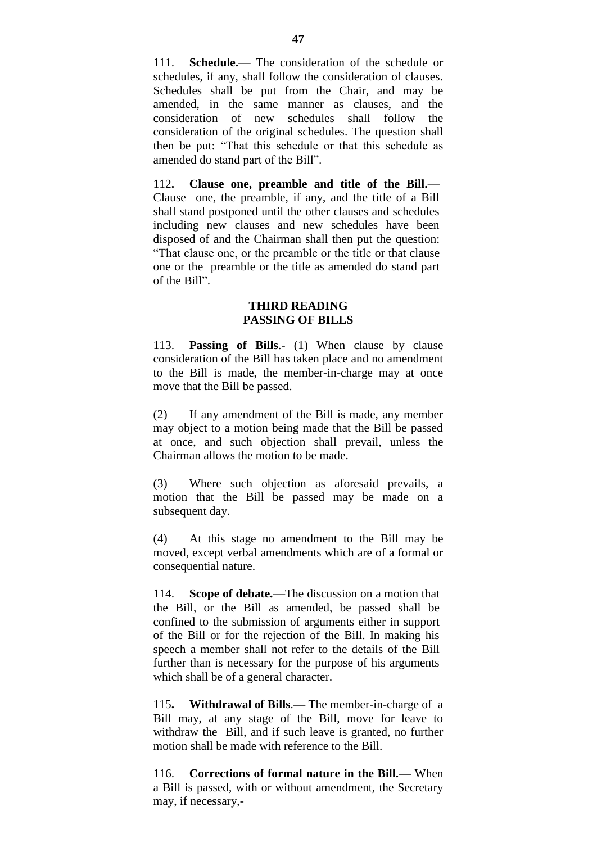111. **Schedule.—** The consideration of the schedule or schedules, if any, shall follow the consideration of clauses. Schedules shall be put from the Chair, and may be amended, in the same manner as clauses, and the consideration of new schedules shall follow the consideration of the original schedules. The question shall then be put: "That this schedule or that this schedule as amended do stand part of the Bill".

112**. Clause one, preamble and title of the Bill.—** Clause one, the preamble, if any, and the title of a Bill shall stand postponed until the other clauses and schedules including new clauses and new schedules have been disposed of and the Chairman shall then put the question: "That clause one, or the preamble or the title or that clause one or the preamble or the title as amended do stand part of the Bill".

### **THIRD READING PASSING OF BILLS**

113. **Passing of Bills**.- (1) When clause by clause consideration of the Bill has taken place and no amendment to the Bill is made, the member-in-charge may at once move that the Bill be passed.

(2) If any amendment of the Bill is made, any member may object to a motion being made that the Bill be passed at once, and such objection shall prevail, unless the Chairman allows the motion to be made.

(3) Where such objection as aforesaid prevails, a motion that the Bill be passed may be made on a subsequent day.

(4) At this stage no amendment to the Bill may be moved, except verbal amendments which are of a formal or consequential nature.

114. **Scope of debate.—**The discussion on a motion that the Bill, or the Bill as amended, be passed shall be confined to the submission of arguments either in support of the Bill or for the rejection of the Bill. In making his speech a member shall not refer to the details of the Bill further than is necessary for the purpose of his arguments which shall be of a general character.

115**. Withdrawal of Bills**.**—** The member-in-charge of a Bill may, at any stage of the Bill, move for leave to withdraw the Bill, and if such leave is granted, no further motion shall be made with reference to the Bill.

116. **Corrections of formal nature in the Bill.—** When a Bill is passed, with or without amendment, the Secretary may, if necessary,-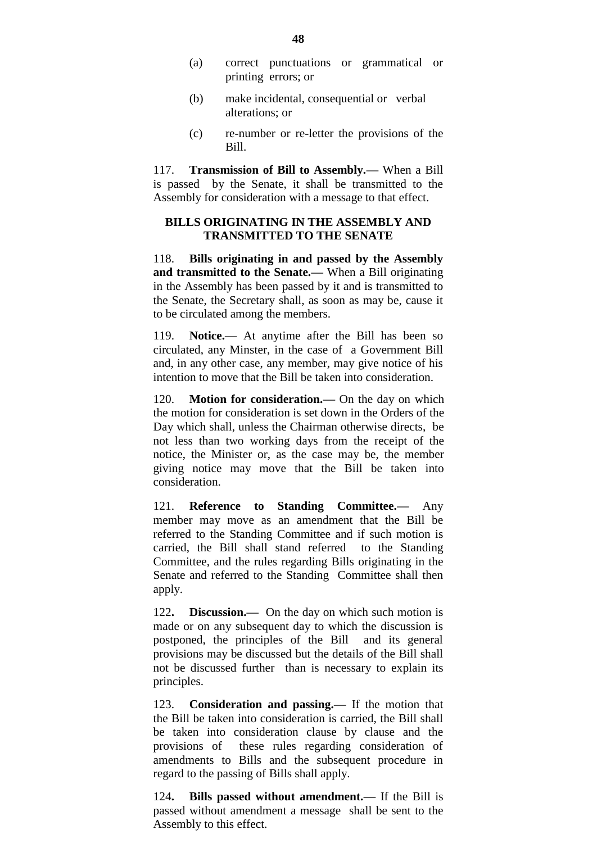- (a) correct punctuations or grammatical or printing errors; or
- (b) make incidental, consequential or verbal alterations; or
- (c) re-number or re-letter the provisions of the Bill.

117. **Transmission of Bill to Assembly.—** When a Bill is passed by the Senate, it shall be transmitted to the Assembly for consideration with a message to that effect.

## **BILLS ORIGINATING IN THE ASSEMBLY AND TRANSMITTED TO THE SENATE**

118. **Bills originating in and passed by the Assembly and transmitted to the Senate.—** When a Bill originating in the Assembly has been passed by it and is transmitted to the Senate, the Secretary shall, as soon as may be, cause it to be circulated among the members.

119. **Notice.—** At anytime after the Bill has been so circulated, any Minster, in the case of a Government Bill and, in any other case, any member, may give notice of his intention to move that the Bill be taken into consideration.

120. **Motion for consideration.—** On the day on which the motion for consideration is set down in the Orders of the Day which shall, unless the Chairman otherwise directs, be not less than two working days from the receipt of the notice, the Minister or, as the case may be, the member giving notice may move that the Bill be taken into consideration.

121. **Reference to Standing Committee.—** Any member may move as an amendment that the Bill be referred to the Standing Committee and if such motion is carried, the Bill shall stand referred to the Standing Committee, and the rules regarding Bills originating in the Senate and referred to the Standing Committee shall then apply.

122**. Discussion.—** On the day on which such motion is made or on any subsequent day to which the discussion is postponed, the principles of the Bill and its general provisions may be discussed but the details of the Bill shall not be discussed further than is necessary to explain its principles.

123. **Consideration and passing.—** If the motion that the Bill be taken into consideration is carried, the Bill shall be taken into consideration clause by clause and the provisions of these rules regarding consideration of amendments to Bills and the subsequent procedure in regard to the passing of Bills shall apply.

124**. Bills passed without amendment.—** If the Bill is passed without amendment a message shall be sent to the Assembly to this effect.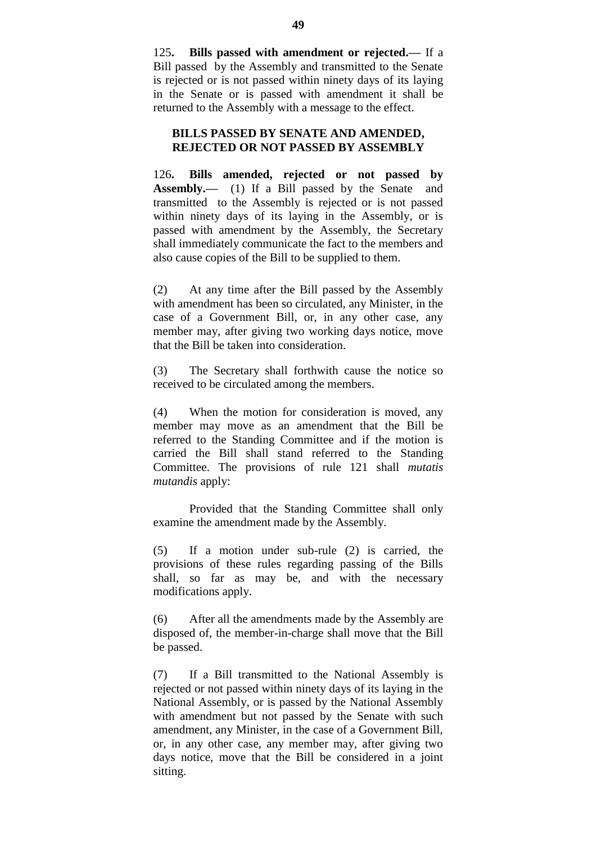125**. Bills passed with amendment or rejected.—** If a Bill passed by the Assembly and transmitted to the Senate is rejected or is not passed within ninety days of its laying in the Senate or is passed with amendment it shall be returned to the Assembly with a message to the effect.

#### **BILLS PASSED BY SENATE AND AMENDED, REJECTED OR NOT PASSED BY ASSEMBLY**

126**. Bills amended, rejected or not passed by Assembly.—** (1) If a Bill passed by the Senate and transmitted to the Assembly is rejected or is not passed within ninety days of its laying in the Assembly, or is passed with amendment by the Assembly, the Secretary shall immediately communicate the fact to the members and also cause copies of the Bill to be supplied to them.

(2) At any time after the Bill passed by the Assembly with amendment has been so circulated, any Minister, in the case of a Government Bill, or, in any other case, any member may, after giving two working days notice, move that the Bill be taken into consideration.

(3) The Secretary shall forthwith cause the notice so received to be circulated among the members.

(4) When the motion for consideration is moved, any member may move as an amendment that the Bill be referred to the Standing Committee and if the motion is carried the Bill shall stand referred to the Standing Committee. The provisions of rule 121 shall *mutatis mutandis* apply:

Provided that the Standing Committee shall only examine the amendment made by the Assembly.

(5) If a motion under sub-rule (2) is carried, the provisions of these rules regarding passing of the Bills shall, so far as may be, and with the necessary modifications apply.

(6) After all the amendments made by the Assembly are disposed of, the member-in-charge shall move that the Bill be passed.

(7) If a Bill transmitted to the National Assembly is rejected or not passed within ninety days of its laying in the National Assembly, or is passed by the National Assembly with amendment but not passed by the Senate with such amendment, any Minister, in the case of a Government Bill, or, in any other case, any member may, after giving two days notice, move that the Bill be considered in a joint sitting.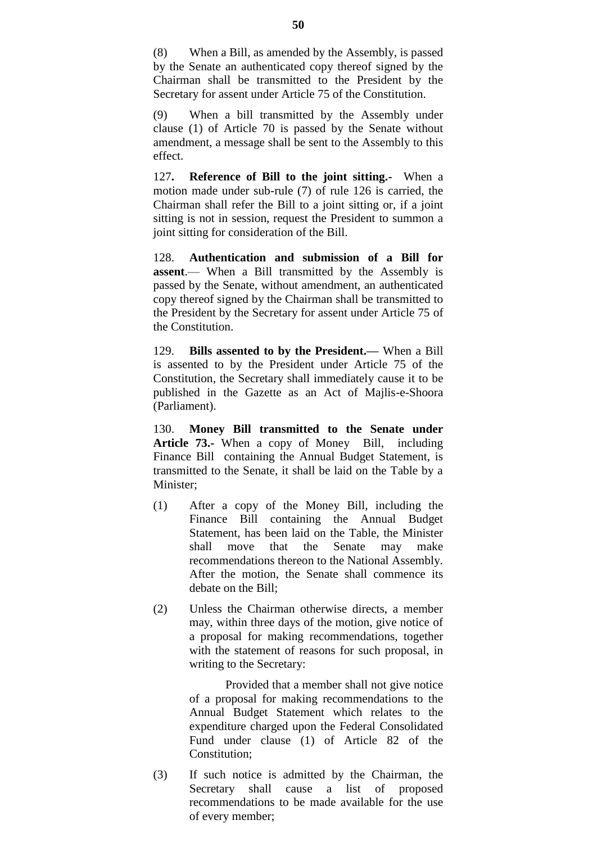(8) When a Bill, as amended by the Assembly, is passed by the Senate an authenticated copy thereof signed by the Chairman shall be transmitted to the President by the Secretary for assent under Article 75 of the Constitution.

(9) When a bill transmitted by the Assembly under clause (1) of Article 70 is passed by the Senate without amendment, a message shall be sent to the Assembly to this effect.

127**. Reference of Bill to the joint sitting.-** When a motion made under sub-rule (7) of rule 126 is carried, the Chairman shall refer the Bill to a joint sitting or, if a joint sitting is not in session, request the President to summon a joint sitting for consideration of the Bill.

128. **Authentication and submission of a Bill for assent**.— When a Bill transmitted by the Assembly is passed by the Senate, without amendment, an authenticated copy thereof signed by the Chairman shall be transmitted to the President by the Secretary for assent under Article 75 of the Constitution.

129. **Bills assented to by the President.—** When a Bill is assented to by the President under Article 75 of the Constitution, the Secretary shall immediately cause it to be published in the Gazette as an Act of Majlis-e-Shoora (Parliament).

130. **Money Bill transmitted to the Senate under Article 73.-** When a copy of Money Bill, including Finance Bill containing the Annual Budget Statement, is transmitted to the Senate, it shall be laid on the Table by a Minister:

- (1) After a copy of the Money Bill, including the Finance Bill containing the Annual Budget Statement, has been laid on the Table, the Minister shall move that the Senate may make recommendations thereon to the National Assembly. After the motion, the Senate shall commence its debate on the Bill;
- (2) Unless the Chairman otherwise directs, a member may, within three days of the motion, give notice of a proposal for making recommendations, together with the statement of reasons for such proposal, in writing to the Secretary:

Provided that a member shall not give notice of a proposal for making recommendations to the Annual Budget Statement which relates to the expenditure charged upon the Federal Consolidated Fund under clause (1) of Article 82 of the Constitution;

(3) If such notice is admitted by the Chairman, the Secretary shall cause a list of proposed recommendations to be made available for the use of every member;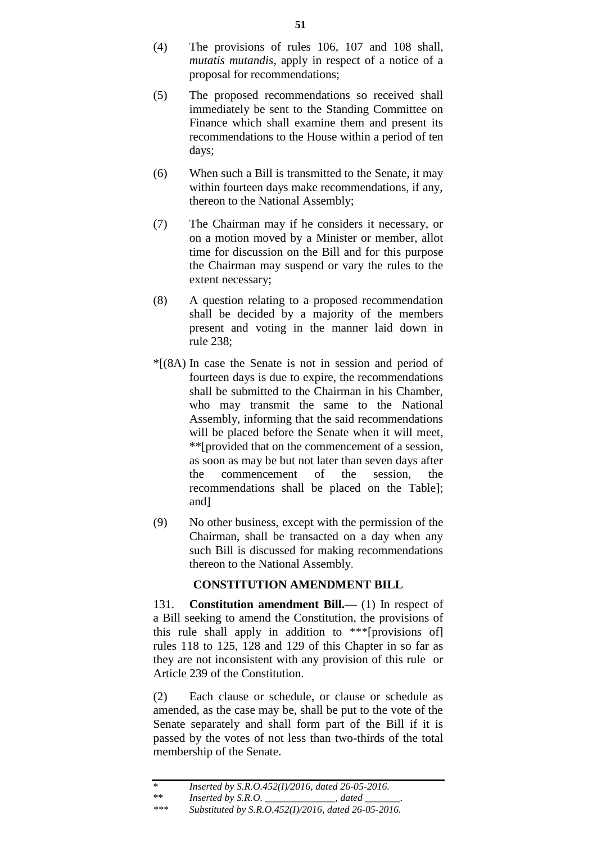- (4) The provisions of rules 106, 107 and 108 shall, *mutatis mutandis*, apply in respect of a notice of a proposal for recommendations;
- (5) The proposed recommendations so received shall immediately be sent to the Standing Committee on Finance which shall examine them and present its recommendations to the House within a period of ten days;
- (6) When such a Bill is transmitted to the Senate, it may within fourteen days make recommendations, if any, thereon to the National Assembly;
- (7) The Chairman may if he considers it necessary, or on a motion moved by a Minister or member, allot time for discussion on the Bill and for this purpose the Chairman may suspend or vary the rules to the extent necessary;
- (8) A question relating to a proposed recommendation shall be decided by a majority of the members present and voting in the manner laid down in rule 238;
- \*[(8A) In case the Senate is not in session and period of fourteen days is due to expire, the recommendations shall be submitted to the Chairman in his Chamber, who may transmit the same to the National Assembly, informing that the said recommendations will be placed before the Senate when it will meet, \*\*[provided that on the commencement of a session, as soon as may be but not later than seven days after the commencement of the session, the recommendations shall be placed on the Table]; and]
- (9) No other business, except with the permission of the Chairman, shall be transacted on a day when any such Bill is discussed for making recommendations thereon to the National Assembly.

# **CONSTITUTION AMENDMENT BILL**

131. **Constitution amendment Bill.—** (1) In respect of a Bill seeking to amend the Constitution, the provisions of this rule shall apply in addition to \*\*\*[provisions of] rules 118 to 125, 128 and 129 of this Chapter in so far as they are not inconsistent with any provision of this rule or Article 239 of the Constitution.

(2) Each clause or schedule, or clause or schedule as amended, as the case may be, shall be put to the vote of the Senate separately and shall form part of the Bill if it is passed by the votes of not less than two-thirds of the total membership of the Senate.

<sup>\*\*</sup> *Inserted by S.R.O. \_\_\_\_\_\_\_\_\_\_\_\_\_\_, dated \_\_\_\_\_\_\_.*

*<sup>\*\*\*</sup> Substituted by S.R.O.452(I)/2016, dated 26-05-2016.*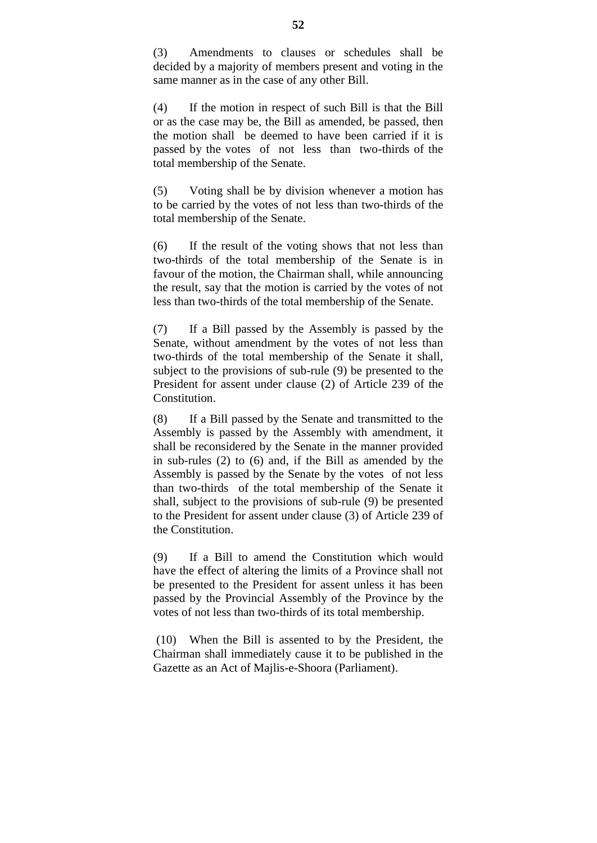(3) Amendments to clauses or schedules shall be decided by a majority of members present and voting in the same manner as in the case of any other Bill.

(4) If the motion in respect of such Bill is that the Bill or as the case may be, the Bill as amended, be passed, then the motion shall be deemed to have been carried if it is passed by the votes of not less than two-thirds of the total membership of the Senate.

(5) Voting shall be by division whenever a motion has to be carried by the votes of not less than two-thirds of the total membership of the Senate.

(6) If the result of the voting shows that not less than two-thirds of the total membership of the Senate is in favour of the motion, the Chairman shall, while announcing the result, say that the motion is carried by the votes of not less than two-thirds of the total membership of the Senate.

(7) If a Bill passed by the Assembly is passed by the Senate, without amendment by the votes of not less than two-thirds of the total membership of the Senate it shall, subject to the provisions of sub-rule (9) be presented to the President for assent under clause (2) of Article 239 of the Constitution.

(8) If a Bill passed by the Senate and transmitted to the Assembly is passed by the Assembly with amendment, it shall be reconsidered by the Senate in the manner provided in sub-rules (2) to (6) and, if the Bill as amended by the Assembly is passed by the Senate by the votes of not less than two-thirds of the total membership of the Senate it shall, subject to the provisions of sub-rule (9) be presented to the President for assent under clause (3) of Article 239 of the Constitution.

(9) If a Bill to amend the Constitution which would have the effect of altering the limits of a Province shall not be presented to the President for assent unless it has been passed by the Provincial Assembly of the Province by the votes of not less than two-thirds of its total membership.

(10) When the Bill is assented to by the President, the Chairman shall immediately cause it to be published in the Gazette as an Act of Majlis-e-Shoora (Parliament).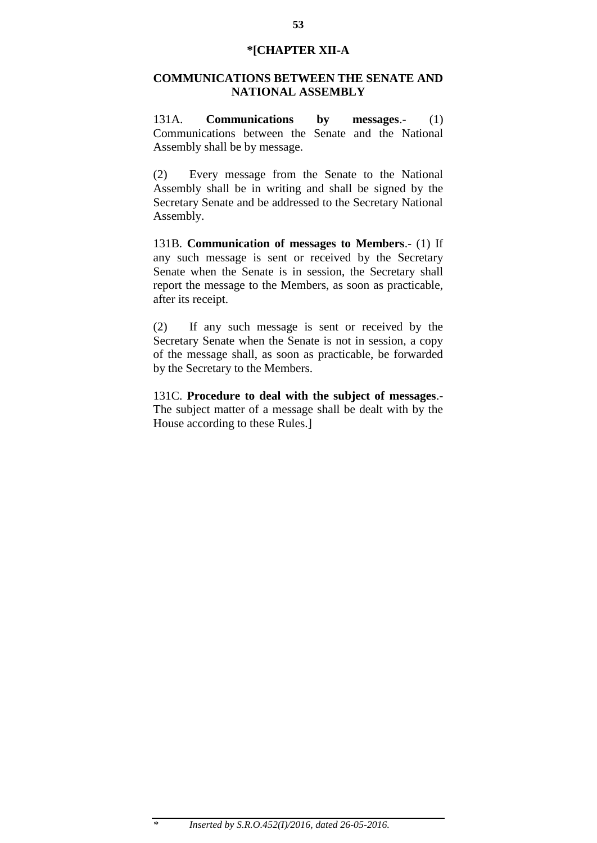## **\*[CHAPTER XII-A**

## **COMMUNICATIONS BETWEEN THE SENATE AND NATIONAL ASSEMBLY**

131A. **Communications by messages**.- (1) Communications between the Senate and the National Assembly shall be by message.

(2) Every message from the Senate to the National Assembly shall be in writing and shall be signed by the Secretary Senate and be addressed to the Secretary National Assembly.

131B. **Communication of messages to Members**.- (1) If any such message is sent or received by the Secretary Senate when the Senate is in session, the Secretary shall report the message to the Members, as soon as practicable, after its receipt.

(2) If any such message is sent or received by the Secretary Senate when the Senate is not in session, a copy of the message shall, as soon as practicable, be forwarded by the Secretary to the Members.

131C. **Procedure to deal with the subject of messages**.- The subject matter of a message shall be dealt with by the House according to these Rules.]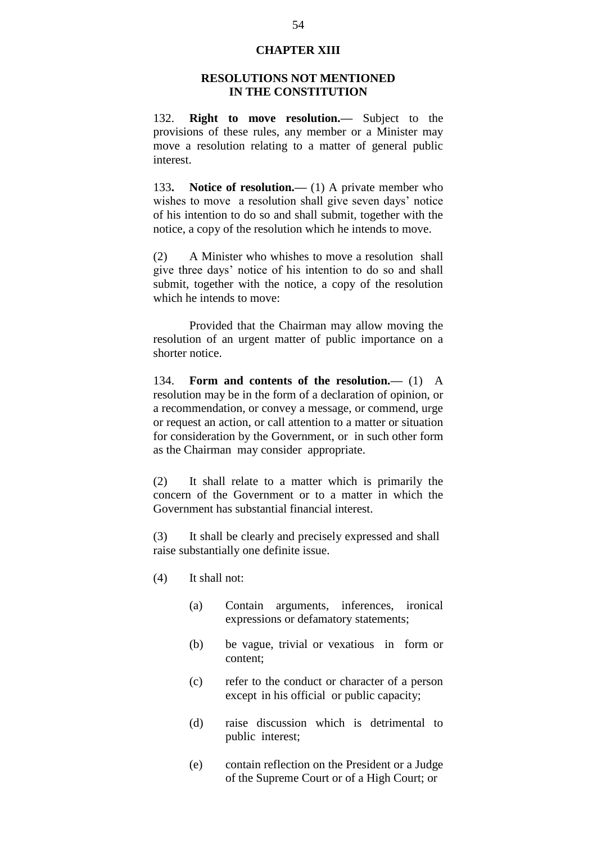## **CHAPTER XIII**

## **RESOLUTIONS NOT MENTIONED IN THE CONSTITUTION**

132. **Right to move resolution.—** Subject to the provisions of these rules, any member or a Minister may move a resolution relating to a matter of general public interest.

133**. Notice of resolution.—** (1) A private member who wishes to move a resolution shall give seven days' notice of his intention to do so and shall submit, together with the notice, a copy of the resolution which he intends to move.

(2) A Minister who whishes to move a resolution shall give three days" notice of his intention to do so and shall submit, together with the notice, a copy of the resolution which he intends to move:

Provided that the Chairman may allow moving the resolution of an urgent matter of public importance on a shorter notice.

134. **Form and contents of the resolution.—** (1) A resolution may be in the form of a declaration of opinion, or a recommendation, or convey a message, or commend, urge or request an action, or call attention to a matter or situation for consideration by the Government, or in such other form as the Chairman may consider appropriate.

(2) It shall relate to a matter which is primarily the concern of the Government or to a matter in which the Government has substantial financial interest.

(3) It shall be clearly and precisely expressed and shall raise substantially one definite issue.

- (4) It shall not:
	- (a) Contain arguments, inferences, ironical expressions or defamatory statements;
	- (b) be vague, trivial or vexatious in form or content;
	- (c) refer to the conduct or character of a person except in his official or public capacity;
	- (d) raise discussion which is detrimental to public interest;
	- (e) contain reflection on the President or a Judge of the Supreme Court or of a High Court; or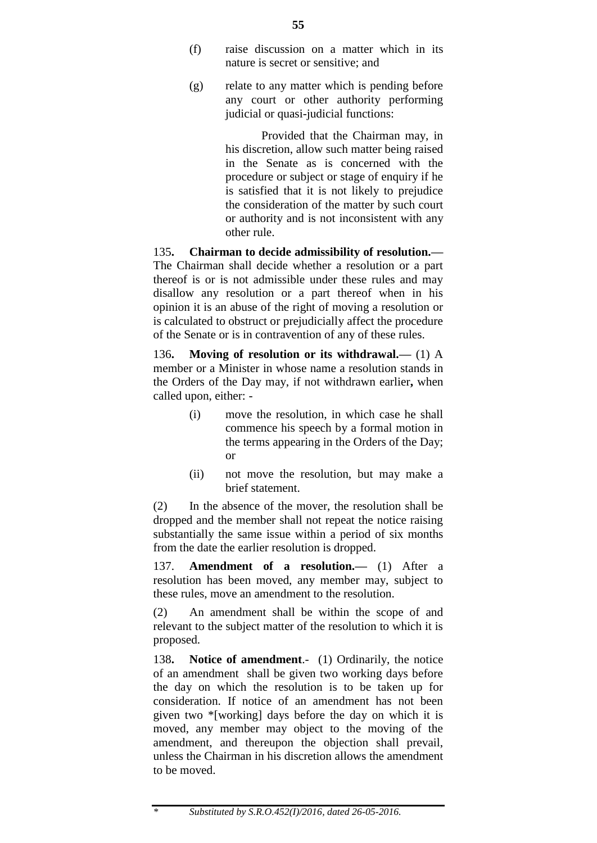- (f) raise discussion on a matter which in its nature is secret or sensitive; and
- (g) relate to any matter which is pending before any court or other authority performing judicial or quasi-judicial functions:

Provided that the Chairman may, in his discretion, allow such matter being raised in the Senate as is concerned with the procedure or subject or stage of enquiry if he is satisfied that it is not likely to prejudice the consideration of the matter by such court or authority and is not inconsistent with any other rule.

135**. Chairman to decide admissibility of resolution.—** The Chairman shall decide whether a resolution or a part thereof is or is not admissible under these rules and may disallow any resolution or a part thereof when in his opinion it is an abuse of the right of moving a resolution or is calculated to obstruct or prejudicially affect the procedure of the Senate or is in contravention of any of these rules.

136**. Moving of resolution or its withdrawal.—** (1) A member or a Minister in whose name a resolution stands in the Orders of the Day may, if not withdrawn earlier**,** when called upon, either: -

- (i) move the resolution, in which case he shall commence his speech by a formal motion in the terms appearing in the Orders of the Day; or
- (ii) not move the resolution, but may make a brief statement.

(2) In the absence of the mover, the resolution shall be dropped and the member shall not repeat the notice raising substantially the same issue within a period of six months from the date the earlier resolution is dropped.

137. **Amendment of a resolution.—** (1) After a resolution has been moved, any member may, subject to these rules, move an amendment to the resolution.

(2) An amendment shall be within the scope of and relevant to the subject matter of the resolution to which it is proposed.

138**. Notice of amendment**.- (1) Ordinarily, the notice of an amendment shall be given two working days before the day on which the resolution is to be taken up for consideration. If notice of an amendment has not been given two \*[working] days before the day on which it is moved, any member may object to the moving of the amendment, and thereupon the objection shall prevail, unless the Chairman in his discretion allows the amendment to be moved.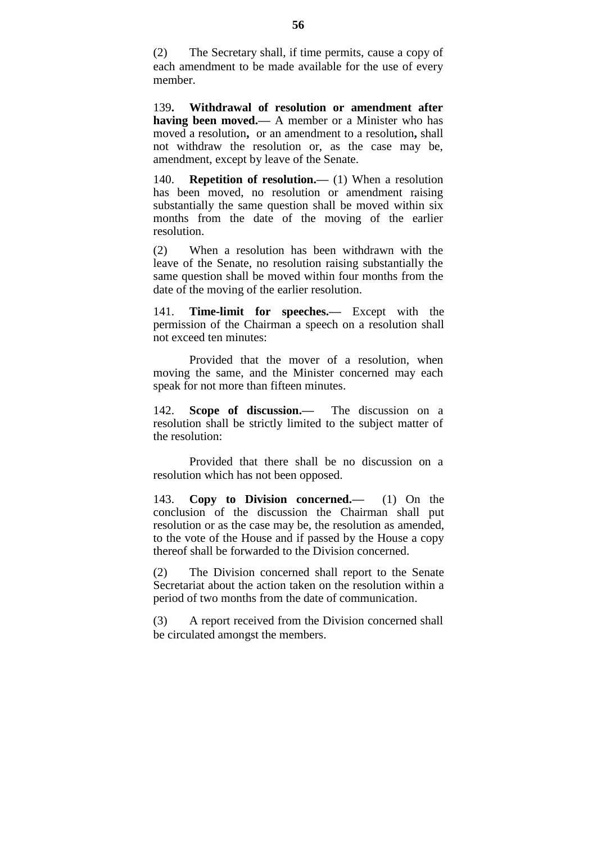(2) The Secretary shall, if time permits, cause a copy of each amendment to be made available for the use of every member.

139**. Withdrawal of resolution or amendment after having been moved.—** A member or a Minister who has moved a resolution**,** or an amendment to a resolution**,** shall not withdraw the resolution or, as the case may be, amendment, except by leave of the Senate.

140. **Repetition of resolution.—** (1) When a resolution has been moved, no resolution or amendment raising substantially the same question shall be moved within six months from the date of the moving of the earlier resolution.

(2) When a resolution has been withdrawn with the leave of the Senate, no resolution raising substantially the same question shall be moved within four months from the date of the moving of the earlier resolution.

**Time-limit for speeches.—** Except with the permission of the Chairman a speech on a resolution shall not exceed ten minutes:

Provided that the mover of a resolution, when moving the same, and the Minister concerned may each speak for not more than fifteen minutes.

142. **Scope of discussion.—** The discussion on a resolution shall be strictly limited to the subject matter of the resolution:

Provided that there shall be no discussion on a resolution which has not been opposed.

143. **Copy to Division concerned.—** (1) On the conclusion of the discussion the Chairman shall put resolution or as the case may be, the resolution as amended, to the vote of the House and if passed by the House a copy thereof shall be forwarded to the Division concerned.

(2) The Division concerned shall report to the Senate Secretariat about the action taken on the resolution within a period of two months from the date of communication.

(3) A report received from the Division concerned shall be circulated amongst the members.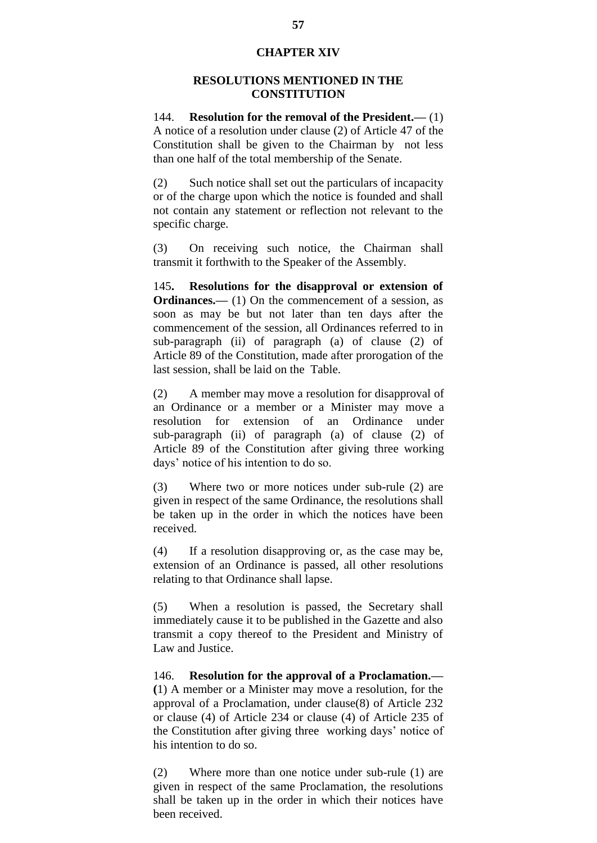## **CHAPTER XIV**

### **RESOLUTIONS MENTIONED IN THE CONSTITUTION**

144. **Resolution for the removal of the President.—** (1) A notice of a resolution under clause (2) of Article 47 of the Constitution shall be given to the Chairman by not less than one half of the total membership of the Senate.

(2) Such notice shall set out the particulars of incapacity or of the charge upon which the notice is founded and shall not contain any statement or reflection not relevant to the specific charge.

(3) On receiving such notice, the Chairman shall transmit it forthwith to the Speaker of the Assembly.

145**. Resolutions for the disapproval or extension of Ordinances.—** (1) On the commencement of a session, as soon as may be but not later than ten days after the commencement of the session, all Ordinances referred to in sub-paragraph (ii) of paragraph (a) of clause (2) of Article 89 of the Constitution, made after prorogation of the last session, shall be laid on the Table.

(2) A member may move a resolution for disapproval of an Ordinance or a member or a Minister may move a resolution for extension of an Ordinance under sub-paragraph (ii) of paragraph (a) of clause (2) of Article 89 of the Constitution after giving three working days" notice of his intention to do so.

(3) Where two or more notices under sub-rule (2) are given in respect of the same Ordinance, the resolutions shall be taken up in the order in which the notices have been received.

(4) If a resolution disapproving or, as the case may be, extension of an Ordinance is passed, all other resolutions relating to that Ordinance shall lapse.

(5) When a resolution is passed, the Secretary shall immediately cause it to be published in the Gazette and also transmit a copy thereof to the President and Ministry of Law and Justice.

146. **Resolution for the approval of a Proclamation.— (**1) A member or a Minister may move a resolution, for the approval of a Proclamation, under clause(8) of Article 232 or clause (4) of Article 234 or clause (4) of Article 235 of the Constitution after giving three working days' notice of his intention to do so.

(2) Where more than one notice under sub-rule (1) are given in respect of the same Proclamation, the resolutions shall be taken up in the order in which their notices have been received.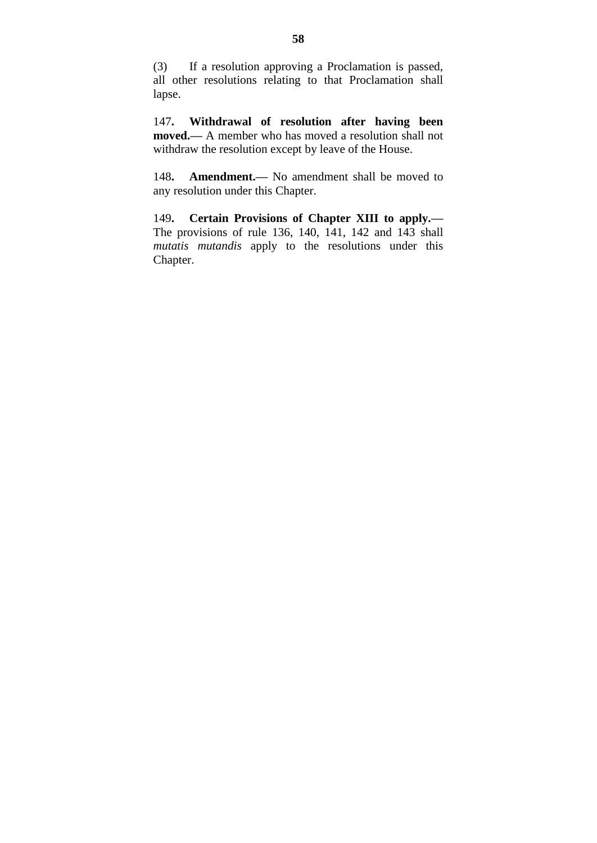(3) If a resolution approving a Proclamation is passed, all other resolutions relating to that Proclamation shall lapse.

147**. Withdrawal of resolution after having been moved.—** A member who has moved a resolution shall not withdraw the resolution except by leave of the House.

148**. Amendment.—** No amendment shall be moved to any resolution under this Chapter.

149**. Certain Provisions of Chapter XIII to apply.—** The provisions of rule 136, 140, 141, 142 and 143 shall *mutatis mutandis* apply to the resolutions under this Chapter.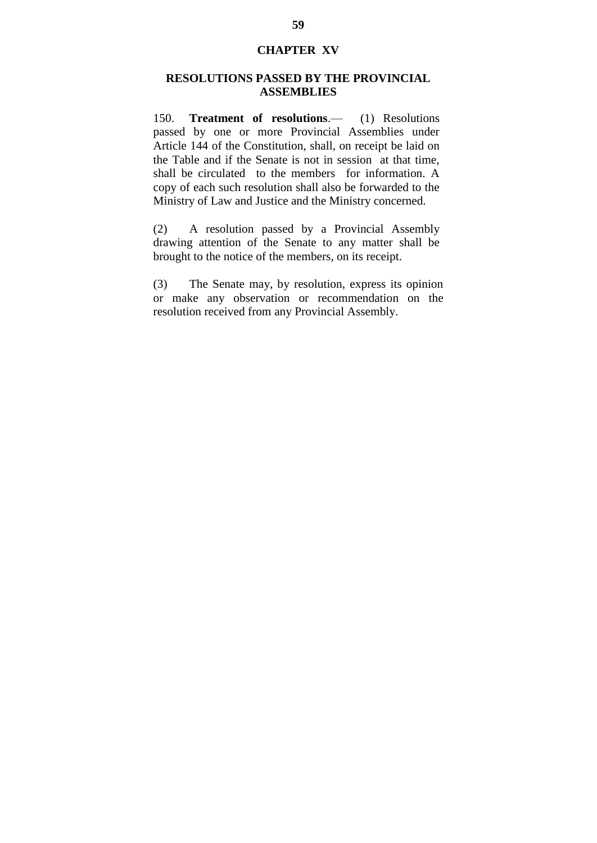## **CHAPTER XV**

## **RESOLUTIONS PASSED BY THE PROVINCIAL ASSEMBLIES**

150. **Treatment of resolutions**.— (1) Resolutions passed by one or more Provincial Assemblies under Article 144 of the Constitution, shall, on receipt be laid on the Table and if the Senate is not in session at that time, shall be circulated to the members for information. A copy of each such resolution shall also be forwarded to the Ministry of Law and Justice and the Ministry concerned.

(2) A resolution passed by a Provincial Assembly drawing attention of the Senate to any matter shall be brought to the notice of the members, on its receipt.

(3) The Senate may, by resolution, express its opinion or make any observation or recommendation on the resolution received from any Provincial Assembly.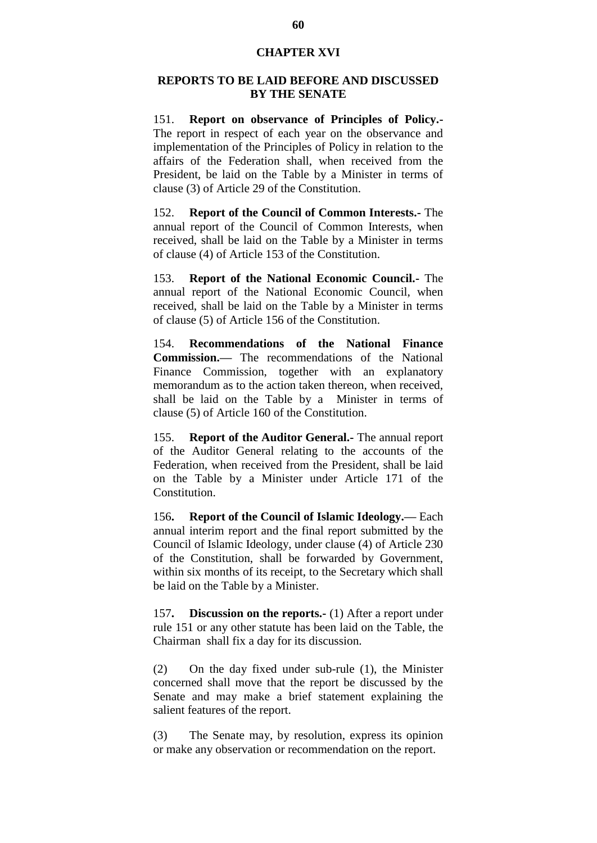### **CHAPTER XVI**

### **REPORTS TO BE LAID BEFORE AND DISCUSSED BY THE SENATE**

151. **Report on observance of Principles of Policy.-** The report in respect of each year on the observance and implementation of the Principles of Policy in relation to the affairs of the Federation shall, when received from the President, be laid on the Table by a Minister in terms of clause (3) of Article 29 of the Constitution.

152. **Report of the Council of Common Interests.-** The annual report of the Council of Common Interests, when received, shall be laid on the Table by a Minister in terms of clause (4) of Article 153 of the Constitution.

153. **Report of the National Economic Council.-** The annual report of the National Economic Council, when received, shall be laid on the Table by a Minister in terms of clause (5) of Article 156 of the Constitution.

154. **Recommendations of the National Finance Commission.—** The recommendations of the National Finance Commission, together with an explanatory memorandum as to the action taken thereon, when received, shall be laid on the Table by a Minister in terms of clause (5) of Article 160 of the Constitution.

155. **Report of the Auditor General.-** The annual report of the Auditor General relating to the accounts of the Federation, when received from the President, shall be laid on the Table by a Minister under Article 171 of the Constitution.

156**. Report of the Council of Islamic Ideology.—** Each annual interim report and the final report submitted by the Council of Islamic Ideology, under clause (4) of Article 230 of the Constitution, shall be forwarded by Government, within six months of its receipt, to the Secretary which shall be laid on the Table by a Minister.

157**. Discussion on the reports.-** (1) After a report under rule 151 or any other statute has been laid on the Table, the Chairman shall fix a day for its discussion.

(2) On the day fixed under sub-rule (1), the Minister concerned shall move that the report be discussed by the Senate and may make a brief statement explaining the salient features of the report.

(3) The Senate may, by resolution, express its opinion or make any observation or recommendation on the report.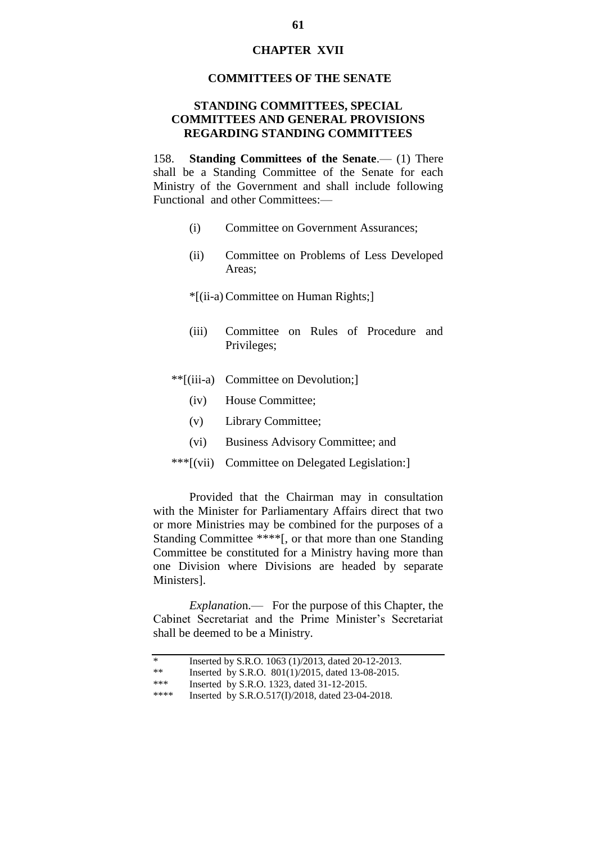### **CHAPTER XVII**

#### **COMMITTEES OF THE SENATE**

## **STANDING COMMITTEES, SPECIAL COMMITTEES AND GENERAL PROVISIONS REGARDING STANDING COMMITTEES**

158. **Standing Committees of the Senate**.— (1) There shall be a Standing Committee of the Senate for each Ministry of the Government and shall include following Functional and other Committees:—

- (i) Committee on Government Assurances;
- (ii) Committee on Problems of Less Developed Areas;
- \*[(ii-a) Committee on Human Rights;]
- (iii) Committee on Rules of Procedure and Privileges;
- \*\*[(iii-a) Committee on Devolution;]
	- (iv) House Committee;
	- (v) Library Committee;
	- (vi) Business Advisory Committee; and
- \*\*\*[(vii) Committee on Delegated Legislation:]

Provided that the Chairman may in consultation with the Minister for Parliamentary Affairs direct that two or more Ministries may be combined for the purposes of a Standing Committee \*\*\*\*[, or that more than one Standing Committee be constituted for a Ministry having more than one Division where Divisions are headed by separate Ministers].

*Explanatio*n.— For the purpose of this Chapter, the Cabinet Secretariat and the Prime Minister's Secretariat shall be deemed to be a Ministry.

| ∗ |  | Inserted by S.R.O. 1063 (1)/2013, dated 20-12-2013. |
|---|--|-----------------------------------------------------|
|---|--|-----------------------------------------------------|

- \*\* Inserted by S.R.O.  $801(1)/2015$ , dated 13-08-2015.<br>\*\*\* Inserted by S.R.O. 1323, dated 31-12-2015
- \*\*\* Inserted by S.R.O. 1323, dated 31-12-2015.<br>\*\*\*\* Inserted by S.R.O. 517(I)/2018, dated 23-04-

Inserted by S.R.O.517(I)/2018, dated 23-04-2018.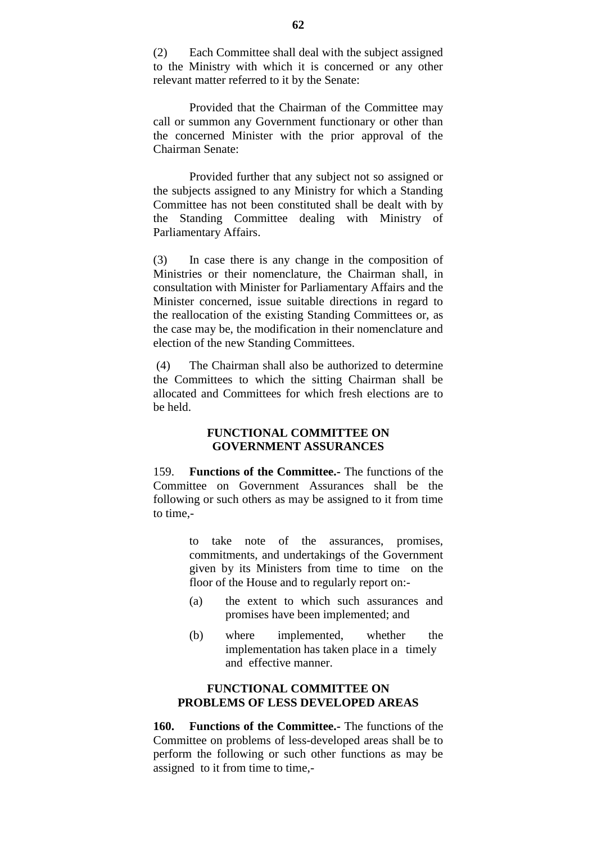(2) Each Committee shall deal with the subject assigned to the Ministry with which it is concerned or any other relevant matter referred to it by the Senate:

Provided that the Chairman of the Committee may call or summon any Government functionary or other than the concerned Minister with the prior approval of the Chairman Senate:

Provided further that any subject not so assigned or the subjects assigned to any Ministry for which a Standing Committee has not been constituted shall be dealt with by the Standing Committee dealing with Ministry of Parliamentary Affairs.

(3) In case there is any change in the composition of Ministries or their nomenclature, the Chairman shall, in consultation with Minister for Parliamentary Affairs and the Minister concerned, issue suitable directions in regard to the reallocation of the existing Standing Committees or, as the case may be, the modification in their nomenclature and election of the new Standing Committees.

(4) The Chairman shall also be authorized to determine the Committees to which the sitting Chairman shall be allocated and Committees for which fresh elections are to be held.

### **FUNCTIONAL COMMITTEE ON GOVERNMENT ASSURANCES**

159. **Functions of the Committee.-** The functions of the Committee on Government Assurances shall be the following or such others as may be assigned to it from time to time,-

> to take note of the assurances, promises, commitments, and undertakings of the Government given by its Ministers from time to time on the floor of the House and to regularly report on:-

- (a) the extent to which such assurances and promises have been implemented; and
- (b) where implemented, whether the implementation has taken place in a timely and effective manner.

## **FUNCTIONAL COMMITTEE ON PROBLEMS OF LESS DEVELOPED AREAS**

**160. Functions of the Committee.-** The functions of the Committee on problems of less-developed areas shall be to perform the following or such other functions as may be assigned to it from time to time,-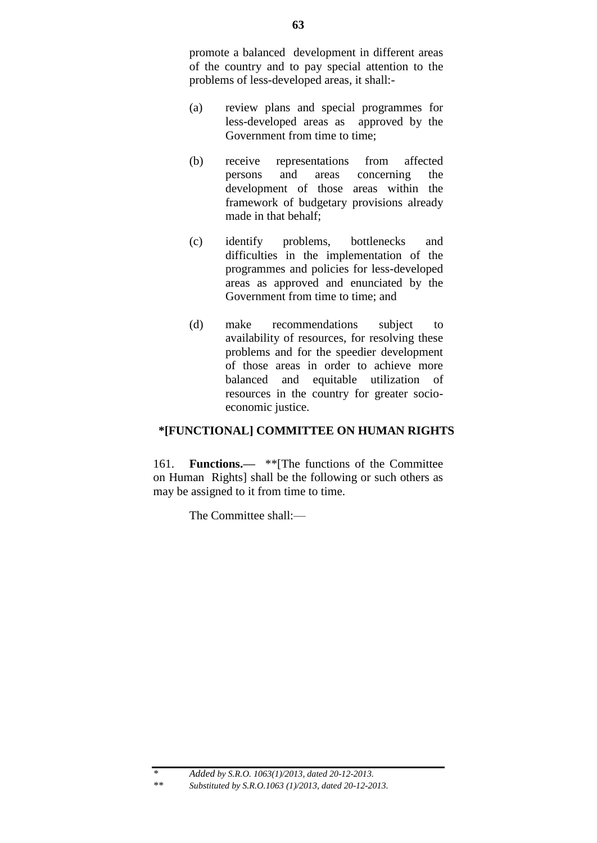promote a balanced development in different areas of the country and to pay special attention to the problems of less-developed areas, it shall:-

- (a) review plans and special programmes for less-developed areas as approved by the Government from time to time;
- (b) receive representations from affected persons and areas concerning the development of those areas within the framework of budgetary provisions already made in that behalf;
- (c) identify problems, bottlenecks and difficulties in the implementation of the programmes and policies for less-developed areas as approved and enunciated by the Government from time to time; and
- (d) make recommendations subject to availability of resources, for resolving these problems and for the speedier development of those areas in order to achieve more balanced and equitable utilization of resources in the country for greater socioeconomic justice.

# **\*[FUNCTIONAL] COMMITTEE ON HUMAN RIGHTS**

161. **Functions.—** \*\*[The functions of the Committee on Human Rights] shall be the following or such others as may be assigned to it from time to time.

The Committee shall:—

*<sup>\*</sup> Added by S.R.O. 1063(1)/2013, dated 20-12-2013. \*\* Substituted by S.R.O.1063 (1)/2013, dated 20-12-2013.*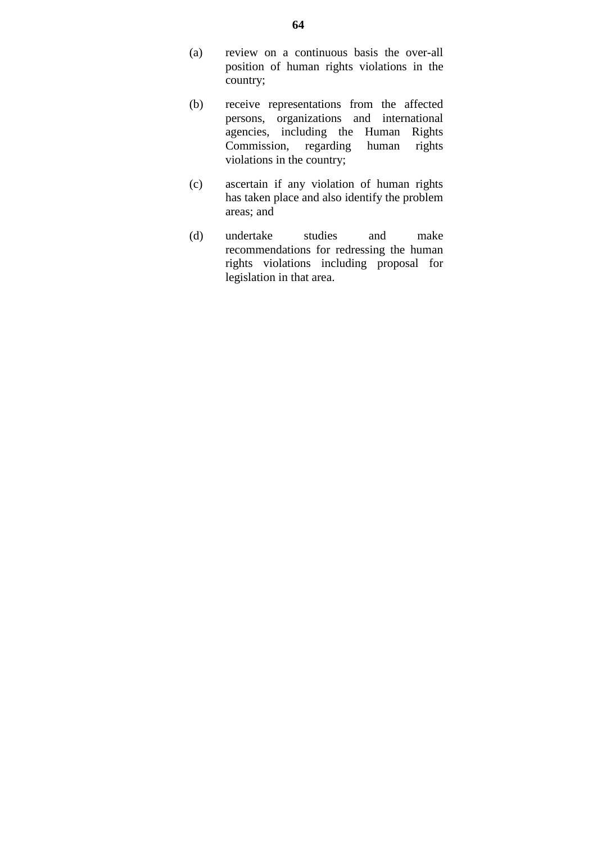- (a) review on a continuous basis the over-all position of human rights violations in the country;
- (b) receive representations from the affected persons, organizations and international agencies, including the Human Rights Commission, regarding human rights violations in the country;
- (c) ascertain if any violation of human rights has taken place and also identify the problem areas; and
- (d) undertake studies and make recommendations for redressing the human rights violations including proposal for legislation in that area.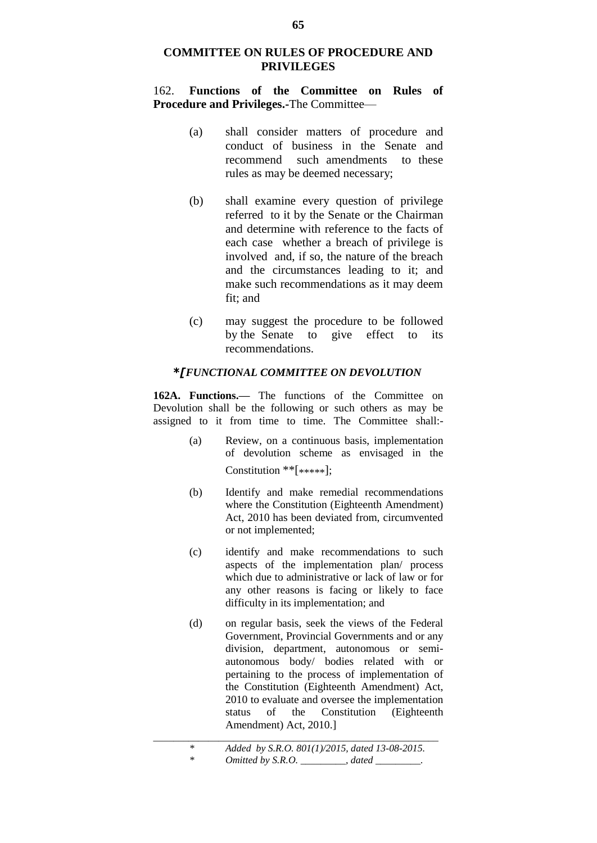## **COMMITTEE ON RULES OF PROCEDURE AND PRIVILEGES**

162. **Functions of the Committee on Rules of Procedure and Privileges.-**The Committee—

- (a) shall consider matters of procedure and conduct of business in the Senate and recommend such amendments to these rules as may be deemed necessary;
- (b) shall examine every question of privilege referred to it by the Senate or the Chairman and determine with reference to the facts of each case whether a breach of privilege is involved and, if so, the nature of the breach and the circumstances leading to it; and make such recommendations as it may deem fit; and
- (c) may suggest the procedure to be followed by the Senate to give effect to its recommendations.

#### *\*[FUNCTIONAL COMMITTEE ON DEVOLUTION*

**162A. Functions.—** The functions of the Committee on Devolution shall be the following or such others as may be assigned to it from time to time. The Committee shall:-

- (a) Review, on a continuous basis, implementation of devolution scheme as envisaged in the Constitution \*\*[\*\*\*\*\*];
- (b) Identify and make remedial recommendations where the Constitution (Eighteenth Amendment) Act, 2010 has been deviated from, circumvented or not implemented;
- (c) identify and make recommendations to such aspects of the implementation plan/ process which due to administrative or lack of law or for any other reasons is facing or likely to face difficulty in its implementation; and
- (d) on regular basis, seek the views of the Federal Government, Provincial Governments and or any division, department, autonomous or semiautonomous body/ bodies related with or pertaining to the process of implementation of the Constitution (Eighteenth Amendment) Act, 2010 to evaluate and oversee the implementation status of the Constitution (Eighteenth Amendment) Act, 2010.]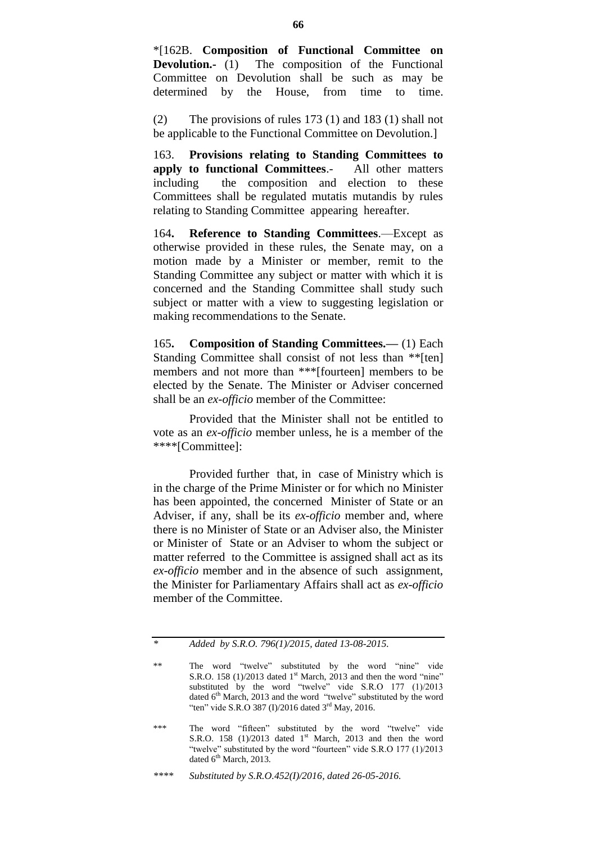\*[162B. **Composition of Functional Committee on Devolution.-** (1) The composition of the Functional Committee on Devolution shall be such as may be determined by the House, from time to time.

(2) The provisions of rules 173 (1) and 183 (1) shall not be applicable to the Functional Committee on Devolution.]

163. **Provisions relating to Standing Committees to apply to functional Committees**.- All other matters including the composition and election to these Committees shall be regulated mutatis mutandis by rules relating to Standing Committee appearing hereafter.

164**. Reference to Standing Committees**.—Except as otherwise provided in these rules, the Senate may, on a motion made by a Minister or member, remit to the Standing Committee any subject or matter with which it is concerned and the Standing Committee shall study such subject or matter with a view to suggesting legislation or making recommendations to the Senate.

165**. Composition of Standing Committees.—** (1) Each Standing Committee shall consist of not less than \*\*[ten] members and not more than \*\*\*[fourteen] members to be elected by the Senate. The Minister or Adviser concerned shall be an *ex-officio* member of the Committee:

Provided that the Minister shall not be entitled to vote as an *ex-officio* member unless, he is a member of the \*\*\*\*[Committee]:

Provided further that, in case of Ministry which is in the charge of the Prime Minister or for which no Minister has been appointed, the concerned Minister of State or an Adviser, if any, shall be its *ex-officio* member and, where there is no Minister of State or an Adviser also, the Minister or Minister of State or an Adviser to whom the subject or matter referred to the Committee is assigned shall act as its *ex-officio* member and in the absence of such assignment, the Minister for Parliamentary Affairs shall act as *ex-officio* member of the Committee.

*<sup>\*</sup> Added by S.R.O. 796(1)/2015, dated 13-08-2015.*

<sup>\*\*</sup> The word "twelve" substituted by the word "nine" vide S.R.O. 158 (1)/2013 dated  $1<sup>st</sup>$  March, 2013 and then the word "nine" substituted by the word "twelve" vide S.R.O 177 (1)/2013 dated 6<sup>th</sup> March, 2013 and the word "twelve" substituted by the word "ten" vide S.R.O 387 (I)/2016 dated  $3<sup>rd</sup>$  May, 2016.

<sup>\*\*\*</sup> The word "fifteen" substituted by the word "twelve" vide S.R.O. 158  $(1)/2013$  dated 1<sup>st</sup> March, 2013 and then the word "twelve" substituted by the word "fourteen" vide S.R.O 177 (1)/2013 dated  $6<sup>th</sup> March$ , 2013.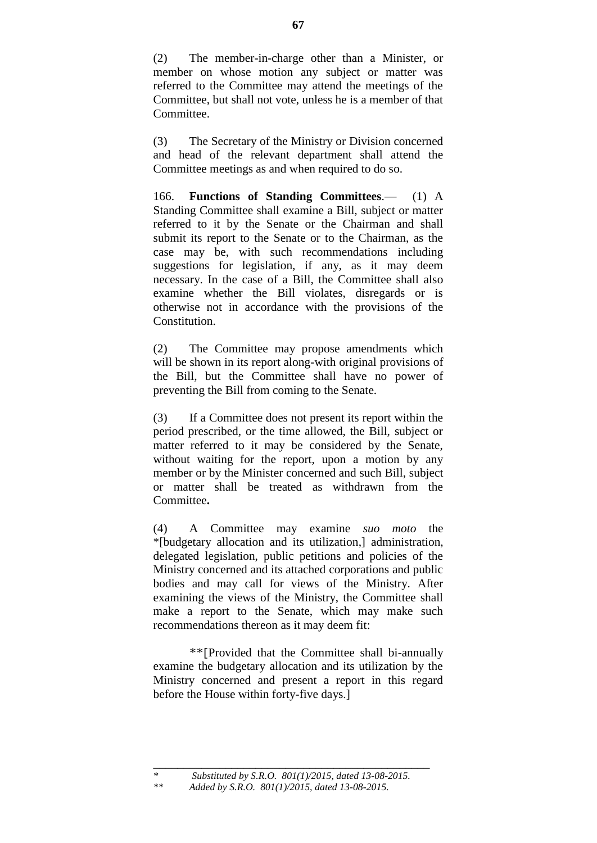(2) The member-in-charge other than a Minister, or member on whose motion any subject or matter was referred to the Committee may attend the meetings of the Committee, but shall not vote, unless he is a member of that Committee.

(3) The Secretary of the Ministry or Division concerned and head of the relevant department shall attend the Committee meetings as and when required to do so.

166. **Functions of Standing Committees**.— (1) A Standing Committee shall examine a Bill, subject or matter referred to it by the Senate or the Chairman and shall submit its report to the Senate or to the Chairman, as the case may be, with such recommendations including suggestions for legislation, if any, as it may deem necessary. In the case of a Bill, the Committee shall also examine whether the Bill violates, disregards or is otherwise not in accordance with the provisions of the Constitution.

(2) The Committee may propose amendments which will be shown in its report along-with original provisions of the Bill, but the Committee shall have no power of preventing the Bill from coming to the Senate.

(3) If a Committee does not present its report within the period prescribed, or the time allowed, the Bill, subject or matter referred to it may be considered by the Senate, without waiting for the report, upon a motion by any member or by the Minister concerned and such Bill, subject or matter shall be treated as withdrawn from the Committee**.**

(4) A Committee may examine *suo moto* the \*[budgetary allocation and its utilization,] administration, delegated legislation, public petitions and policies of the Ministry concerned and its attached corporations and public bodies and may call for views of the Ministry. After examining the views of the Ministry, the Committee shall make a report to the Senate, which may make such recommendations thereon as it may deem fit:

\*\*[Provided that the Committee shall bi-annually examine the budgetary allocation and its utilization by the Ministry concerned and present a report in this regard before the House within forty-five days.]

*\*\* Added by S.R.O. 801(1)/2015, dated 13-08-2015.*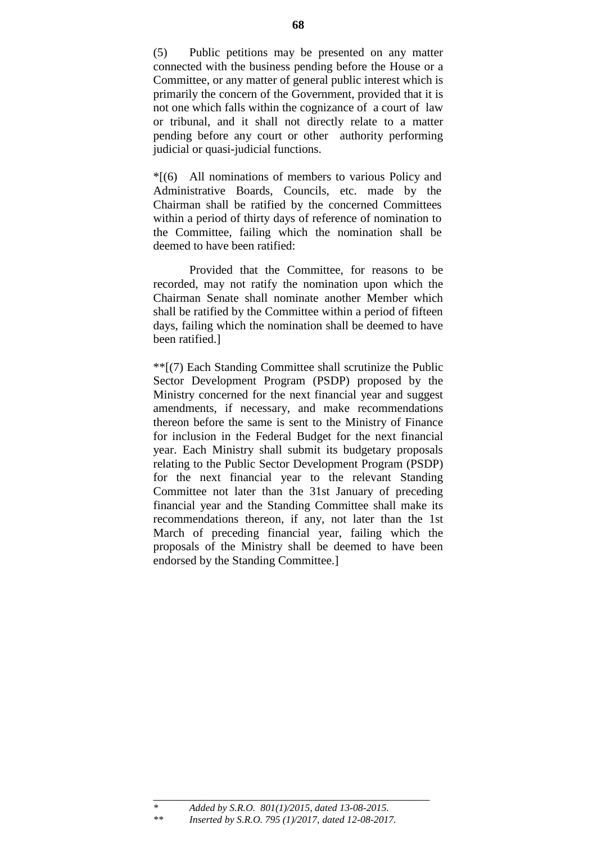(5) Public petitions may be presented on any matter connected with the business pending before the House or a Committee, or any matter of general public interest which is primarily the concern of the Government, provided that it is not one which falls within the cognizance of a court of law or tribunal, and it shall not directly relate to a matter pending before any court or other authority performing judicial or quasi-judicial functions.

\*[(6) All nominations of members to various Policy and Administrative Boards, Councils, etc. made by the Chairman shall be ratified by the concerned Committees within a period of thirty days of reference of nomination to the Committee, failing which the nomination shall be deemed to have been ratified:

Provided that the Committee, for reasons to be recorded, may not ratify the nomination upon which the Chairman Senate shall nominate another Member which shall be ratified by the Committee within a period of fifteen days, failing which the nomination shall be deemed to have been ratified.]

\*\*[(7) Each Standing Committee shall scrutinize the Public Sector Development Program (PSDP) proposed by the Ministry concerned for the next financial year and suggest amendments, if necessary, and make recommendations thereon before the same is sent to the Ministry of Finance for inclusion in the Federal Budget for the next financial year. Each Ministry shall submit its budgetary proposals relating to the Public Sector Development Program (PSDP) for the next financial year to the relevant Standing Committee not later than the 31st January of preceding financial year and the Standing Committee shall make its recommendations thereon, if any, not later than the 1st March of preceding financial year, failing which the proposals of the Ministry shall be deemed to have been endorsed by the Standing Committee.]

\_\_\_\_\_\_\_\_\_\_\_\_\_\_\_\_\_\_\_\_\_\_\_\_\_\_\_\_\_\_\_\_\_\_\_\_\_\_\_\_\_\_\_\_\_\_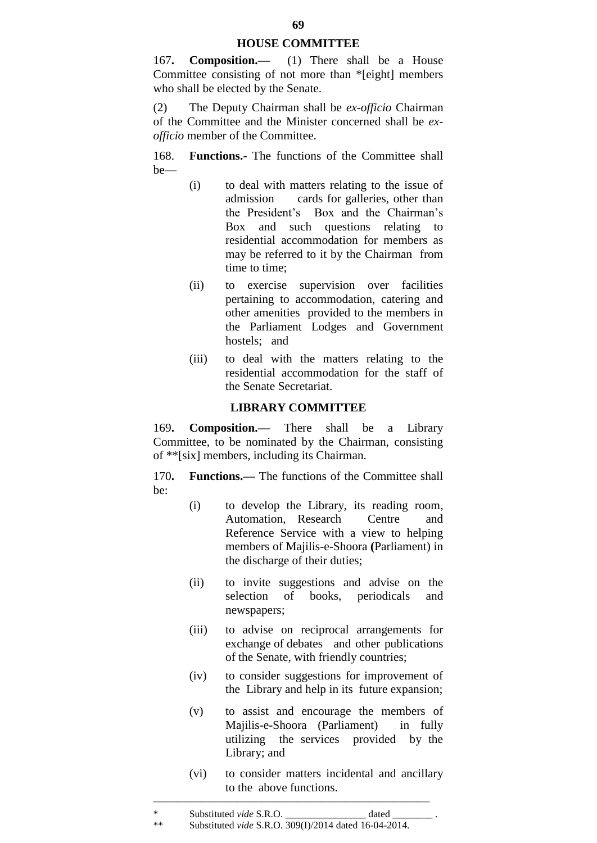#### **HOUSE COMMITTEE**

167**. Composition.—** (1) There shall be a House Committee consisting of not more than \*[eight] members who shall be elected by the Senate.

(2) The Deputy Chairman shall be *ex-officio* Chairman of the Committee and the Minister concerned shall be *exofficio* member of the Committee.

168. **Functions.-** The functions of the Committee shall be—

- (i) to deal with matters relating to the issue of admission cards for galleries, other than the President"s Box and the Chairman"s Box and such questions relating to residential accommodation for members as may be referred to it by the Chairman from time to time;
- (ii) to exercise supervision over facilities pertaining to accommodation, catering and other amenities provided to the members in the Parliament Lodges and Government hostels; and
- (iii) to deal with the matters relating to the residential accommodation for the staff of the Senate Secretariat.

### **LIBRARY COMMITTEE**

169**. Composition.—** There shall be a Library Committee, to be nominated by the Chairman, consisting of \*\*[six] members, including its Chairman.

170**. Functions.—** The functions of the Committee shall be:

- (i) to develop the Library, its reading room, Automation, Research Centre and Reference Service with a view to helping members of Majilis-e-Shoora **(**Parliament) in the discharge of their duties;
- (ii) to invite suggestions and advise on the selection of books, periodicals and newspapers;
- (iii) to advise on reciprocal arrangements for exchange of debates and other publications of the Senate, with friendly countries;
- (iv) to consider suggestions for improvement of the Library and help in its future expansion;
- (v) to assist and encourage the members of Majilis-e-Shoora (Parliament) in fully utilizing the services provided by the Library; and
- (vi) to consider matters incidental and ancillary to the above functions.

 $\frac{1}{\sqrt{2}}$  , and the contract of the contract of the contract of the contract of the contract of the contract of the contract of the contract of the contract of the contract of the contract of the contract of the contra

<sup>\*</sup> Substituted *vide* S.R.O. \_\_\_\_\_\_\_\_\_\_\_\_\_\_\_\_ dated \_\_\_\_\_\_\_\_ . \*\* Substituted *vide* S.R.O. 309(I)/2014 dated 16-04-2014.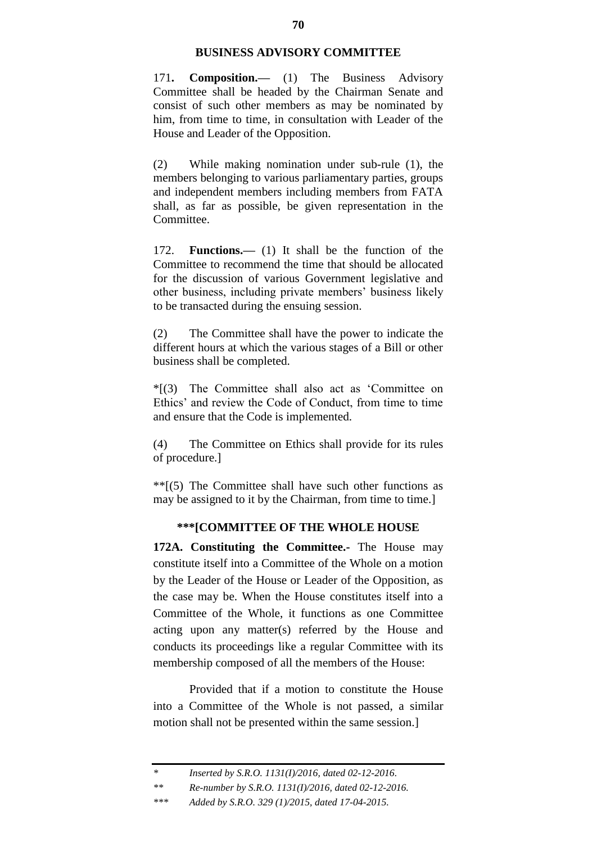#### **BUSINESS ADVISORY COMMITTEE**

171**. Composition.—** (1) The Business Advisory Committee shall be headed by the Chairman Senate and consist of such other members as may be nominated by him, from time to time, in consultation with Leader of the House and Leader of the Opposition.

(2) While making nomination under sub-rule (1), the members belonging to various parliamentary parties, groups and independent members including members from FATA shall, as far as possible, be given representation in the Committee.

172. **Functions.—** (1) It shall be the function of the Committee to recommend the time that should be allocated for the discussion of various Government legislative and other business, including private members" business likely to be transacted during the ensuing session.

(2) The Committee shall have the power to indicate the different hours at which the various stages of a Bill or other business shall be completed.

\*[(3) The Committee shall also act as "Committee on Ethics" and review the Code of Conduct, from time to time and ensure that the Code is implemented.

(4) The Committee on Ethics shall provide for its rules of procedure.]

 $**$ [(5) The Committee shall have such other functions as may be assigned to it by the Chairman, from time to time.]

## **\*\*\*[COMMITTEE OF THE WHOLE HOUSE**

**172A. Constituting the Committee.-** The House may constitute itself into a Committee of the Whole on a motion by the Leader of the House or Leader of the Opposition, as the case may be. When the House constitutes itself into a Committee of the Whole, it functions as one Committee acting upon any matter(s) referred by the House and conducts its proceedings like a regular Committee with its membership composed of all the members of the House:

Provided that if a motion to constitute the House into a Committee of the Whole is not passed, a similar motion shall not be presented within the same session.]

*<sup>\*</sup> Inserted by S.R.O. 1131(I)/2016, dated 02-12-2016.*

*<sup>\*\*</sup> Re-number by S.R.O. 1131(I)/2016, dated 02-12-2016.*

*<sup>\*\*\*</sup> Added by S.R.O. 329 (1)/2015, dated 17-04-2015.*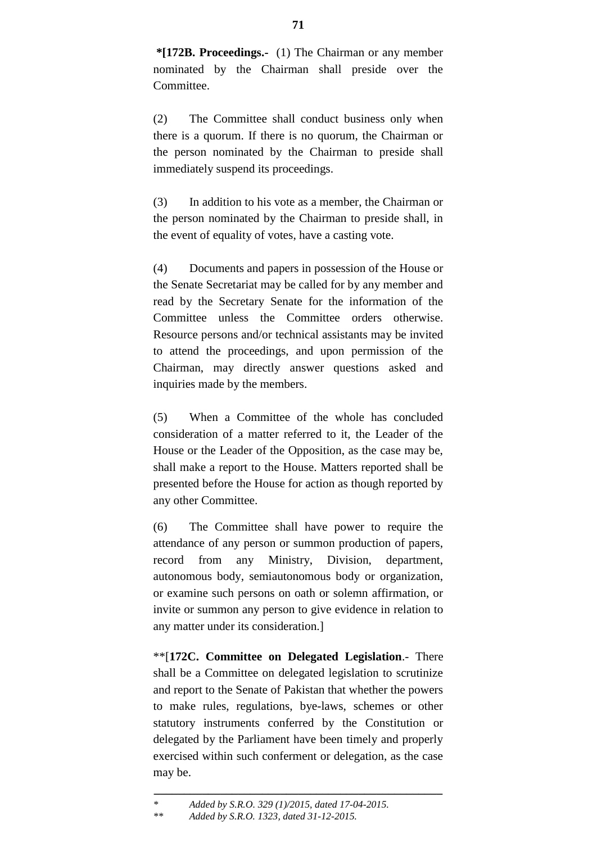**\*[172B. Proceedings.-** (1) The Chairman or any member nominated by the Chairman shall preside over the Committee.

(2) The Committee shall conduct business only when there is a quorum. If there is no quorum, the Chairman or the person nominated by the Chairman to preside shall immediately suspend its proceedings.

(3) In addition to his vote as a member, the Chairman or the person nominated by the Chairman to preside shall, in the event of equality of votes, have a casting vote.

(4) Documents and papers in possession of the House or the Senate Secretariat may be called for by any member and read by the Secretary Senate for the information of the Committee unless the Committee orders otherwise. Resource persons and/or technical assistants may be invited to attend the proceedings, and upon permission of the Chairman, may directly answer questions asked and inquiries made by the members.

(5) When a Committee of the whole has concluded consideration of a matter referred to it, the Leader of the House or the Leader of the Opposition, as the case may be, shall make a report to the House. Matters reported shall be presented before the House for action as though reported by any other Committee.

(6) The Committee shall have power to require the attendance of any person or summon production of papers, record from any Ministry, Division, department, autonomous body, semiautonomous body or organization, or examine such persons on oath or solemn affirmation, or invite or summon any person to give evidence in relation to any matter under its consideration.]

\*\*[**172C. Committee on Delegated Legislation**.- There shall be a Committee on delegated legislation to scrutinize and report to the Senate of Pakistan that whether the powers to make rules, regulations, bye-laws, schemes or other statutory instruments conferred by the Constitution or delegated by the Parliament have been timely and properly exercised within such conferment or delegation, as the case may be.

**\_\_\_\_\_\_\_\_\_\_\_\_\_\_\_\_\_\_\_\_\_\_\_\_\_\_\_\_\_\_\_\_\_\_\_\_\_\_\_\_\_\_\_\_\_\_\_\_**

*<sup>\*</sup> Added by S.R.O. 329 (1)/2015, dated 17-04-2015.*

*<sup>\*\*</sup> Added by S.R.O. 1323, dated 31-12-2015.*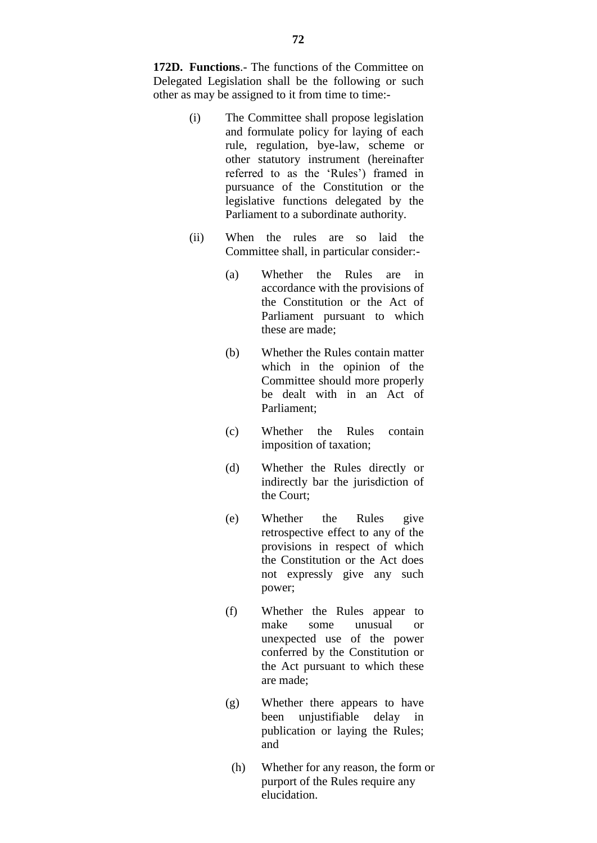**172D. Functions**.- The functions of the Committee on Delegated Legislation shall be the following or such other as may be assigned to it from time to time:-

- (i) The Committee shall propose legislation and formulate policy for laying of each rule, regulation, bye-law, scheme or other statutory instrument (hereinafter referred to as the 'Rules') framed in pursuance of the Constitution or the legislative functions delegated by the Parliament to a subordinate authority.
- (ii) When the rules are so laid the Committee shall, in particular consider:-
	- (a) Whether the Rules are in accordance with the provisions of the Constitution or the Act of Parliament pursuant to which these are made;
	- (b) Whether the Rules contain matter which in the opinion of the Committee should more properly be dealt with in an Act of Parliament;
	- (c) Whether the Rules contain imposition of taxation;
	- (d) Whether the Rules directly or indirectly bar the jurisdiction of the Court;
	- (e) Whether the Rules give retrospective effect to any of the provisions in respect of which the Constitution or the Act does not expressly give any such power;
	- (f) Whether the Rules appear to make some unusual or unexpected use of the power conferred by the Constitution or the Act pursuant to which these are made;
	- (g) Whether there appears to have been unjustifiable delay in publication or laying the Rules; and
		- (h) Whether for any reason, the form or purport of the Rules require any elucidation.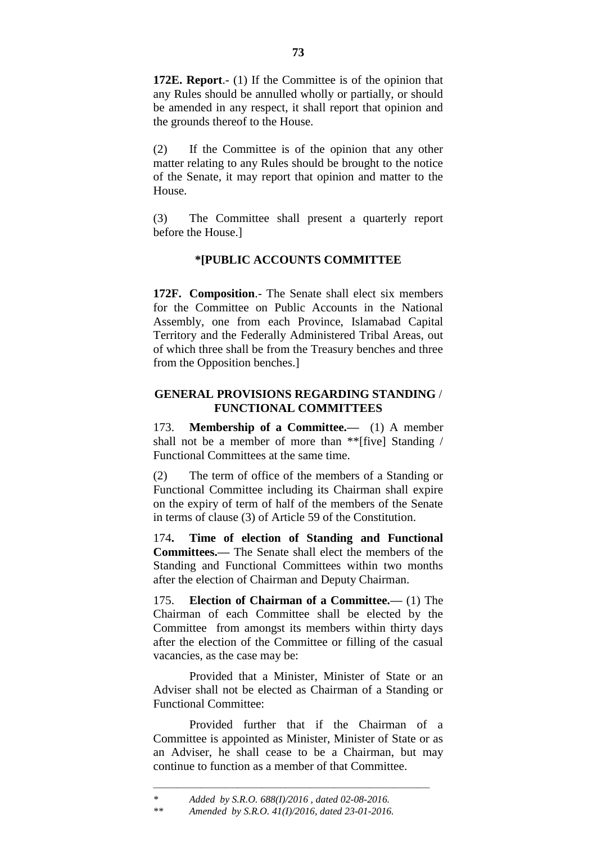**172E. Report**.- (1) If the Committee is of the opinion that any Rules should be annulled wholly or partially, or should be amended in any respect, it shall report that opinion and the grounds thereof to the House.

(2) If the Committee is of the opinion that any other matter relating to any Rules should be brought to the notice of the Senate, it may report that opinion and matter to the House.

(3) The Committee shall present a quarterly report before the House.]

# **\*[PUBLIC ACCOUNTS COMMITTEE**

**172F. Composition**.- The Senate shall elect six members for the Committee on Public Accounts in the National Assembly, one from each Province, Islamabad Capital Territory and the Federally Administered Tribal Areas, out of which three shall be from the Treasury benches and three from the Opposition benches.]

## **GENERAL PROVISIONS REGARDING STANDING** / **FUNCTIONAL COMMITTEES**

173. **Membership of a Committee.—** (1) A member shall not be a member of more than \*\*[five] Standing / Functional Committees at the same time.

(2) The term of office of the members of a Standing or Functional Committee including its Chairman shall expire on the expiry of term of half of the members of the Senate in terms of clause (3) of Article 59 of the Constitution.

174**. Time of election of Standing and Functional Committees.—** The Senate shall elect the members of the Standing and Functional Committees within two months after the election of Chairman and Deputy Chairman.

175. **Election of Chairman of a Committee.—** (1) The Chairman of each Committee shall be elected by the Committee from amongst its members within thirty days after the election of the Committee or filling of the casual vacancies, as the case may be:

Provided that a Minister, Minister of State or an Adviser shall not be elected as Chairman of a Standing or Functional Committee:

Provided further that if the Chairman of a Committee is appointed as Minister, Minister of State or as an Adviser, he shall cease to be a Chairman, but may continue to function as a member of that Committee.

———————————————————————

*<sup>\*</sup> Added by S.R.O. 688(I)/2016 , dated 02-08-2016.*

*<sup>\*\*</sup> Amended by S.R.O. 41(I)/2016, dated 23-01-2016.*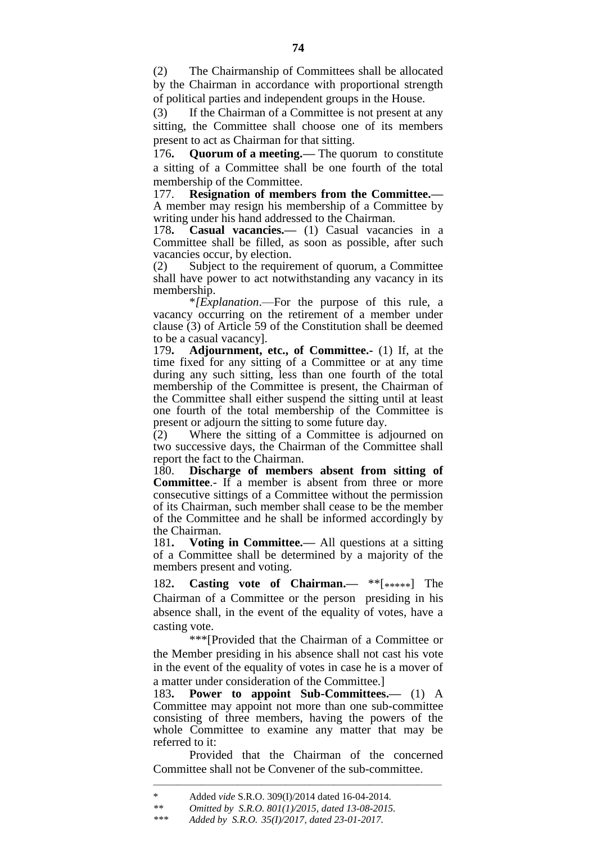(2) The Chairmanship of Committees shall be allocated by the Chairman in accordance with proportional strength of political parties and independent groups in the House.

(3) If the Chairman of a Committee is not present at any sitting, the Committee shall choose one of its members present to act as Chairman for that sitting.

176**. Quorum of a meeting.—** The quorum to constitute a sitting of a Committee shall be one fourth of the total membership of the Committee.

177. **Resignation of members from the Committee.—** A member may resign his membership of a Committee by writing under his hand addressed to the Chairman.

178**. Casual vacancies.—** (1) Casual vacancies in a Committee shall be filled, as soon as possible, after such vacancies occur, by election.

(2) Subject to the requirement of quorum, a Committee shall have power to act notwithstanding any vacancy in its membership.

\**[Explanation*.—For the purpose of this rule, a vacancy occurring on the retirement of a member under clause (3) of Article 59 of the Constitution shall be deemed to be a casual vacancy].

179**. Adjournment, etc., of Committee.-** (1) If, at the time fixed for any sitting of a Committee or at any time during any such sitting, less than one fourth of the total membership of the Committee is present, the Chairman of the Committee shall either suspend the sitting until at least one fourth of the total membership of the Committee is present or adjourn the sitting to some future day.

(2) Where the sitting of a Committee is adjourned on two successive days, the Chairman of the Committee shall report the fact to the Chairman.

180. **Discharge of members absent from sitting of Committee**.- If a member is absent from three or more consecutive sittings of a Committee without the permission of its Chairman, such member shall cease to be the member of the Committee and he shall be informed accordingly by the Chairman.

181**. Voting in Committee.—** All questions at a sitting of a Committee shall be determined by a majority of the members present and voting.

182**. Casting vote of Chairman.—** \*\*[\*\*\*\*\*] The Chairman of a Committee or the person presiding in his absence shall, in the event of the equality of votes, have a casting vote.

\*\*\*[Provided that the Chairman of a Committee or the Member presiding in his absence shall not cast his vote in the event of the equality of votes in case he is a mover of a matter under consideration of the Committee.]

183**. Power to appoint Sub-Committees.—** (1) A Committee may appoint not more than one sub-committee consisting of three members, having the powers of the whole Committee to examine any matter that may be referred to it:

Provided that the Chairman of the concerned Committee shall not be Convener of the sub-committee.

————————————————————————

<sup>\*&</sup>lt;br>Added *vide* S.R.O. 309(I)/2014 dated 16-04-2014.<br>*\*\** Omitted by S.R.O. 801(1)/2015, dated 13-08-2015

*<sup>\*\*</sup> Omitted by S.R.O. 801(1)/2015, dated 13-08-2015.*

*<sup>\*\*\*</sup> Added by S.R.O. 35(I)/2017, dated 23-01-2017.*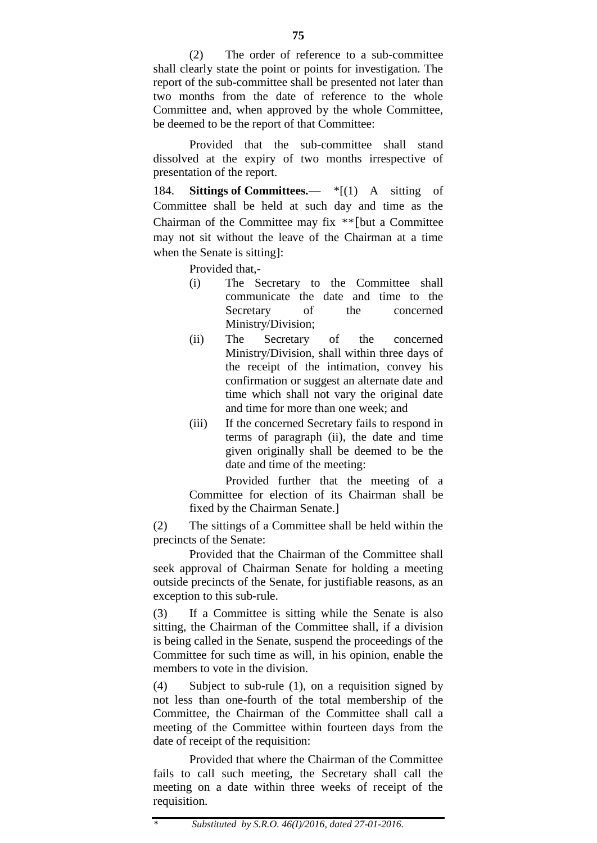(2) The order of reference to a sub-committee shall clearly state the point or points for investigation. The report of the sub-committee shall be presented not later than two months from the date of reference to the whole Committee and, when approved by the whole Committee, be deemed to be the report of that Committee:

Provided that the sub-committee shall stand dissolved at the expiry of two months irrespective of presentation of the report.

184. **Sittings of Committees.—** \*[(1) A sitting of Committee shall be held at such day and time as the Chairman of the Committee may fix  $**$ [but a Committee may not sit without the leave of the Chairman at a time when the Senate is sitting]:

Provided that,-

- (i) The Secretary to the Committee shall communicate the date and time to the Secretary of the concerned Ministry/Division;
- (ii) The Secretary of the concerned Ministry/Division, shall within three days of the receipt of the intimation, convey his confirmation or suggest an alternate date and time which shall not vary the original date and time for more than one week; and
- (iii) If the concerned Secretary fails to respond in terms of paragraph (ii), the date and time given originally shall be deemed to be the date and time of the meeting:

Provided further that the meeting of a Committee for election of its Chairman shall be fixed by the Chairman Senate.]

(2) The sittings of a Committee shall be held within the precincts of the Senate:

Provided that the Chairman of the Committee shall seek approval of Chairman Senate for holding a meeting outside precincts of the Senate, for justifiable reasons, as an exception to this sub-rule.

(3) If a Committee is sitting while the Senate is also sitting, the Chairman of the Committee shall, if a division is being called in the Senate, suspend the proceedings of the Committee for such time as will, in his opinion, enable the members to vote in the division.

(4) Subject to sub-rule (1), on a requisition signed by not less than one-fourth of the total membership of the Committee, the Chairman of the Committee shall call a meeting of the Committee within fourteen days from the date of receipt of the requisition:

Provided that where the Chairman of the Committee fails to call such meeting, the Secretary shall call the meeting on a date within three weeks of receipt of the requisition.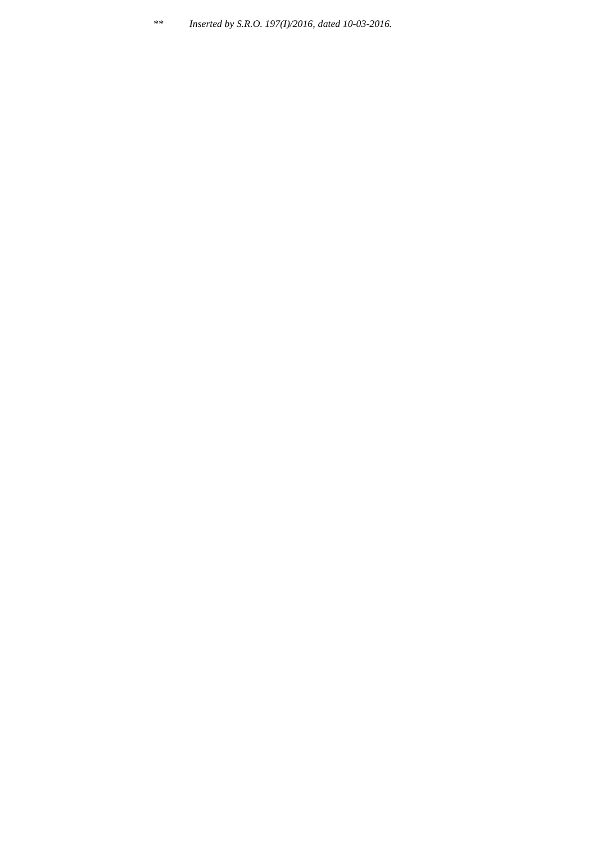*\*\* Inserted by S.R.O. 197(I)/2016, dated 10-03-2016.*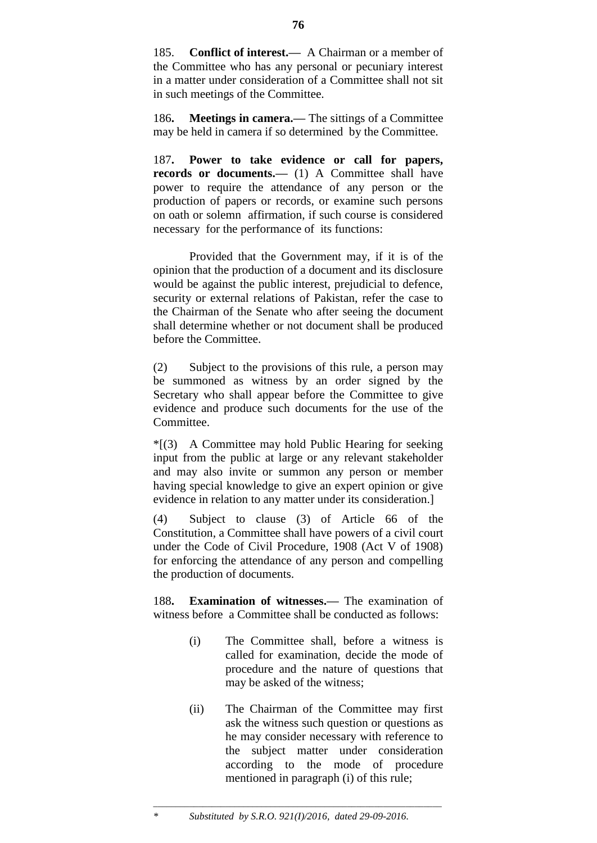185. **Conflict of interest.—** A Chairman or a member of the Committee who has any personal or pecuniary interest in a matter under consideration of a Committee shall not sit in such meetings of the Committee.

186**. Meetings in camera.—** The sittings of a Committee may be held in camera if so determined by the Committee.

187**. Power to take evidence or call for papers,**  records or documents.— (1) A Committee shall have power to require the attendance of any person or the production of papers or records, or examine such persons on oath or solemn affirmation, if such course is considered necessary for the performance of its functions:

Provided that the Government may, if it is of the opinion that the production of a document and its disclosure would be against the public interest, prejudicial to defence, security or external relations of Pakistan, refer the case to the Chairman of the Senate who after seeing the document shall determine whether or not document shall be produced before the Committee.

(2) Subject to the provisions of this rule, a person may be summoned as witness by an order signed by the Secretary who shall appear before the Committee to give evidence and produce such documents for the use of the Committee.

\*[(3) A Committee may hold Public Hearing for seeking input from the public at large or any relevant stakeholder and may also invite or summon any person or member having special knowledge to give an expert opinion or give evidence in relation to any matter under its consideration.]

(4) Subject to clause (3) of Article 66 of the Constitution, a Committee shall have powers of a civil court under the Code of Civil Procedure, 1908 (Act V of 1908) for enforcing the attendance of any person and compelling the production of documents.

188**. Examination of witnesses.—** The examination of witness before a Committee shall be conducted as follows:

- (i) The Committee shall, before a witness is called for examination, decide the mode of procedure and the nature of questions that may be asked of the witness;
- (ii) The Chairman of the Committee may first ask the witness such question or questions as he may consider necessary with reference to the subject matter under consideration according to the mode of procedure mentioned in paragraph (i) of this rule;

**76**

\_\_\_\_\_\_\_\_\_\_\_\_\_\_\_\_\_\_\_\_\_\_\_\_\_\_\_\_\_\_\_\_\_\_\_\_\_\_\_\_\_\_\_\_\_\_\_\_\_\_\_\_\_\_\_\_\_\_\_\_\_\_\_\_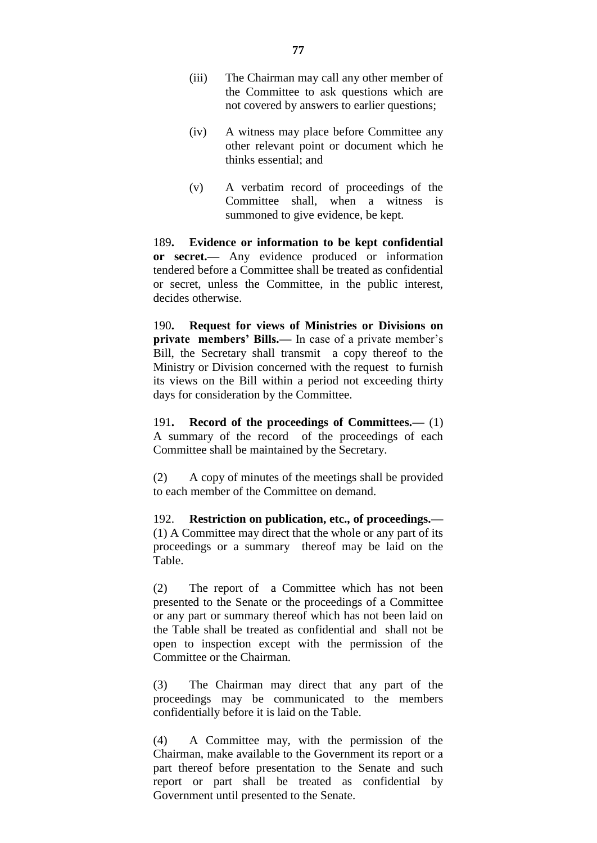- (iii) The Chairman may call any other member of the Committee to ask questions which are not covered by answers to earlier questions;
- (iv) A witness may place before Committee any other relevant point or document which he thinks essential; and
- (v) A verbatim record of proceedings of the Committee shall, when a witness is summoned to give evidence, be kept.

189**. Evidence or information to be kept confidential or secret.—** Any evidence produced or information tendered before a Committee shall be treated as confidential or secret, unless the Committee, in the public interest, decides otherwise.

190**. Request for views of Ministries or Divisions on private members' Bills.—** In case of a private member's Bill, the Secretary shall transmit a copy thereof to the Ministry or Division concerned with the request to furnish its views on the Bill within a period not exceeding thirty days for consideration by the Committee.

191**. Record of the proceedings of Committees.—** (1) A summary of the record of the proceedings of each Committee shall be maintained by the Secretary.

(2) A copy of minutes of the meetings shall be provided to each member of the Committee on demand.

192. **Restriction on publication, etc., of proceedings.—** (1) A Committee may direct that the whole or any part of its proceedings or a summary thereof may be laid on the Table.

(2) The report of a Committee which has not been presented to the Senate or the proceedings of a Committee or any part or summary thereof which has not been laid on the Table shall be treated as confidential and shall not be open to inspection except with the permission of the Committee or the Chairman.

(3) The Chairman may direct that any part of the proceedings may be communicated to the members confidentially before it is laid on the Table.

(4) A Committee may, with the permission of the Chairman, make available to the Government its report or a part thereof before presentation to the Senate and such report or part shall be treated as confidential by Government until presented to the Senate.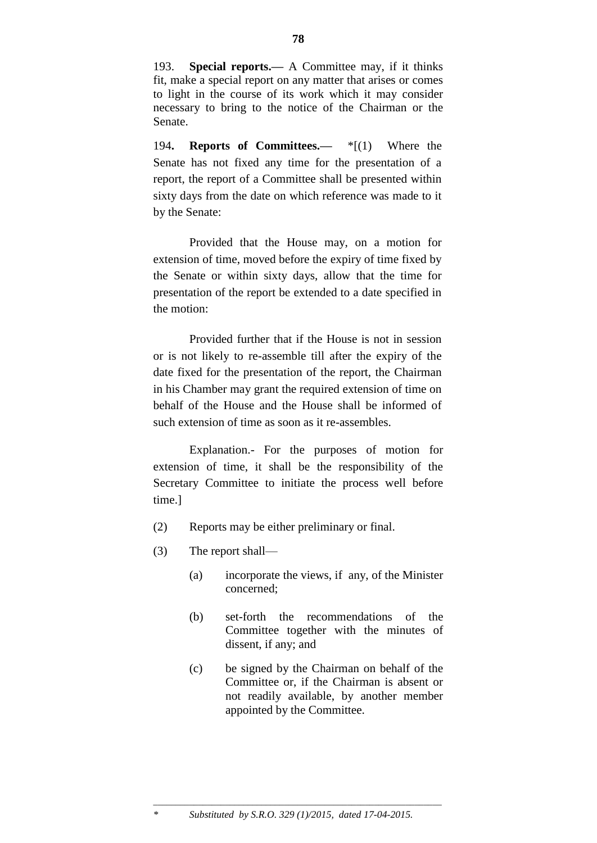193. **Special reports.—** A Committee may, if it thinks fit, make a special report on any matter that arises or comes to light in the course of its work which it may consider necessary to bring to the notice of the Chairman or the Senate.

194**. Reports of Committees.—** \*[(1) Where the Senate has not fixed any time for the presentation of a report, the report of a Committee shall be presented within sixty days from the date on which reference was made to it by the Senate:

Provided that the House may, on a motion for extension of time, moved before the expiry of time fixed by the Senate or within sixty days, allow that the time for presentation of the report be extended to a date specified in the motion:

Provided further that if the House is not in session or is not likely to re-assemble till after the expiry of the date fixed for the presentation of the report, the Chairman in his Chamber may grant the required extension of time on behalf of the House and the House shall be informed of such extension of time as soon as it re-assembles.

Explanation.- For the purposes of motion for extension of time, it shall be the responsibility of the Secretary Committee to initiate the process well before time.]

- (2) Reports may be either preliminary or final.
- (3) The report shall—
	- (a) incorporate the views, if any, of the Minister concerned;
	- (b) set-forth the recommendations of the Committee together with the minutes of dissent, if any; and
	- (c) be signed by the Chairman on behalf of the Committee or, if the Chairman is absent or not readily available, by another member appointed by the Committee.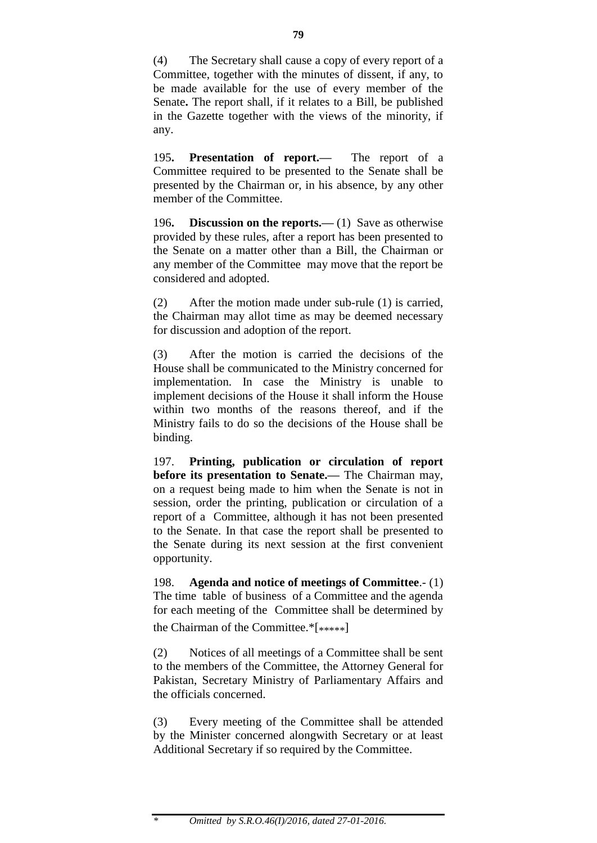(4) The Secretary shall cause a copy of every report of a Committee, together with the minutes of dissent, if any, to be made available for the use of every member of the Senate**.** The report shall, if it relates to a Bill, be published in the Gazette together with the views of the minority, if any.

195**. Presentation of report.—** The report of a Committee required to be presented to the Senate shall be presented by the Chairman or, in his absence, by any other member of the Committee.

196**. Discussion on the reports.—** (1) Save as otherwise provided by these rules, after a report has been presented to the Senate on a matter other than a Bill, the Chairman or any member of the Committee may move that the report be considered and adopted.

(2) After the motion made under sub-rule (1) is carried, the Chairman may allot time as may be deemed necessary for discussion and adoption of the report.

(3) After the motion is carried the decisions of the House shall be communicated to the Ministry concerned for implementation. In case the Ministry is unable to implement decisions of the House it shall inform the House within two months of the reasons thereof, and if the Ministry fails to do so the decisions of the House shall be binding.

197. **Printing, publication or circulation of report before its presentation to Senate.—** The Chairman may, on a request being made to him when the Senate is not in session, order the printing, publication or circulation of a report of a Committee, although it has not been presented to the Senate. In that case the report shall be presented to the Senate during its next session at the first convenient opportunity.

198. **Agenda and notice of meetings of Committee**.- (1) The time table of business of a Committee and the agenda for each meeting of the Committee shall be determined by the Chairman of the Committee.\*[\*\*\*\*\*]

(2) Notices of all meetings of a Committee shall be sent to the members of the Committee, the Attorney General for Pakistan, Secretary Ministry of Parliamentary Affairs and the officials concerned.

(3) Every meeting of the Committee shall be attended by the Minister concerned alongwith Secretary or at least Additional Secretary if so required by the Committee.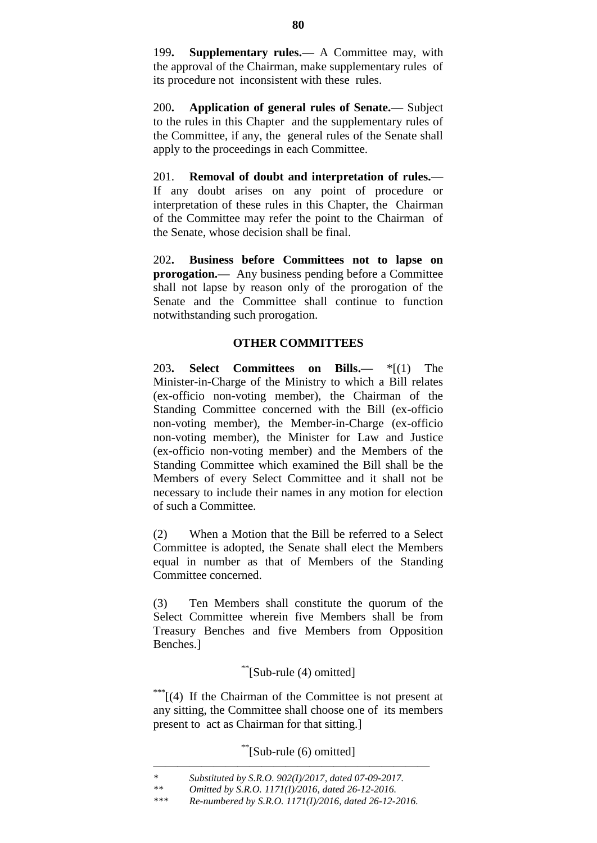199**. Supplementary rules.—** A Committee may, with the approval of the Chairman, make supplementary rules of its procedure not inconsistent with these rules.

200**. Application of general rules of Senate.—** Subject to the rules in this Chapter and the supplementary rules of the Committee, if any, the general rules of the Senate shall apply to the proceedings in each Committee.

201. **Removal of doubt and interpretation of rules.—**  If any doubt arises on any point of procedure or interpretation of these rules in this Chapter, the Chairman of the Committee may refer the point to the Chairman of the Senate, whose decision shall be final.

202**. Business before Committees not to lapse on prorogation.—** Any business pending before a Committee shall not lapse by reason only of the prorogation of the Senate and the Committee shall continue to function notwithstanding such prorogation.

# **OTHER COMMITTEES**

203**. Select Committees on Bills.—** \*[(1) The Minister-in-Charge of the Ministry to which a Bill relates (ex-officio non-voting member), the Chairman of the Standing Committee concerned with the Bill (ex-officio non-voting member), the Member-in-Charge (ex-officio non-voting member), the Minister for Law and Justice (ex-officio non-voting member) and the Members of the Standing Committee which examined the Bill shall be the Members of every Select Committee and it shall not be necessary to include their names in any motion for election of such a Committee.

(2) When a Motion that the Bill be referred to a Select Committee is adopted, the Senate shall elect the Members equal in number as that of Members of the Standing Committee concerned.

(3) Ten Members shall constitute the quorum of the Select Committee wherein five Members shall be from Treasury Benches and five Members from Opposition Benches.]

# \*\*[Sub-rule (4) omitted]

\*\*\*<sup>\*</sup>[(4) If the Chairman of the Committee is not present at any sitting, the Committee shall choose one of its members present to act as Chairman for that sitting.]

\*\*[Sub-rule (6) omitted]

<sup>———————————————————————</sup> *\* Substituted by S.R.O. 902(I)/2017, dated 07-09-2017.*

*<sup>\*\*</sup> Omitted by S.R.O. 1171(I)/2016, dated 26-12-2016.*

*<sup>\*\*\*</sup> Re-numbered by S.R.O. 1171(I)/2016, dated 26-12-2016.*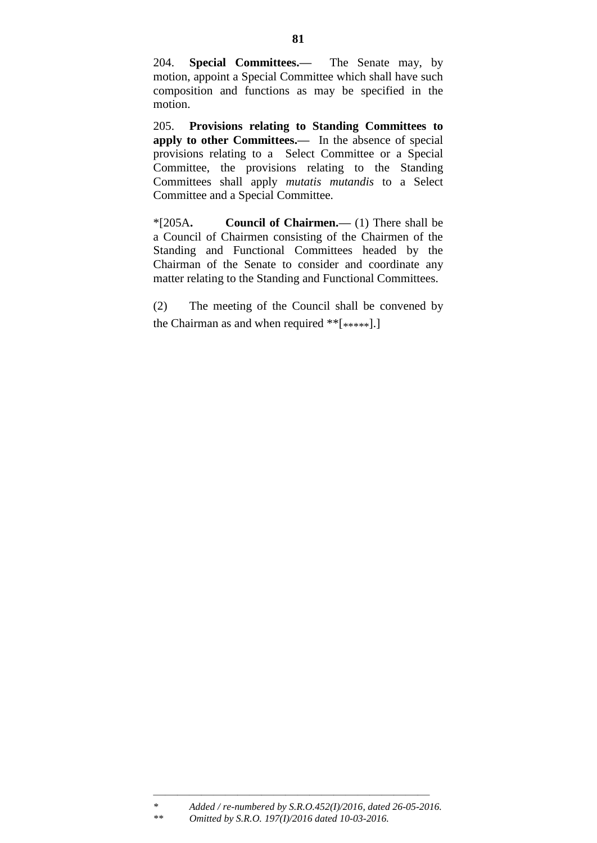204. **Special Committees.—** The Senate may, by motion, appoint a Special Committee which shall have such composition and functions as may be specified in the motion.

205. **Provisions relating to Standing Committees to apply to other Committees.—** In the absence of special provisions relating to a Select Committee or a Special Committee, the provisions relating to the Standing Committees shall apply *mutatis mutandis* to a Select Committee and a Special Committee.

\*[205A**. Council of Chairmen.—** (1) There shall be a Council of Chairmen consisting of the Chairmen of the Standing and Functional Committees headed by the Chairman of the Senate to consider and coordinate any matter relating to the Standing and Functional Committees.

(2) The meeting of the Council shall be convened by the Chairman as and when required \*\*[\*\*\*\*\*].]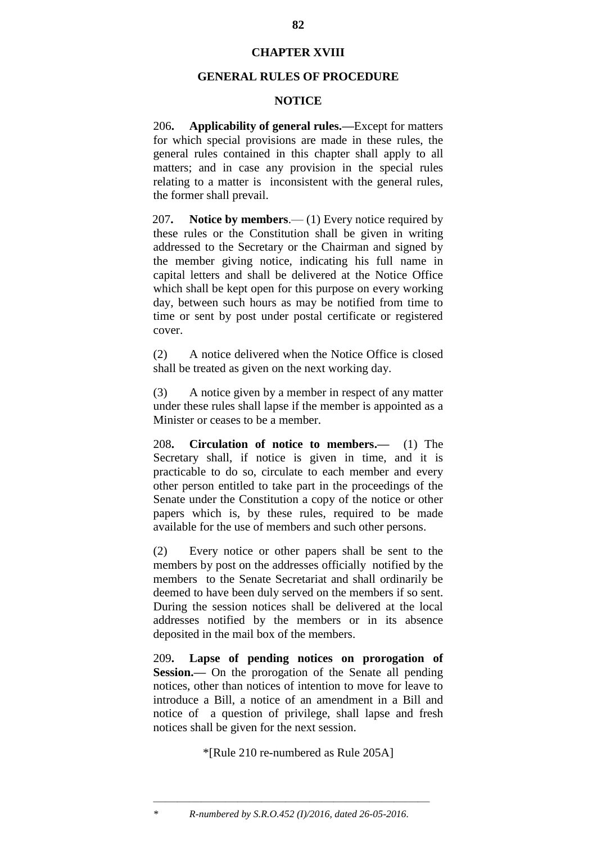# **CHAPTER XVIII**

# **GENERAL RULES OF PROCEDURE**

## **NOTICE**

206**. Applicability of general rules.—**Except for matters for which special provisions are made in these rules, the general rules contained in this chapter shall apply to all matters; and in case any provision in the special rules relating to a matter is inconsistent with the general rules, the former shall prevail.

207**. Notice by members**.— (1) Every notice required by these rules or the Constitution shall be given in writing addressed to the Secretary or the Chairman and signed by the member giving notice, indicating his full name in capital letters and shall be delivered at the Notice Office which shall be kept open for this purpose on every working day, between such hours as may be notified from time to time or sent by post under postal certificate or registered cover.

(2) A notice delivered when the Notice Office is closed shall be treated as given on the next working day.

(3) A notice given by a member in respect of any matter under these rules shall lapse if the member is appointed as a Minister or ceases to be a member.

208**. Circulation of notice to members.—** (1) The Secretary shall, if notice is given in time, and it is practicable to do so, circulate to each member and every other person entitled to take part in the proceedings of the Senate under the Constitution a copy of the notice or other papers which is, by these rules, required to be made available for the use of members and such other persons.

(2) Every notice or other papers shall be sent to the members by post on the addresses officially notified by the members to the Senate Secretariat and shall ordinarily be deemed to have been duly served on the members if so sent. During the session notices shall be delivered at the local addresses notified by the members or in its absence deposited in the mail box of the members.

209**. Lapse of pending notices on prorogation of Session.—** On the prorogation of the Senate all pending notices, other than notices of intention to move for leave to introduce a Bill, a notice of an amendment in a Bill and notice of a question of privilege, shall lapse and fresh notices shall be given for the next session.

\*[Rule 210 re-numbered as Rule 205A]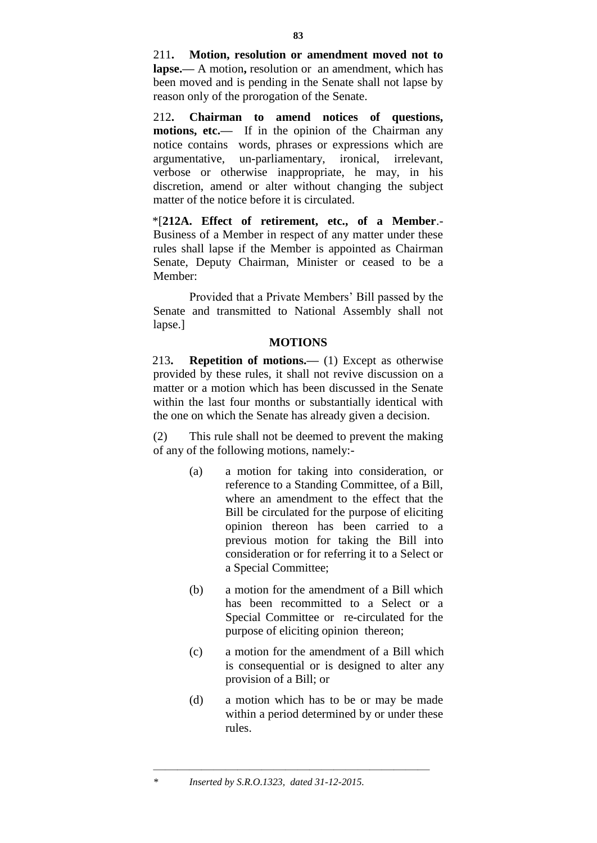211**. Motion, resolution or amendment moved not to lapse.—** A motion**,** resolution or an amendment, which has been moved and is pending in the Senate shall not lapse by reason only of the prorogation of the Senate.

212**. Chairman to amend notices of questions, motions, etc.—** If in the opinion of the Chairman any notice contains words, phrases or expressions which are argumentative, un-parliamentary, ironical, irrelevant, verbose or otherwise inappropriate, he may, in his discretion, amend or alter without changing the subject matter of the notice before it is circulated.

\*[**212A. Effect of retirement, etc., of a Member**.- Business of a Member in respect of any matter under these rules shall lapse if the Member is appointed as Chairman Senate, Deputy Chairman, Minister or ceased to be a Member:

Provided that a Private Members" Bill passed by the Senate and transmitted to National Assembly shall not lapse.]

# **MOTIONS**

213**. Repetition of motions.—** (1) Except as otherwise provided by these rules, it shall not revive discussion on a matter or a motion which has been discussed in the Senate within the last four months or substantially identical with the one on which the Senate has already given a decision.

(2) This rule shall not be deemed to prevent the making of any of the following motions, namely:-

- (a) a motion for taking into consideration, or reference to a Standing Committee, of a Bill, where an amendment to the effect that the Bill be circulated for the purpose of eliciting opinion thereon has been carried to a previous motion for taking the Bill into consideration or for referring it to a Select or a Special Committee;
- (b) a motion for the amendment of a Bill which has been recommitted to a Select or a Special Committee or re-circulated for the purpose of eliciting opinion thereon;
- (c) a motion for the amendment of a Bill which is consequential or is designed to alter any provision of a Bill; or
- (d) a motion which has to be or may be made within a period determined by or under these rules.

<sup>———————————————————————</sup> *\* Inserted by S.R.O.1323, dated 31-12-2015.*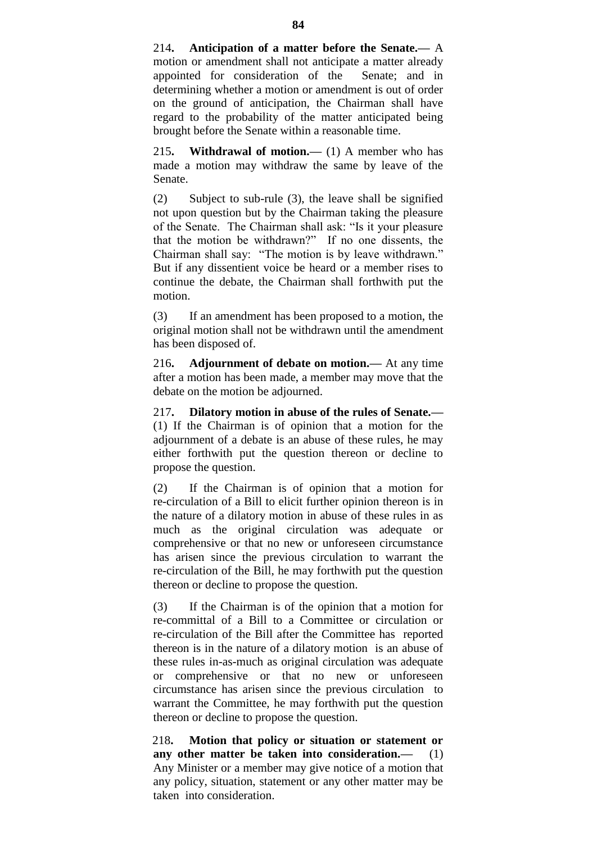214**. Anticipation of a matter before the Senate.—** A motion or amendment shall not anticipate a matter already appointed for consideration of the Senate; and in determining whether a motion or amendment is out of order on the ground of anticipation, the Chairman shall have regard to the probability of the matter anticipated being brought before the Senate within a reasonable time.

215**. Withdrawal of motion.—** (1) A member who has made a motion may withdraw the same by leave of the Senate.

(2) Subject to sub-rule (3), the leave shall be signified not upon question but by the Chairman taking the pleasure of the Senate. The Chairman shall ask: "Is it your pleasure that the motion be withdrawn?" If no one dissents, the Chairman shall say: "The motion is by leave withdrawn." But if any dissentient voice be heard or a member rises to continue the debate, the Chairman shall forthwith put the motion.

(3) If an amendment has been proposed to a motion, the original motion shall not be withdrawn until the amendment has been disposed of.

216**. Adjournment of debate on motion.—** At any time after a motion has been made, a member may move that the debate on the motion be adjourned.

217**. Dilatory motion in abuse of the rules of Senate.—** (1) If the Chairman is of opinion that a motion for the adjournment of a debate is an abuse of these rules, he may either forthwith put the question thereon or decline to propose the question.

(2) If the Chairman is of opinion that a motion for re-circulation of a Bill to elicit further opinion thereon is in the nature of a dilatory motion in abuse of these rules in as much as the original circulation was adequate or comprehensive or that no new or unforeseen circumstance has arisen since the previous circulation to warrant the re-circulation of the Bill, he may forthwith put the question thereon or decline to propose the question.

(3) If the Chairman is of the opinion that a motion for re-committal of a Bill to a Committee or circulation or re-circulation of the Bill after the Committee has reported thereon is in the nature of a dilatory motion is an abuse of these rules in-as-much as original circulation was adequate or comprehensive or that no new or unforeseen circumstance has arisen since the previous circulation to warrant the Committee, he may forthwith put the question thereon or decline to propose the question.

218**. Motion that policy or situation or statement or any other matter be taken into consideration.—** (1) Any Minister or a member may give notice of a motion that any policy, situation, statement or any other matter may be taken into consideration.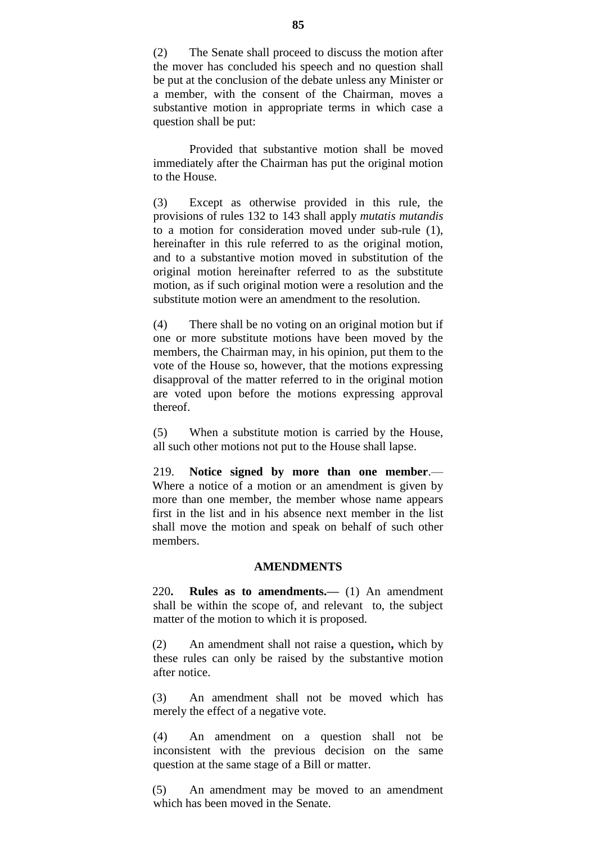(2) The Senate shall proceed to discuss the motion after the mover has concluded his speech and no question shall be put at the conclusion of the debate unless any Minister or a member, with the consent of the Chairman, moves a substantive motion in appropriate terms in which case a question shall be put:

Provided that substantive motion shall be moved immediately after the Chairman has put the original motion to the House.

(3) Except as otherwise provided in this rule, the provisions of rules 132 to 143 shall apply *mutatis mutandis* to a motion for consideration moved under sub-rule (1), hereinafter in this rule referred to as the original motion, and to a substantive motion moved in substitution of the original motion hereinafter referred to as the substitute motion, as if such original motion were a resolution and the substitute motion were an amendment to the resolution.

(4) There shall be no voting on an original motion but if one or more substitute motions have been moved by the members, the Chairman may, in his opinion, put them to the vote of the House so, however, that the motions expressing disapproval of the matter referred to in the original motion are voted upon before the motions expressing approval thereof.

(5) When a substitute motion is carried by the House, all such other motions not put to the House shall lapse.

219. **Notice signed by more than one member**.— Where a notice of a motion or an amendment is given by more than one member, the member whose name appears first in the list and in his absence next member in the list shall move the motion and speak on behalf of such other members.

## **AMENDMENTS**

220**. Rules as to amendments.—** (1) An amendment shall be within the scope of, and relevant to, the subject matter of the motion to which it is proposed.

(2) An amendment shall not raise a question**,** which by these rules can only be raised by the substantive motion after notice.

(3) An amendment shall not be moved which has merely the effect of a negative vote.

(4) An amendment on a question shall not be inconsistent with the previous decision on the same question at the same stage of a Bill or matter.

(5) An amendment may be moved to an amendment which has been moved in the Senate.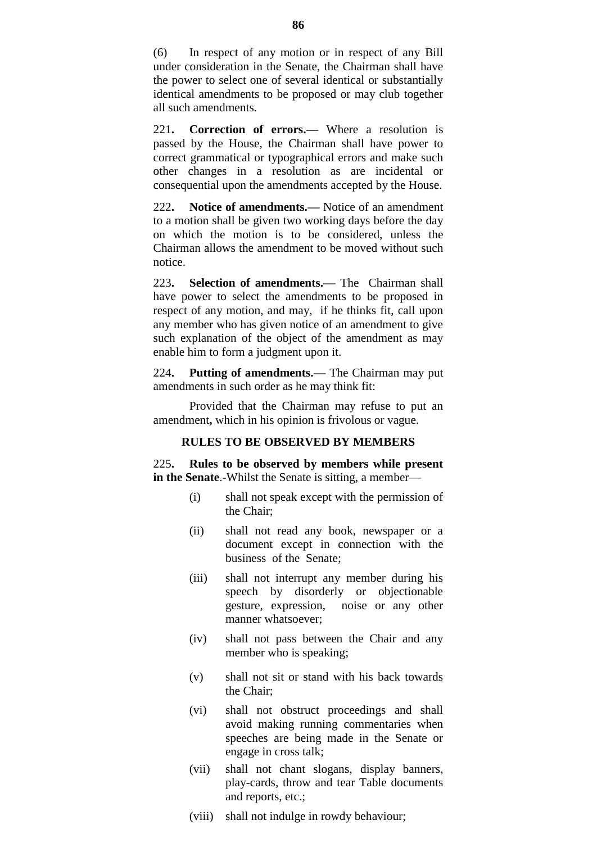(6) In respect of any motion or in respect of any Bill under consideration in the Senate, the Chairman shall have the power to select one of several identical or substantially identical amendments to be proposed or may club together all such amendments.

221**. Correction of errors.—** Where a resolution is passed by the House, the Chairman shall have power to correct grammatical or typographical errors and make such other changes in a resolution as are incidental or consequential upon the amendments accepted by the House.

222**. Notice of amendments.—** Notice of an amendment to a motion shall be given two working days before the day on which the motion is to be considered, unless the Chairman allows the amendment to be moved without such notice.

223**. Selection of amendments.—** The Chairman shall have power to select the amendments to be proposed in respect of any motion, and may, if he thinks fit, call upon any member who has given notice of an amendment to give such explanation of the object of the amendment as may enable him to form a judgment upon it.

224**. Putting of amendments.—** The Chairman may put amendments in such order as he may think fit:

Provided that the Chairman may refuse to put an amendment**,** which in his opinion is frivolous or vague.

# **RULES TO BE OBSERVED BY MEMBERS**

225**. Rules to be observed by members while present in the Senate**.-Whilst the Senate is sitting, a member—

- (i) shall not speak except with the permission of the Chair;
- (ii) shall not read any book, newspaper or a document except in connection with the business of the Senate;
- (iii) shall not interrupt any member during his speech by disorderly or objectionable gesture, expression, noise or any other manner whatsoever;
- (iv) shall not pass between the Chair and any member who is speaking;
- (v) shall not sit or stand with his back towards the Chair;
- (vi) shall not obstruct proceedings and shall avoid making running commentaries when speeches are being made in the Senate or engage in cross talk;
- (vii) shall not chant slogans, display banners, play-cards, throw and tear Table documents and reports, etc.;
- (viii) shall not indulge in rowdy behaviour;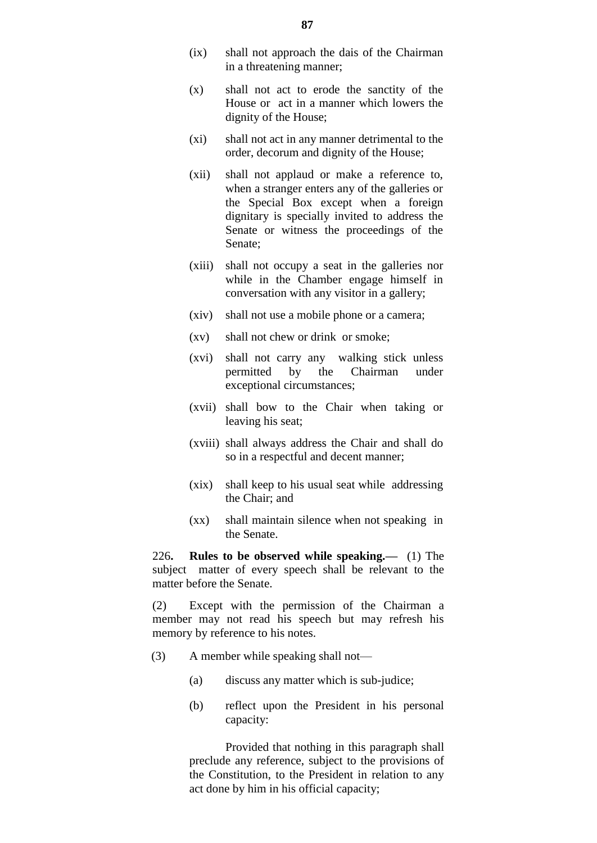- (ix) shall not approach the dais of the Chairman in a threatening manner;
- (x) shall not act to erode the sanctity of the House or act in a manner which lowers the dignity of the House;
- (xi) shall not act in any manner detrimental to the order, decorum and dignity of the House;
- (xii) shall not applaud or make a reference to, when a stranger enters any of the galleries or the Special Box except when a foreign dignitary is specially invited to address the Senate or witness the proceedings of the Senate;
- (xiii) shall not occupy a seat in the galleries nor while in the Chamber engage himself in conversation with any visitor in a gallery;
- (xiv) shall not use a mobile phone or a camera;
- (xv) shall not chew or drink or smoke;
- (xvi) shall not carry any walking stick unless permitted by the Chairman under exceptional circumstances;
- (xvii) shall bow to the Chair when taking or leaving his seat;
- (xviii) shall always address the Chair and shall do so in a respectful and decent manner;
- (xix) shall keep to his usual seat while addressing the Chair; and
- (xx) shall maintain silence when not speaking in the Senate.

226**. Rules to be observed while speaking.—** (1) The subject matter of every speech shall be relevant to the matter before the Senate.

(2) Except with the permission of the Chairman a member may not read his speech but may refresh his memory by reference to his notes.

- (3) A member while speaking shall not—
	- (a) discuss any matter which is sub-judice;
	- (b) reflect upon the President in his personal capacity:

Provided that nothing in this paragraph shall preclude any reference, subject to the provisions of the Constitution, to the President in relation to any act done by him in his official capacity;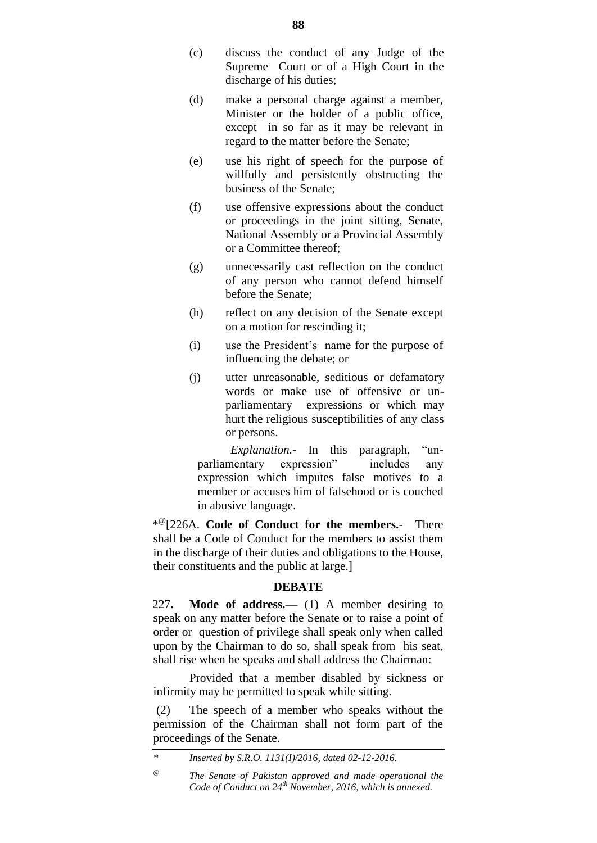- (c) discuss the conduct of any Judge of the Supreme Court or of a High Court in the discharge of his duties;
- (d) make a personal charge against a member, Minister or the holder of a public office, except in so far as it may be relevant in regard to the matter before the Senate;
- (e) use his right of speech for the purpose of willfully and persistently obstructing the business of the Senate;
- (f) use offensive expressions about the conduct or proceedings in the joint sitting, Senate, National Assembly or a Provincial Assembly or a Committee thereof;
- (g) unnecessarily cast reflection on the conduct of any person who cannot defend himself before the Senate;
- (h) reflect on any decision of the Senate except on a motion for rescinding it;
- (i) use the President"s name for the purpose of influencing the debate; or
- (j) utter unreasonable, seditious or defamatory words or make use of offensive or unparliamentary expressions or which may hurt the religious susceptibilities of any class or persons.

 *Explanation.-* In this paragraph, "unparliamentary expression" includes any expression which imputes false motives to a member or accuses him of falsehood or is couched in abusive language.

\* @[226A. **Code of Conduct for the members.**- There shall be a Code of Conduct for the members to assist them in the discharge of their duties and obligations to the House, their constituents and the public at large.]

# **DEBATE**

227**. Mode of address.—** (1) A member desiring to speak on any matter before the Senate or to raise a point of order or question of privilege shall speak only when called upon by the Chairman to do so, shall speak from his seat, shall rise when he speaks and shall address the Chairman:

Provided that a member disabled by sickness or infirmity may be permitted to speak while sitting.

(2) The speech of a member who speaks without the permission of the Chairman shall not form part of the proceedings of the Senate.

*<sup>\*</sup> Inserted by S.R.O. 1131(I)/2016, dated 02-12-2016.*

*<sup>@</sup> The Senate of Pakistan approved and made operational the Code of Conduct on 24th November, 2016, which is annexed.*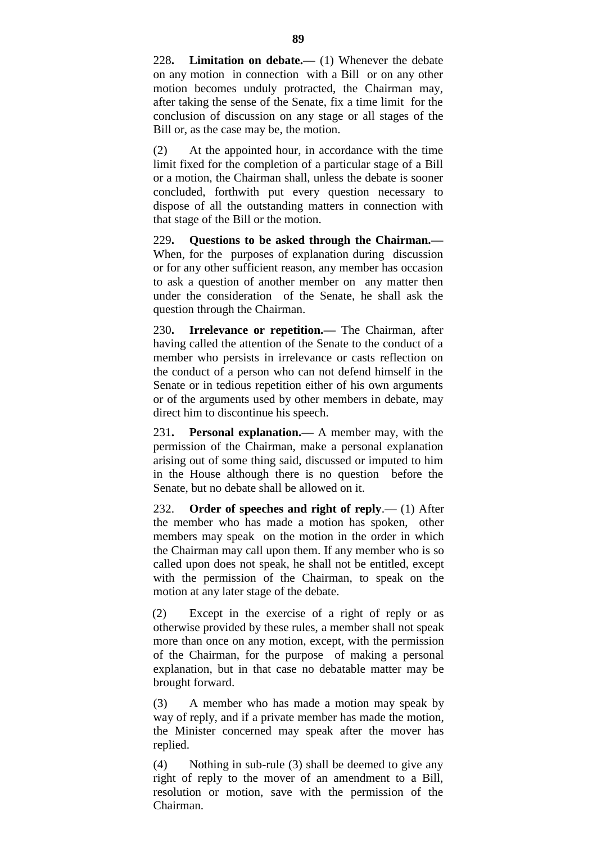228**. Limitation on debate.—** (1) Whenever the debate on any motion in connection with a Bill or on any other motion becomes unduly protracted, the Chairman may, after taking the sense of the Senate, fix a time limit for the conclusion of discussion on any stage or all stages of the Bill or, as the case may be, the motion.

(2) At the appointed hour, in accordance with the time limit fixed for the completion of a particular stage of a Bill or a motion, the Chairman shall, unless the debate is sooner concluded, forthwith put every question necessary to dispose of all the outstanding matters in connection with that stage of the Bill or the motion.

229**. Questions to be asked through the Chairman.—** When, for the purposes of explanation during discussion or for any other sufficient reason, any member has occasion to ask a question of another member on any matter then under the consideration of the Senate, he shall ask the question through the Chairman.

230**. Irrelevance or repetition.—** The Chairman, after having called the attention of the Senate to the conduct of a member who persists in irrelevance or casts reflection on the conduct of a person who can not defend himself in the Senate or in tedious repetition either of his own arguments or of the arguments used by other members in debate, may direct him to discontinue his speech.

231**. Personal explanation.—** A member may, with the permission of the Chairman, make a personal explanation arising out of some thing said, discussed or imputed to him in the House although there is no question before the Senate, but no debate shall be allowed on it.

232. **Order of speeches and right of reply**.— (1) After the member who has made a motion has spoken, other members may speak on the motion in the order in which the Chairman may call upon them. If any member who is so called upon does not speak, he shall not be entitled, except with the permission of the Chairman, to speak on the motion at any later stage of the debate.

(2) Except in the exercise of a right of reply or as otherwise provided by these rules, a member shall not speak more than once on any motion, except, with the permission of the Chairman, for the purpose of making a personal explanation, but in that case no debatable matter may be brought forward.

(3) A member who has made a motion may speak by way of reply, and if a private member has made the motion, the Minister concerned may speak after the mover has replied.

(4) Nothing in sub-rule (3) shall be deemed to give any right of reply to the mover of an amendment to a Bill, resolution or motion, save with the permission of the Chairman.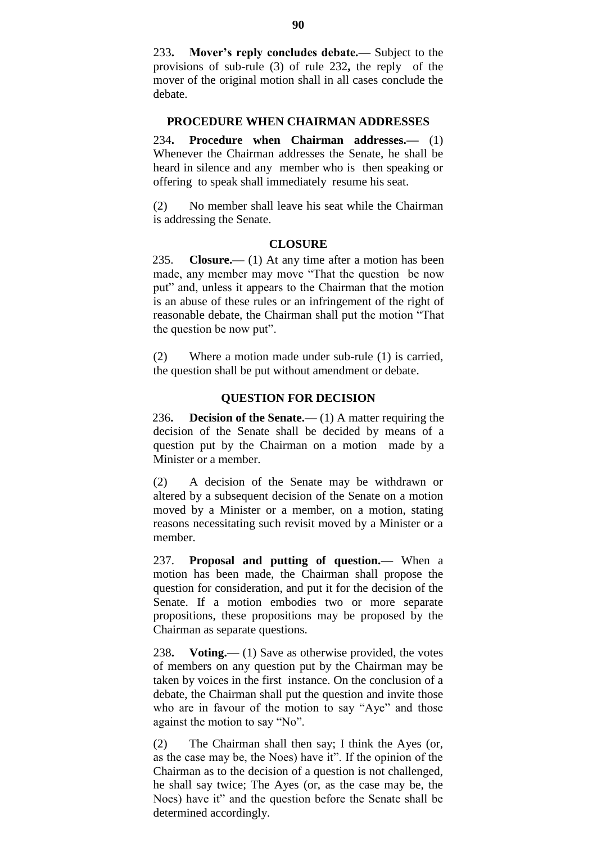233**. Mover's reply concludes debate.—** Subject to the provisions of sub-rule (3) of rule 232**,** the reply of the mover of the original motion shall in all cases conclude the debate.

### **PROCEDURE WHEN CHAIRMAN ADDRESSES**

234**. Procedure when Chairman addresses.—** (1) Whenever the Chairman addresses the Senate, he shall be heard in silence and any member who is then speaking or offering to speak shall immediately resume his seat.

(2) No member shall leave his seat while the Chairman is addressing the Senate.

## **CLOSURE**

235. **Closure.—** (1) At any time after a motion has been made, any member may move "That the question be now put" and, unless it appears to the Chairman that the motion is an abuse of these rules or an infringement of the right of reasonable debate, the Chairman shall put the motion "That the question be now put".

(2) Where a motion made under sub-rule (1) is carried, the question shall be put without amendment or debate.

#### **QUESTION FOR DECISION**

236**. Decision of the Senate.—** (1) A matter requiring the decision of the Senate shall be decided by means of a question put by the Chairman on a motion made by a Minister or a member.

(2) A decision of the Senate may be withdrawn or altered by a subsequent decision of the Senate on a motion moved by a Minister or a member, on a motion, stating reasons necessitating such revisit moved by a Minister or a member.

237. **Proposal and putting of question.—** When a motion has been made, the Chairman shall propose the question for consideration, and put it for the decision of the Senate. If a motion embodies two or more separate propositions, these propositions may be proposed by the Chairman as separate questions.

238**. Voting.—** (1) Save as otherwise provided, the votes of members on any question put by the Chairman may be taken by voices in the first instance. On the conclusion of a debate, the Chairman shall put the question and invite those who are in favour of the motion to say "Aye" and those against the motion to say "No".

(2) The Chairman shall then say; I think the Ayes (or, as the case may be, the Noes) have it". If the opinion of the Chairman as to the decision of a question is not challenged, he shall say twice; The Ayes (or, as the case may be, the Noes) have it" and the question before the Senate shall be determined accordingly.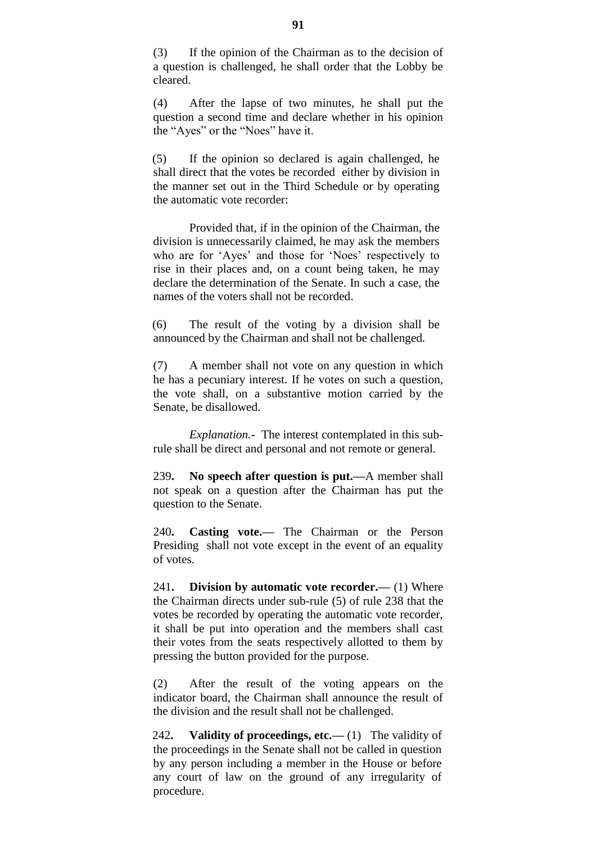(3) If the opinion of the Chairman as to the decision of a question is challenged, he shall order that the Lobby be cleared.

(4) After the lapse of two minutes, he shall put the question a second time and declare whether in his opinion the "Ayes" or the "Noes" have it.

(5) If the opinion so declared is again challenged, he shall direct that the votes be recorded either by division in the manner set out in the Third Schedule or by operating the automatic vote recorder:

Provided that, if in the opinion of the Chairman, the division is unnecessarily claimed, he may ask the members who are for 'Ayes' and those for 'Noes' respectively to rise in their places and, on a count being taken, he may declare the determination of the Senate. In such a case, the names of the voters shall not be recorded.

(6) The result of the voting by a division shall be announced by the Chairman and shall not be challenged.

(7) A member shall not vote on any question in which he has a pecuniary interest. If he votes on such a question, the vote shall, on a substantive motion carried by the Senate, be disallowed.

*Explanation.-* The interest contemplated in this subrule shall be direct and personal and not remote or general.

239**. No speech after question is put.—**A member shall not speak on a question after the Chairman has put the question to the Senate.

240**. Casting vote.—** The Chairman or the Person Presiding shall not vote except in the event of an equality of votes.

241**. Division by automatic vote recorder.—** (1) Where the Chairman directs under sub-rule (5) of rule 238 that the votes be recorded by operating the automatic vote recorder, it shall be put into operation and the members shall cast their votes from the seats respectively allotted to them by pressing the button provided for the purpose.

(2) After the result of the voting appears on the indicator board, the Chairman shall announce the result of the division and the result shall not be challenged.

242**. Validity of proceedings, etc.—** (1) The validity of the proceedings in the Senate shall not be called in question by any person including a member in the House or before any court of law on the ground of any irregularity of procedure.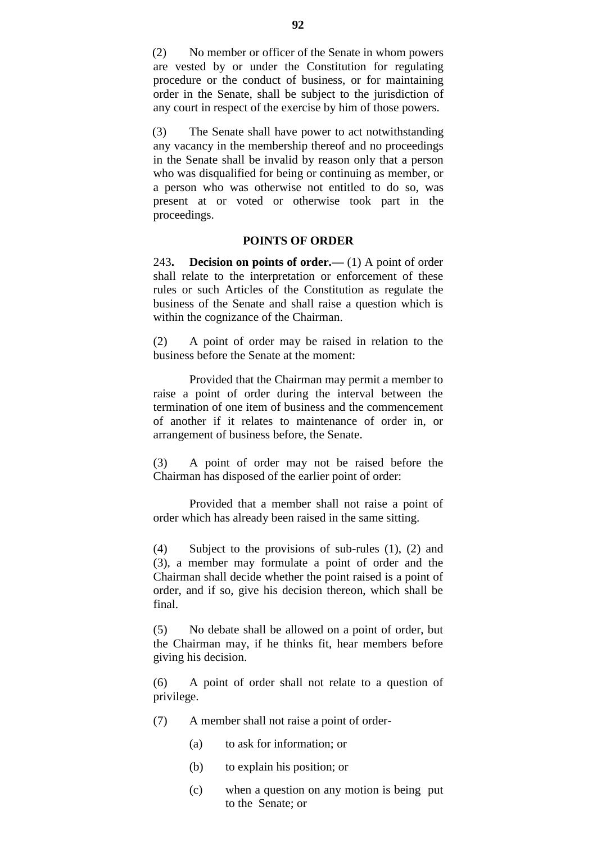(2) No member or officer of the Senate in whom powers are vested by or under the Constitution for regulating procedure or the conduct of business, or for maintaining order in the Senate, shall be subject to the jurisdiction of any court in respect of the exercise by him of those powers.

(3) The Senate shall have power to act notwithstanding any vacancy in the membership thereof and no proceedings in the Senate shall be invalid by reason only that a person who was disqualified for being or continuing as member, or a person who was otherwise not entitled to do so, was present at or voted or otherwise took part in the proceedings.

## **POINTS OF ORDER**

243**. Decision on points of order.—** (1) A point of order shall relate to the interpretation or enforcement of these rules or such Articles of the Constitution as regulate the business of the Senate and shall raise a question which is within the cognizance of the Chairman.

(2) A point of order may be raised in relation to the business before the Senate at the moment:

Provided that the Chairman may permit a member to raise a point of order during the interval between the termination of one item of business and the commencement of another if it relates to maintenance of order in, or arrangement of business before, the Senate.

(3) A point of order may not be raised before the Chairman has disposed of the earlier point of order:

Provided that a member shall not raise a point of order which has already been raised in the same sitting.

(4) Subject to the provisions of sub-rules (1), (2) and (3), a member may formulate a point of order and the Chairman shall decide whether the point raised is a point of order, and if so, give his decision thereon, which shall be final.

(5) No debate shall be allowed on a point of order, but the Chairman may, if he thinks fit, hear members before giving his decision.

(6) A point of order shall not relate to a question of privilege.

- (7) A member shall not raise a point of order-
	- (a) to ask for information; or
	- (b) to explain his position; or
	- (c) when a question on any motion is being put to the Senate; or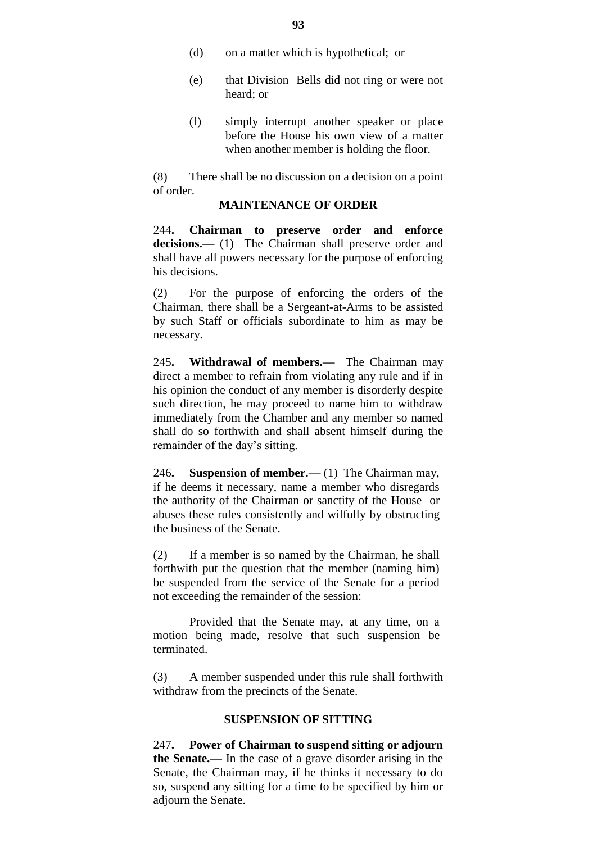- (d) on a matter which is hypothetical; or
- (e) that Division Bells did not ring or were not heard; or
- (f) simply interrupt another speaker or place before the House his own view of a matter when another member is holding the floor.

(8) There shall be no discussion on a decision on a point of order.

## **MAINTENANCE OF ORDER**

244**. Chairman to preserve order and enforce**  decisions.— (1) The Chairman shall preserve order and shall have all powers necessary for the purpose of enforcing his decisions.

(2) For the purpose of enforcing the orders of the Chairman, there shall be a Sergeant-at-Arms to be assisted by such Staff or officials subordinate to him as may be necessary.

245**. Withdrawal of members.—** The Chairman may direct a member to refrain from violating any rule and if in his opinion the conduct of any member is disorderly despite such direction, he may proceed to name him to withdraw immediately from the Chamber and any member so named shall do so forthwith and shall absent himself during the remainder of the day's sitting.

246**. Suspension of member.—** (1) The Chairman may, if he deems it necessary, name a member who disregards the authority of the Chairman or sanctity of the House or abuses these rules consistently and wilfully by obstructing the business of the Senate.

(2) If a member is so named by the Chairman, he shall forthwith put the question that the member (naming him) be suspended from the service of the Senate for a period not exceeding the remainder of the session:

Provided that the Senate may, at any time, on a motion being made, resolve that such suspension be terminated.

(3) A member suspended under this rule shall forthwith withdraw from the precincts of the Senate.

#### **SUSPENSION OF SITTING**

247**. Power of Chairman to suspend sitting or adjourn the Senate.—** In the case of a grave disorder arising in the Senate, the Chairman may, if he thinks it necessary to do so, suspend any sitting for a time to be specified by him or adjourn the Senate.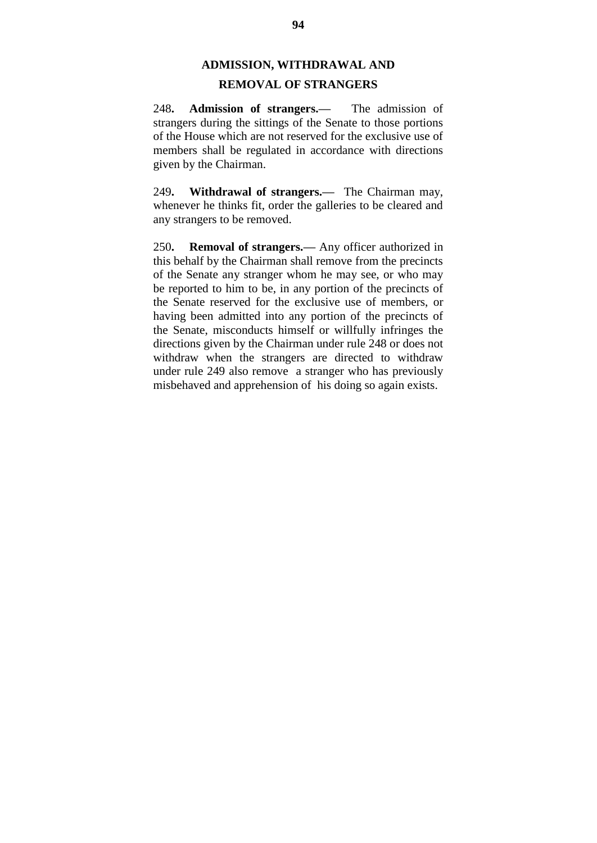# **ADMISSION, WITHDRAWAL AND**

# **REMOVAL OF STRANGERS**

248**. Admission of strangers.—** The admission of strangers during the sittings of the Senate to those portions of the House which are not reserved for the exclusive use of members shall be regulated in accordance with directions given by the Chairman.

249**. Withdrawal of strangers.—** The Chairman may, whenever he thinks fit, order the galleries to be cleared and any strangers to be removed.

250**. Removal of strangers.—** Any officer authorized in this behalf by the Chairman shall remove from the precincts of the Senate any stranger whom he may see, or who may be reported to him to be, in any portion of the precincts of the Senate reserved for the exclusive use of members, or having been admitted into any portion of the precincts of the Senate, misconducts himself or willfully infringes the directions given by the Chairman under rule 248 or does not withdraw when the strangers are directed to withdraw under rule 249 also remove a stranger who has previously misbehaved and apprehension of his doing so again exists.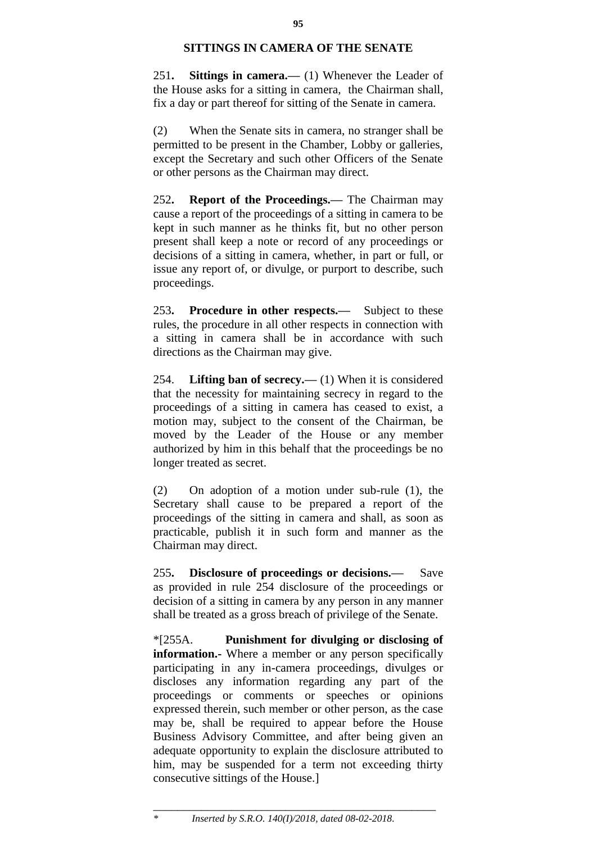## **SITTINGS IN CAMERA OF THE SENATE**

251**. Sittings in camera.—** (1) Whenever the Leader of the House asks for a sitting in camera, the Chairman shall, fix a day or part thereof for sitting of the Senate in camera.

(2) When the Senate sits in camera, no stranger shall be permitted to be present in the Chamber, Lobby or galleries, except the Secretary and such other Officers of the Senate or other persons as the Chairman may direct.

252**. Report of the Proceedings.—** The Chairman may cause a report of the proceedings of a sitting in camera to be kept in such manner as he thinks fit, but no other person present shall keep a note or record of any proceedings or decisions of a sitting in camera, whether, in part or full, or issue any report of, or divulge, or purport to describe, such proceedings.

253**. Procedure in other respects.—** Subject to these rules, the procedure in all other respects in connection with a sitting in camera shall be in accordance with such directions as the Chairman may give.

254. **Lifting ban of secrecy.—** (1) When it is considered that the necessity for maintaining secrecy in regard to the proceedings of a sitting in camera has ceased to exist, a motion may, subject to the consent of the Chairman, be moved by the Leader of the House or any member authorized by him in this behalf that the proceedings be no longer treated as secret.

(2) On adoption of a motion under sub-rule (1), the Secretary shall cause to be prepared a report of the proceedings of the sitting in camera and shall, as soon as practicable, publish it in such form and manner as the Chairman may direct.

255**. Disclosure of proceedings or decisions.—** Save as provided in rule 254 disclosure of the proceedings or decision of a sitting in camera by any person in any manner shall be treated as a gross breach of privilege of the Senate.

\*[255A. **Punishment for divulging or disclosing of information.**- Where a member or any person specifically participating in any in-camera proceedings, divulges or discloses any information regarding any part of the proceedings or comments or speeches or opinions expressed therein, such member or other person, as the case may be, shall be required to appear before the House Business Advisory Committee, and after being given an adequate opportunity to explain the disclosure attributed to him, may be suspended for a term not exceeding thirty consecutive sittings of the House.]

\_\_\_\_\_\_\_\_\_\_\_\_\_\_\_\_\_\_\_\_\_\_\_\_\_\_\_\_\_\_\_\_\_\_\_\_\_\_\_\_\_\_\_\_\_\_\_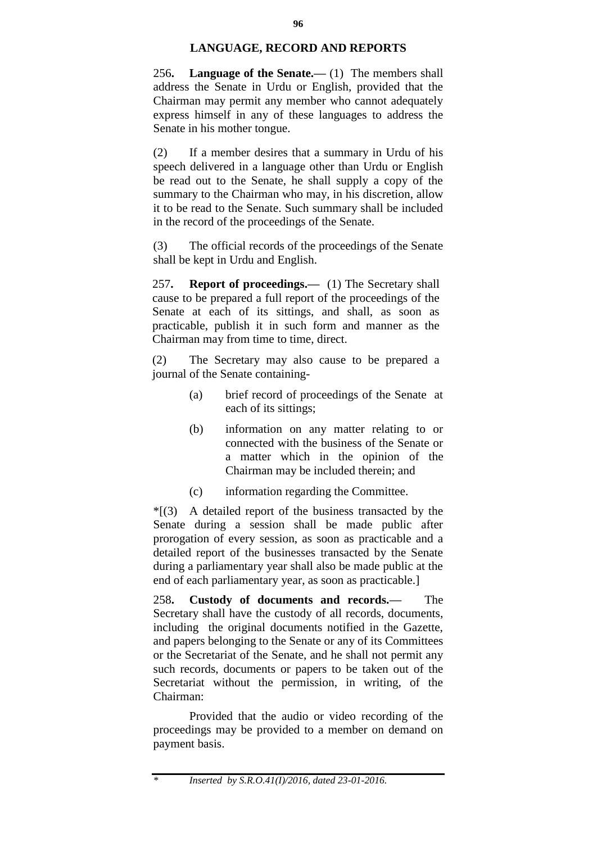## **LANGUAGE, RECORD AND REPORTS**

256**. Language of the Senate.—** (1) The members shall address the Senate in Urdu or English, provided that the Chairman may permit any member who cannot adequately express himself in any of these languages to address the Senate in his mother tongue.

(2) If a member desires that a summary in Urdu of his speech delivered in a language other than Urdu or English be read out to the Senate, he shall supply a copy of the summary to the Chairman who may, in his discretion, allow it to be read to the Senate. Such summary shall be included in the record of the proceedings of the Senate.

(3) The official records of the proceedings of the Senate shall be kept in Urdu and English.

257**. Report of proceedings.—** (1) The Secretary shall cause to be prepared a full report of the proceedings of the Senate at each of its sittings, and shall, as soon as practicable, publish it in such form and manner as the Chairman may from time to time, direct.

(2) The Secretary may also cause to be prepared a journal of the Senate containing-

- (a) brief record of proceedings of the Senate at each of its sittings;
- (b) information on any matter relating to or connected with the business of the Senate or a matter which in the opinion of the Chairman may be included therein; and
- (c) information regarding the Committee.

 $*(3)$  A detailed report of the business transacted by the Senate during a session shall be made public after prorogation of every session, as soon as practicable and a detailed report of the businesses transacted by the Senate during a parliamentary year shall also be made public at the end of each parliamentary year, as soon as practicable.]

258**. Custody of documents and records.—** The Secretary shall have the custody of all records, documents, including the original documents notified in the Gazette, and papers belonging to the Senate or any of its Committees or the Secretariat of the Senate, and he shall not permit any such records, documents or papers to be taken out of the Secretariat without the permission, in writing, of the Chairman:

Provided that the audio or video recording of the proceedings may be provided to a member on demand on payment basis.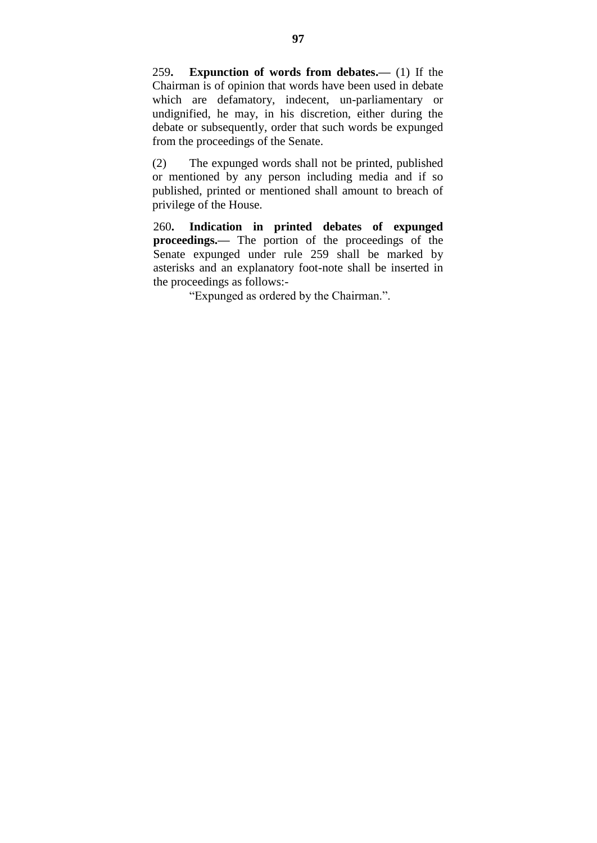259**. Expunction of words from debates.—** (1) If the Chairman is of opinion that words have been used in debate which are defamatory, indecent, un-parliamentary or undignified, he may, in his discretion, either during the debate or subsequently, order that such words be expunged from the proceedings of the Senate.

(2) The expunged words shall not be printed, published or mentioned by any person including media and if so published, printed or mentioned shall amount to breach of privilege of the House.

260**. Indication in printed debates of expunged proceedings.—** The portion of the proceedings of the Senate expunged under rule 259 shall be marked by asterisks and an explanatory foot-note shall be inserted in the proceedings as follows:-

"Expunged as ordered by the Chairman.".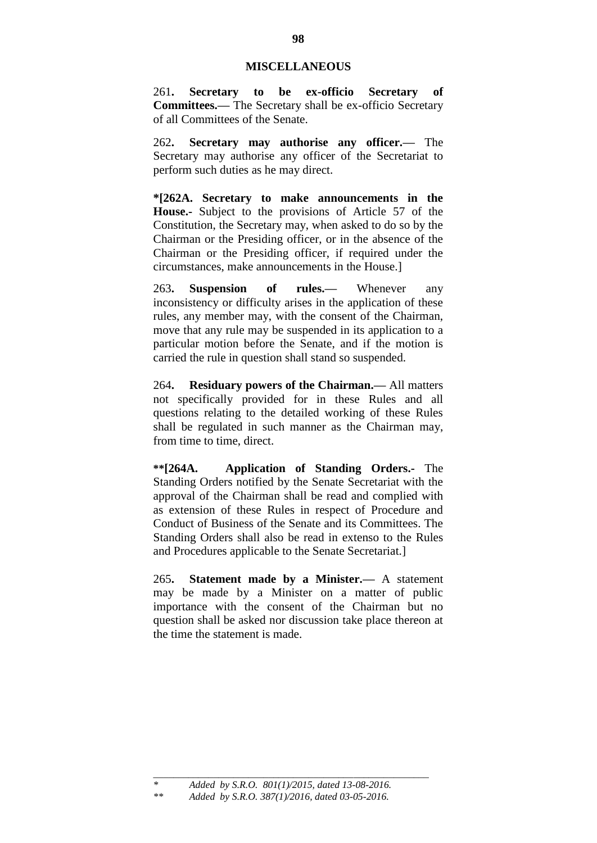#### **MISCELLANEOUS**

261**. Secretary to be ex-officio Secretary of Committees.—** The Secretary shall be ex-officio Secretary of all Committees of the Senate.

262**. Secretary may authorise any officer.—** The Secretary may authorise any officer of the Secretariat to perform such duties as he may direct.

**\*[262A. Secretary to make announcements in the House.-** Subject to the provisions of Article 57 of the Constitution, the Secretary may, when asked to do so by the Chairman or the Presiding officer, or in the absence of the Chairman or the Presiding officer, if required under the circumstances, make announcements in the House.]

263**. Suspension of rules.—** Whenever any inconsistency or difficulty arises in the application of these rules, any member may, with the consent of the Chairman, move that any rule may be suspended in its application to a particular motion before the Senate, and if the motion is carried the rule in question shall stand so suspended.

264**. Residuary powers of the Chairman.—** All matters not specifically provided for in these Rules and all questions relating to the detailed working of these Rules shall be regulated in such manner as the Chairman may, from time to time, direct.

**\*\*[264A. Application of Standing Orders.-** The Standing Orders notified by the Senate Secretariat with the approval of the Chairman shall be read and complied with as extension of these Rules in respect of Procedure and Conduct of Business of the Senate and its Committees. The Standing Orders shall also be read in extenso to the Rules and Procedures applicable to the Senate Secretariat.]

265**. Statement made by a Minister.—** A statement may be made by a Minister on a matter of public importance with the consent of the Chairman but no question shall be asked nor discussion take place thereon at the time the statement is made.

*\_\_\_\_\_\_\_\_\_\_\_\_\_\_\_\_\_\_\_\_\_\_\_\_\_\_\_\_\_\_\_\_\_\_\_\_\_\_\_\_\_\_\_\_\_\_\_\_\_\_\_\_\_\_\_*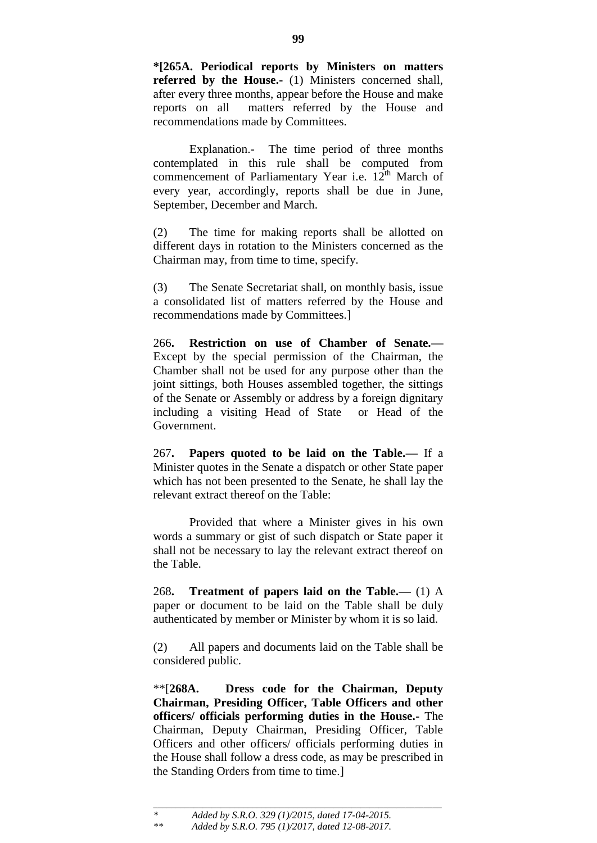**\*[265A. Periodical reports by Ministers on matters referred by the House.-** (1) Ministers concerned shall, after every three months, appear before the House and make reports on all matters referred by the House and recommendations made by Committees.

Explanation.- The time period of three months contemplated in this rule shall be computed from commencement of Parliamentary Year i.e.  $12^{th}$  March of every year, accordingly, reports shall be due in June, September, December and March.

(2) The time for making reports shall be allotted on different days in rotation to the Ministers concerned as the Chairman may, from time to time, specify.

(3) The Senate Secretariat shall, on monthly basis, issue a consolidated list of matters referred by the House and recommendations made by Committees.]

266**. Restriction on use of Chamber of Senate.—** Except by the special permission of the Chairman, the Chamber shall not be used for any purpose other than the joint sittings, both Houses assembled together, the sittings of the Senate or Assembly or address by a foreign dignitary including a visiting Head of State or Head of the Government.

267**. Papers quoted to be laid on the Table.—** If a Minister quotes in the Senate a dispatch or other State paper which has not been presented to the Senate, he shall lay the relevant extract thereof on the Table:

Provided that where a Minister gives in his own words a summary or gist of such dispatch or State paper it shall not be necessary to lay the relevant extract thereof on the Table.

268**. Treatment of papers laid on the Table.—** (1) A paper or document to be laid on the Table shall be duly authenticated by member or Minister by whom it is so laid.

(2) All papers and documents laid on the Table shall be considered public.

\*\*[**268A. Dress code for the Chairman, Deputy Chairman, Presiding Officer, Table Officers and other officers/ officials performing duties in the House.-** The Chairman, Deputy Chairman, Presiding Officer, Table Officers and other officers/ officials performing duties in the House shall follow a dress code, as may be prescribed in the Standing Orders from time to time.]

\_\_\_\_\_\_\_\_\_\_\_\_\_\_\_\_\_\_\_\_\_\_\_\_\_\_\_\_\_\_\_\_\_\_\_\_\_\_\_\_\_\_\_\_\_\_\_\_\_\_\_\_\_\_\_\_\_\_\_\_\_\_\_\_

*<sup>\*</sup> Added by S.R.O. 329 (1)/2015, dated 17-04-2015.*

*<sup>\*\*</sup> Added by S.R.O. 795 (1)/2017, dated 12-08-2017.*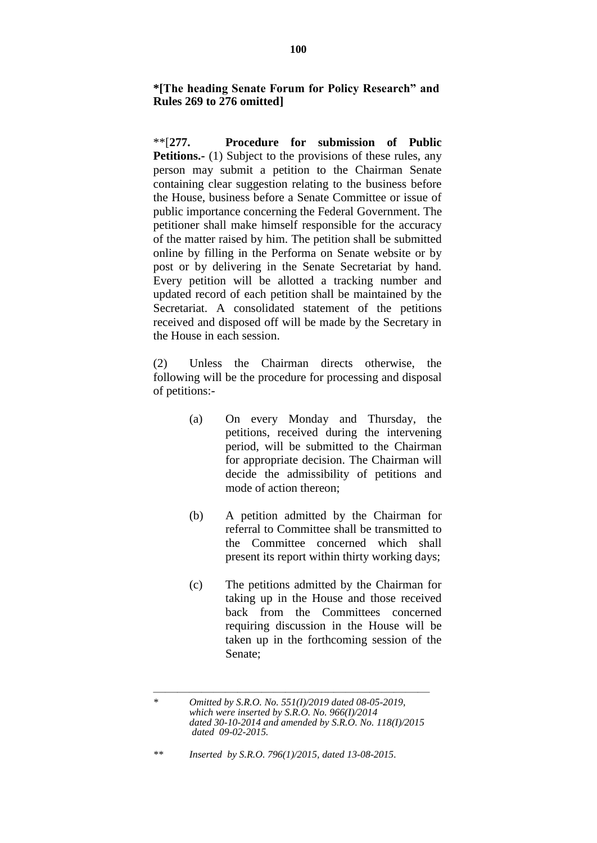**\*[The heading Senate Forum for Policy Research" and Rules 269 to 276 omitted]**

\*\*[**277. Procedure for submission of Public Petitions.**- (1) Subject to the provisions of these rules, any person may submit a petition to the Chairman Senate containing clear suggestion relating to the business before the House, business before a Senate Committee or issue of public importance concerning the Federal Government. The petitioner shall make himself responsible for the accuracy of the matter raised by him. The petition shall be submitted online by filling in the Performa on Senate website or by post or by delivering in the Senate Secretariat by hand. Every petition will be allotted a tracking number and updated record of each petition shall be maintained by the Secretariat. A consolidated statement of the petitions received and disposed off will be made by the Secretary in the House in each session.

(2) Unless the Chairman directs otherwise, the following will be the procedure for processing and disposal of petitions:-

- (a) On every Monday and Thursday, the petitions, received during the intervening period, will be submitted to the Chairman for appropriate decision. The Chairman will decide the admissibility of petitions and mode of action thereon;
- (b) A petition admitted by the Chairman for referral to Committee shall be transmitted to the Committee concerned which shall present its report within thirty working days;
- (c) The petitions admitted by the Chairman for taking up in the House and those received back from the Committees concerned requiring discussion in the House will be taken up in the forthcoming session of the Senate;

*\*\* Inserted by S.R.O. 796(1)/2015, dated 13-08-2015.*

 $\frac{1}{\sqrt{2}}$  , and the contract of the contract of the contract of the contract of the contract of the contract of the contract of the contract of the contract of the contract of the contract of the contract of the contra *\* Omitted by S.R.O. No. 551(I)/2019 dated 08-05-2019, which were inserted by S.R.O. No. 966(I)/2014 dated 30-10-2014 and amended by S.R.O. No. 118(I)/2015 dated 09-02-2015.*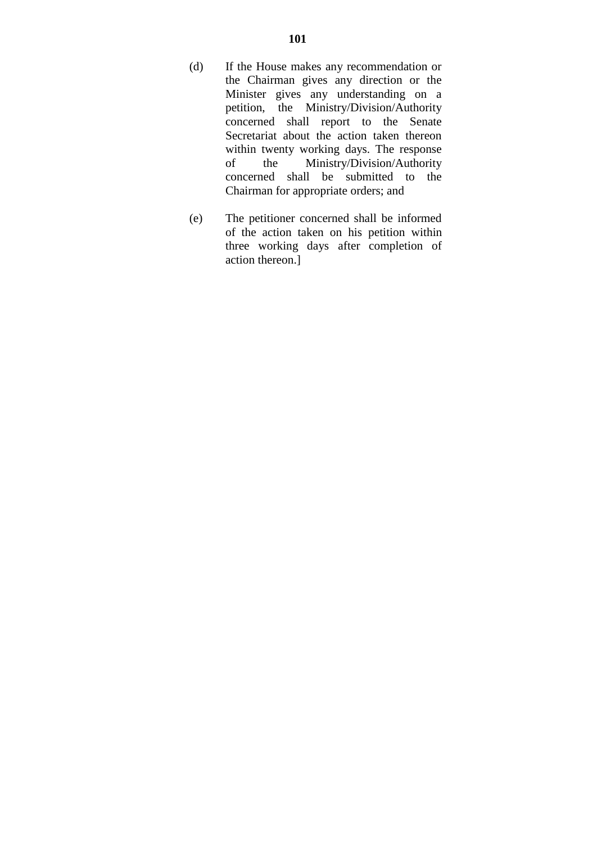- (d) If the House makes any recommendation or the Chairman gives any direction or the Minister gives any understanding on a petition, the Ministry/Division/Authority concerned shall report to the Senate Secretariat about the action taken thereon within twenty working days. The response of the Ministry/Division/Authority concerned shall be submitted to the Chairman for appropriate orders; and
- (e) The petitioner concerned shall be informed of the action taken on his petition within three working days after completion of action thereon.]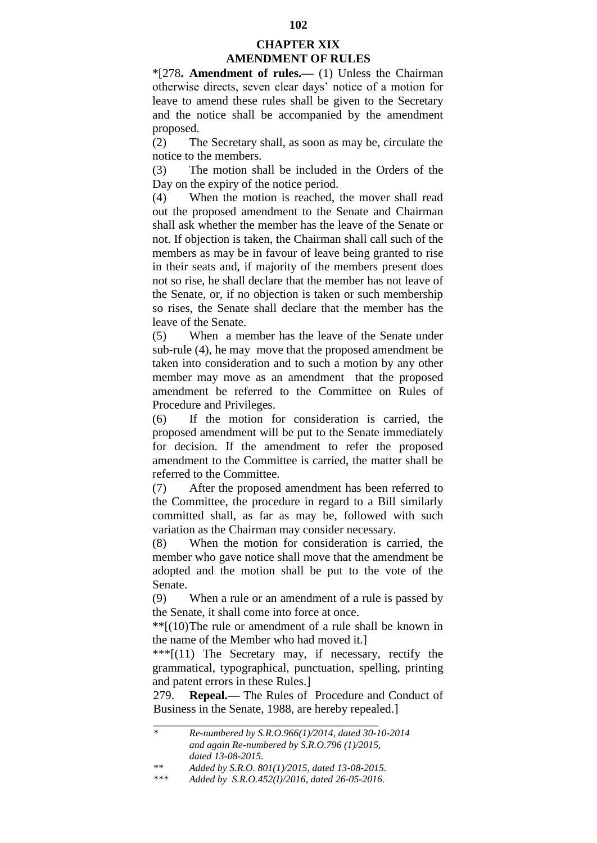# **CHAPTER XIX AMENDMENT OF RULES**

\*[278**. Amendment of rules.—** (1) Unless the Chairman otherwise directs, seven clear days" notice of a motion for leave to amend these rules shall be given to the Secretary and the notice shall be accompanied by the amendment proposed.

(2) The Secretary shall, as soon as may be, circulate the notice to the members.

(3) The motion shall be included in the Orders of the Day on the expiry of the notice period.

(4) When the motion is reached, the mover shall read out the proposed amendment to the Senate and Chairman shall ask whether the member has the leave of the Senate or not. If objection is taken, the Chairman shall call such of the members as may be in favour of leave being granted to rise in their seats and, if majority of the members present does not so rise, he shall declare that the member has not leave of the Senate, or, if no objection is taken or such membership so rises, the Senate shall declare that the member has the leave of the Senate.

(5) When a member has the leave of the Senate under sub-rule (4), he may move that the proposed amendment be taken into consideration and to such a motion by any other member may move as an amendment that the proposed amendment be referred to the Committee on Rules of Procedure and Privileges.

(6) If the motion for consideration is carried, the proposed amendment will be put to the Senate immediately for decision. If the amendment to refer the proposed amendment to the Committee is carried, the matter shall be referred to the Committee.

(7) After the proposed amendment has been referred to the Committee, the procedure in regard to a Bill similarly committed shall, as far as may be, followed with such variation as the Chairman may consider necessary.

(8) When the motion for consideration is carried, the member who gave notice shall move that the amendment be adopted and the motion shall be put to the vote of the Senate.

(9) When a rule or an amendment of a rule is passed by the Senate, it shall come into force at once.

\*\*[(10)The rule or amendment of a rule shall be known in the name of the Member who had moved it.]

\*\*\*[(11) The Secretary may, if necessary, rectify the grammatical, typographical, punctuation, spelling, printing and patent errors in these Rules.]

279. **Repeal.—** The Rules of Procedure and Conduct of Business in the Senate, 1988, are hereby repealed.]

\_\_\_\_\_\_\_\_\_\_\_\_\_\_\_\_\_\_\_\_\_\_\_\_\_\_\_\_\_\_\_\_\_\_\_\_\_\_\_\_\_\_\_\_\_

*<sup>\*</sup> Re-numbered by S.R.O.966(1)/2014, dated 30-10-2014 and again Re-numbered by S.R.O.796 (1)/2015, dated 13-08-2015.*

*<sup>\*\*</sup> Added by S.R.O. 801(1)/2015, dated 13-08-2015.*

*<sup>\*\*\*</sup> Added by S.R.O.452(I)/2016, dated 26-05-2016.*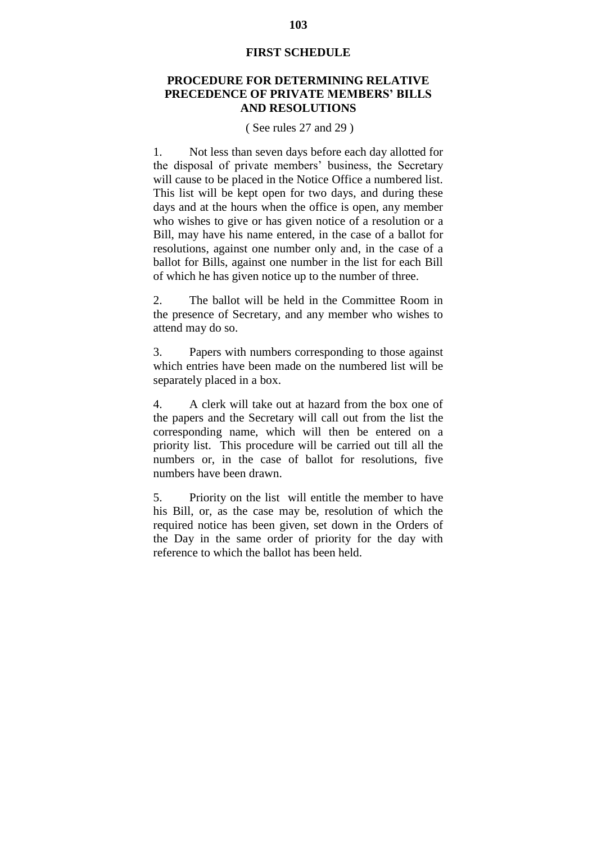## **FIRST SCHEDULE**

# **PROCEDURE FOR DETERMINING RELATIVE PRECEDENCE OF PRIVATE MEMBERS' BILLS AND RESOLUTIONS**

## ( See rules 27 and 29 )

1. Not less than seven days before each day allotted for the disposal of private members" business, the Secretary will cause to be placed in the Notice Office a numbered list. This list will be kept open for two days, and during these days and at the hours when the office is open, any member who wishes to give or has given notice of a resolution or a Bill, may have his name entered, in the case of a ballot for resolutions, against one number only and, in the case of a ballot for Bills, against one number in the list for each Bill of which he has given notice up to the number of three.

2. The ballot will be held in the Committee Room in the presence of Secretary, and any member who wishes to attend may do so.

3. Papers with numbers corresponding to those against which entries have been made on the numbered list will be separately placed in a box.

4. A clerk will take out at hazard from the box one of the papers and the Secretary will call out from the list the corresponding name, which will then be entered on a priority list. This procedure will be carried out till all the numbers or, in the case of ballot for resolutions, five numbers have been drawn.

5. Priority on the list will entitle the member to have his Bill, or, as the case may be, resolution of which the required notice has been given, set down in the Orders of the Day in the same order of priority for the day with reference to which the ballot has been held.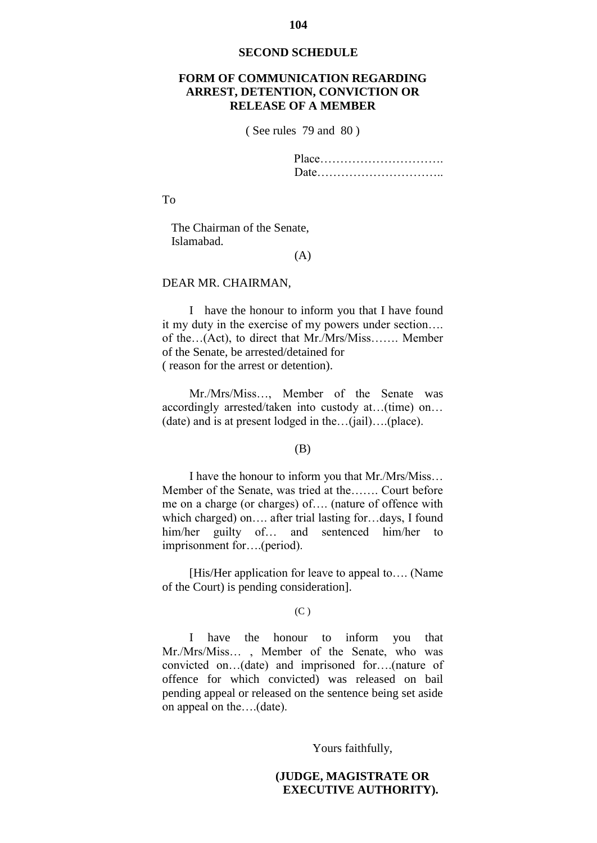#### **SECOND SCHEDULE**

# **FORM OF COMMUNICATION REGARDING ARREST, DETENTION, CONVICTION OR RELEASE OF A MEMBER**

( See rules 79 and 80 )

Place…………………………. Date…………………………..

To

 The Chairman of the Senate, Islamabad.

## (A)

#### DEAR MR. CHAIRMAN,

I have the honour to inform you that I have found it my duty in the exercise of my powers under section…. of the…(Act), to direct that Mr./Mrs/Miss……. Member of the Senate, be arrested/detained for ( reason for the arrest or detention).

Mr./Mrs/Miss…, Member of the Senate was accordingly arrested/taken into custody at…(time) on… (date) and is at present lodged in the…(jail)….(place).

#### (B)

I have the honour to inform you that Mr./Mrs/Miss… Member of the Senate, was tried at the……. Court before me on a charge (or charges) of…. (nature of offence with which charged) on…. after trial lasting for…days, I found him/her guilty of... and sentenced him/her to imprisonment for….(period).

[His/Her application for leave to appeal to…. (Name of the Court) is pending consideration].

#### (C )

I have the honour to inform you that Mr./Mrs/Miss… , Member of the Senate, who was convicted on…(date) and imprisoned for….(nature of offence for which convicted) was released on bail pending appeal or released on the sentence being set aside on appeal on the….(date).

Yours faithfully,

# **(JUDGE, MAGISTRATE OR EXECUTIVE AUTHORITY).**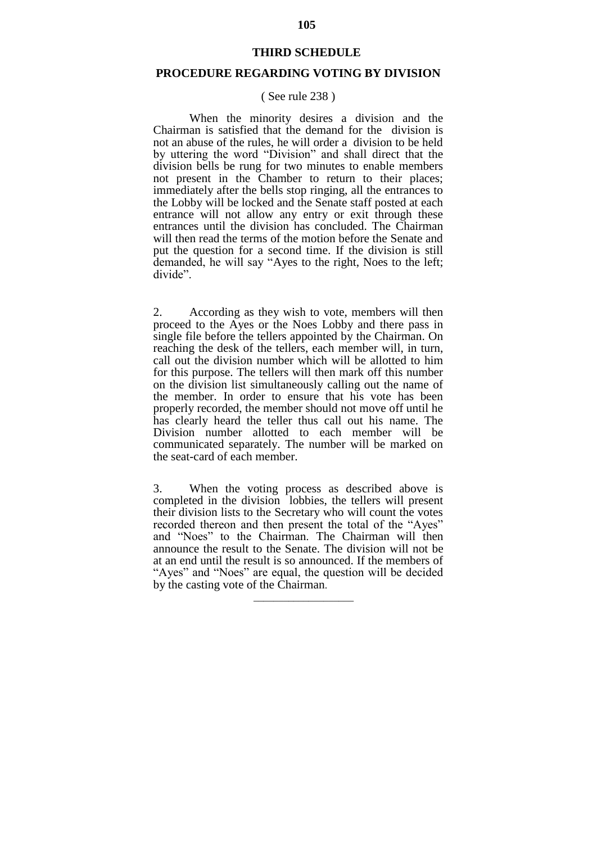#### **THIRD SCHEDULE**

# **PROCEDURE REGARDING VOTING BY DIVISION**

## ( See rule 238 )

When the minority desires a division and the Chairman is satisfied that the demand for the division is not an abuse of the rules, he will order a division to be held by uttering the word "Division" and shall direct that the division bells be rung for two minutes to enable members not present in the Chamber to return to their places; immediately after the bells stop ringing, all the entrances to the Lobby will be locked and the Senate staff posted at each entrance will not allow any entry or exit through these entrances until the division has concluded. The Chairman will then read the terms of the motion before the Senate and put the question for a second time. If the division is still demanded, he will say "Ayes to the right, Noes to the left; divide".

2. According as they wish to vote, members will then proceed to the Ayes or the Noes Lobby and there pass in single file before the tellers appointed by the Chairman. On reaching the desk of the tellers, each member will, in turn, call out the division number which will be allotted to him for this purpose. The tellers will then mark off this number on the division list simultaneously calling out the name of the member. In order to ensure that his vote has been properly recorded, the member should not move off until he has clearly heard the teller thus call out his name. The Division number allotted to each member will be communicated separately. The number will be marked on the seat-card of each member.

3. When the voting process as described above is completed in the division lobbies, the tellers will present their division lists to the Secretary who will count the votes recorded thereon and then present the total of the "Ayes" and "Noes" to the Chairman. The Chairman will then announce the result to the Senate. The division will not be at an end until the result is so announced. If the members of "Ayes" and "Noes" are equal, the question will be decided by the casting vote of the Chairman.

 $\frac{1}{\sqrt{2}}$  ,  $\frac{1}{\sqrt{2}}$  ,  $\frac{1}{\sqrt{2}}$  ,  $\frac{1}{\sqrt{2}}$  ,  $\frac{1}{\sqrt{2}}$  ,  $\frac{1}{\sqrt{2}}$  ,  $\frac{1}{\sqrt{2}}$  ,  $\frac{1}{\sqrt{2}}$  ,  $\frac{1}{\sqrt{2}}$  ,  $\frac{1}{\sqrt{2}}$  ,  $\frac{1}{\sqrt{2}}$  ,  $\frac{1}{\sqrt{2}}$  ,  $\frac{1}{\sqrt{2}}$  ,  $\frac{1}{\sqrt{2}}$  ,  $\frac{1}{\sqrt{2}}$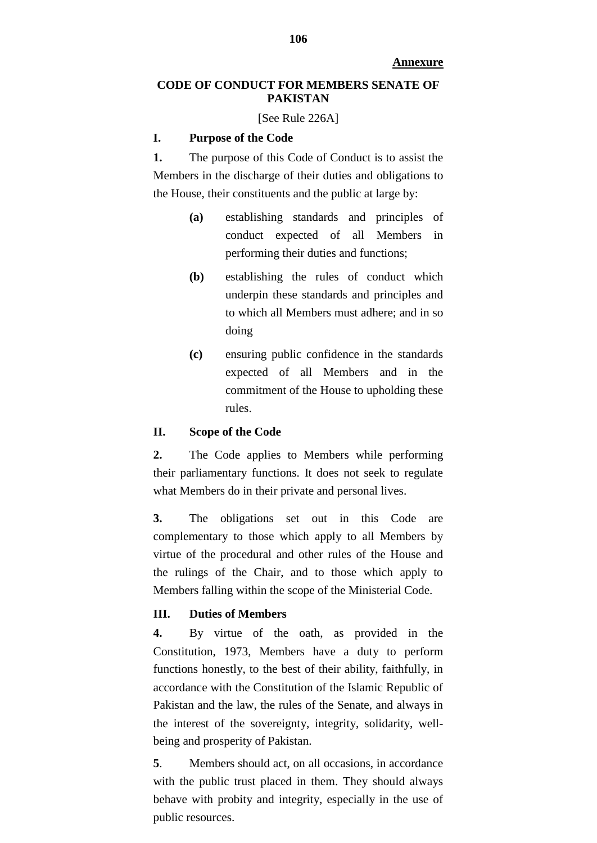**Annexure**

# **CODE OF CONDUCT FOR MEMBERS SENATE OF PAKISTAN**

[See Rule 226A]

## **I. Purpose of the Code**

**1.** The purpose of this Code of Conduct is to assist the Members in the discharge of their duties and obligations to the House, their constituents and the public at large by:

- **(a)** establishing standards and principles of conduct expected of all Members in performing their duties and functions;
- **(b)** establishing the rules of conduct which underpin these standards and principles and to which all Members must adhere; and in so doing
- **(c)** ensuring public confidence in the standards expected of all Members and in the commitment of the House to upholding these rules.

## **II. Scope of the Code**

**2.** The Code applies to Members while performing their parliamentary functions. It does not seek to regulate what Members do in their private and personal lives.

**3.** The obligations set out in this Code are complementary to those which apply to all Members by virtue of the procedural and other rules of the House and the rulings of the Chair, and to those which apply to Members falling within the scope of the Ministerial Code.

## **III. Duties of Members**

**4.** By virtue of the oath, as provided in the Constitution, 1973, Members have a duty to perform functions honestly, to the best of their ability, faithfully, in accordance with the Constitution of the Islamic Republic of Pakistan and the law, the rules of the Senate, and always in the interest of the sovereignty, integrity, solidarity, wellbeing and prosperity of Pakistan.

**5**. Members should act, on all occasions, in accordance with the public trust placed in them. They should always behave with probity and integrity, especially in the use of public resources.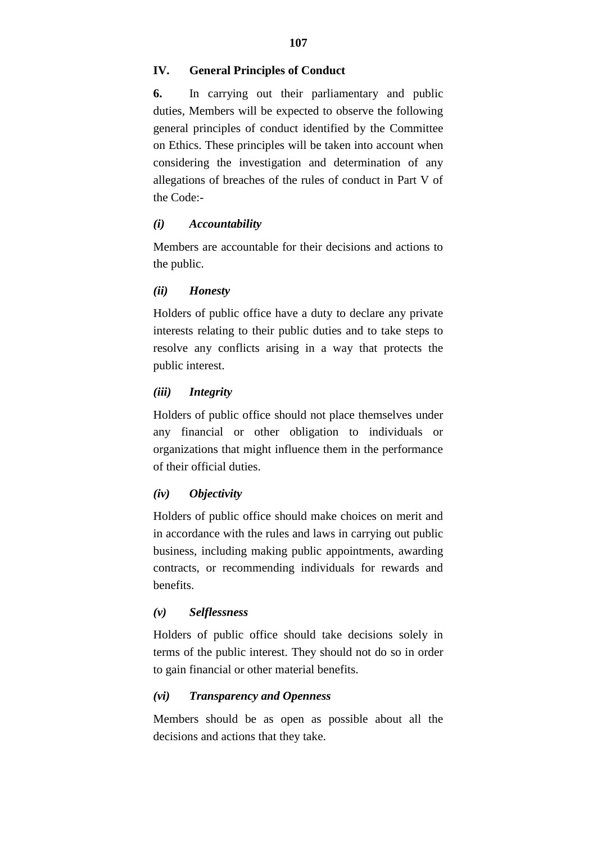### **IV. General Principles of Conduct**

**6.** In carrying out their parliamentary and public duties, Members will be expected to observe the following general principles of conduct identified by the Committee on Ethics. These principles will be taken into account when considering the investigation and determination of any allegations of breaches of the rules of conduct in Part V of the Code:-

### *(i) Accountability*

Members are accountable for their decisions and actions to the public.

### *(ii) Honesty*

Holders of public office have a duty to declare any private interests relating to their public duties and to take steps to resolve any conflicts arising in a way that protects the public interest.

### *(iii) Integrity*

Holders of public office should not place themselves under any financial or other obligation to individuals or organizations that might influence them in the performance of their official duties.

#### *(iv) Objectivity*

Holders of public office should make choices on merit and in accordance with the rules and laws in carrying out public business, including making public appointments, awarding contracts, or recommending individuals for rewards and benefits.

#### *(v) Selflessness*

Holders of public office should take decisions solely in terms of the public interest. They should not do so in order to gain financial or other material benefits.

#### *(vi) Transparency and Openness*

Members should be as open as possible about all the decisions and actions that they take.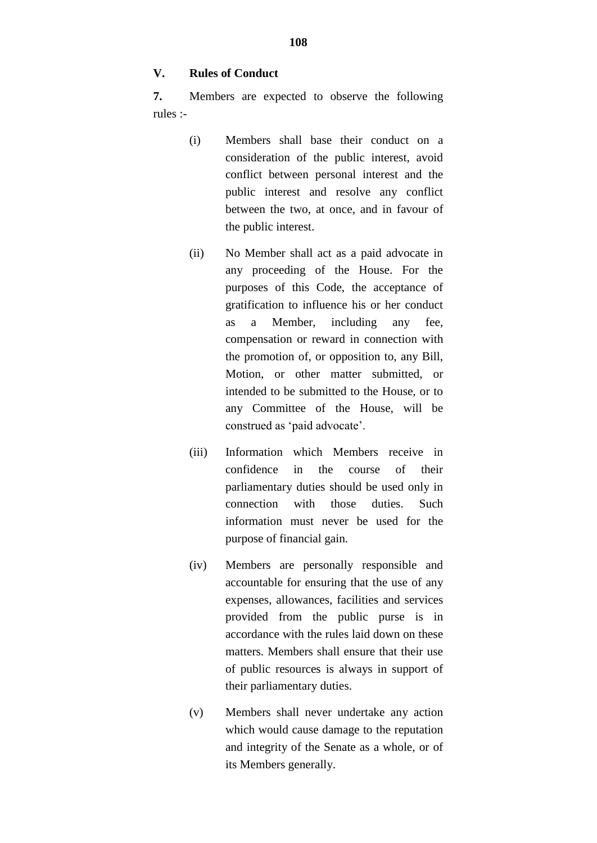### **V. Rules of Conduct**

**7.** Members are expected to observe the following rules :-

- (i) Members shall base their conduct on a consideration of the public interest, avoid conflict between personal interest and the public interest and resolve any conflict between the two, at once, and in favour of the public interest.
- (ii) No Member shall act as a paid advocate in any proceeding of the House. For the purposes of this Code, the acceptance of gratification to influence his or her conduct as a Member, including any fee, compensation or reward in connection with the promotion of, or opposition to, any Bill, Motion, or other matter submitted, or intended to be submitted to the House, or to any Committee of the House, will be construed as 'paid advocate'.
- (iii) Information which Members receive in confidence in the course of their parliamentary duties should be used only in connection with those duties. Such information must never be used for the purpose of financial gain.
- (iv) Members are personally responsible and accountable for ensuring that the use of any expenses, allowances, facilities and services provided from the public purse is in accordance with the rules laid down on these matters. Members shall ensure that their use of public resources is always in support of their parliamentary duties.
- (v) Members shall never undertake any action which would cause damage to the reputation and integrity of the Senate as a whole, or of its Members generally.